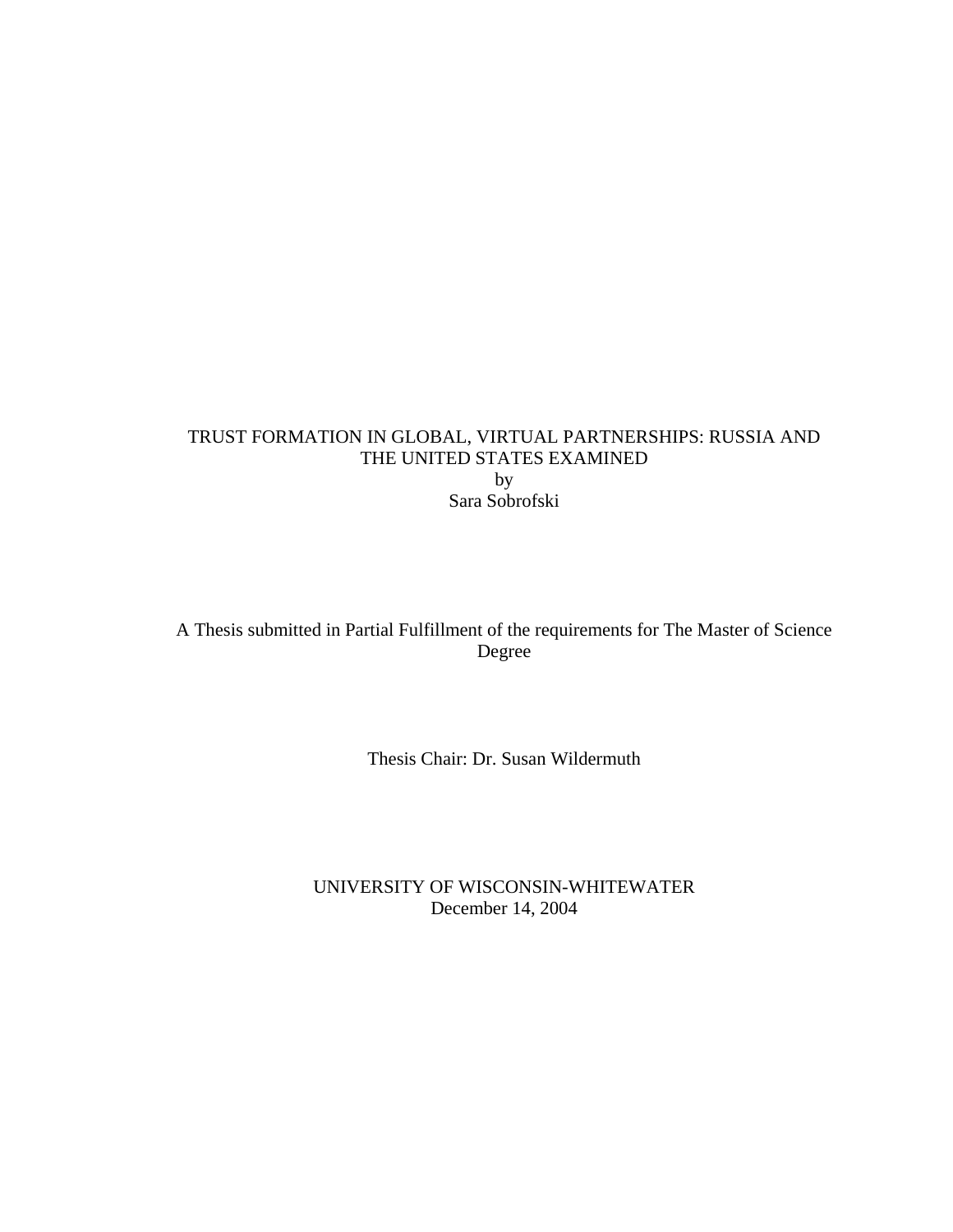## TRUST FORMATION IN GLOBAL, VIRTUAL PARTNERSHIPS: RUSSIA AND THE UNITED STATES EXAMINED by Sara Sobrofski

A Thesis submitted in Partial Fulfillment of the requirements for The Master of Science Degree

Thesis Chair: Dr. Susan Wildermuth

UNIVERSITY OF WISCONSIN-WHITEWATER December 14, 2004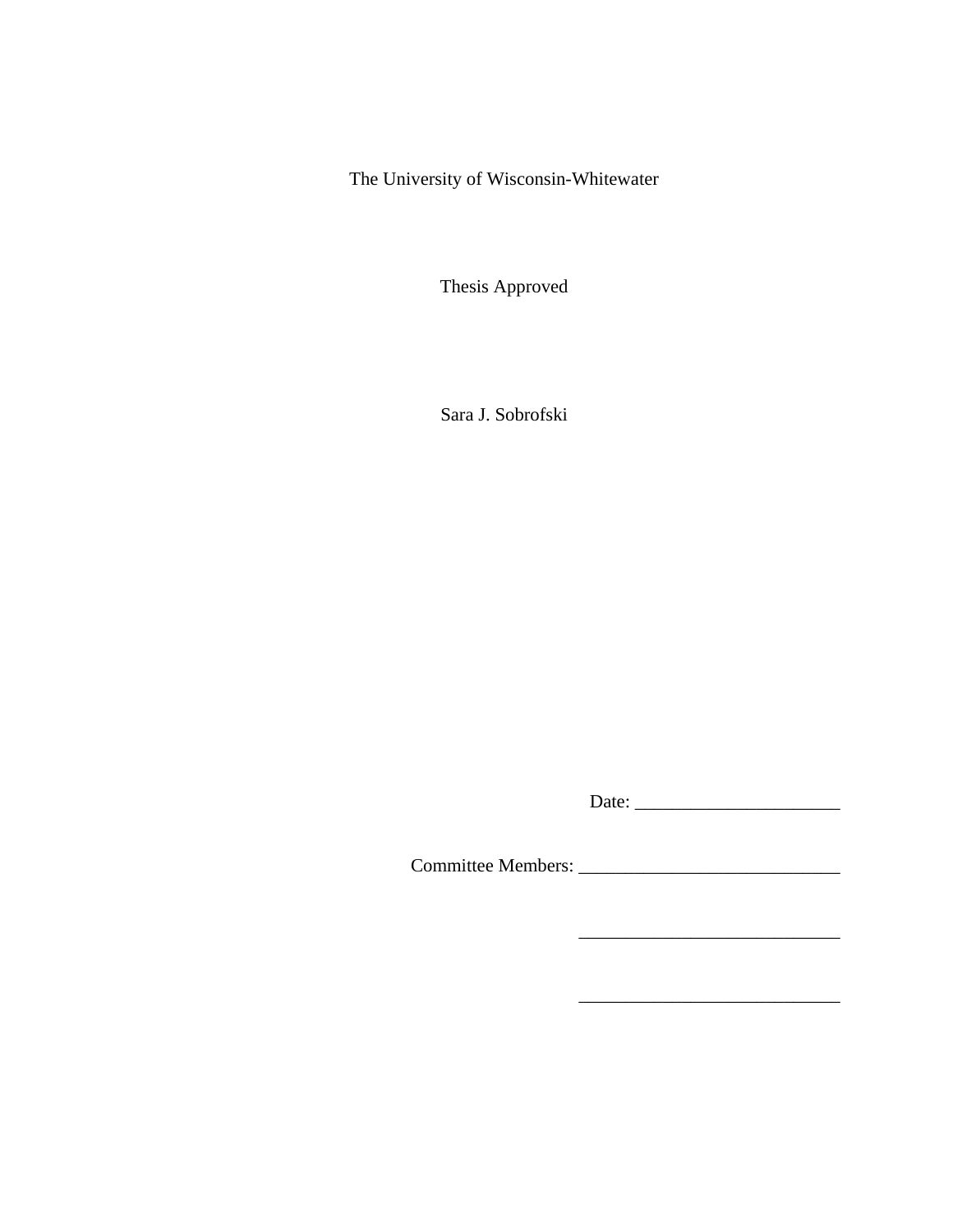The University of Wisconsin-Whitewater

Thesis Approved

Sara J. Sobrofski

Date: \_\_\_\_\_\_\_\_\_\_\_\_\_\_\_\_\_\_\_\_\_\_

\_\_\_\_\_\_\_\_\_\_\_\_\_\_\_\_\_\_\_\_\_\_\_\_\_\_\_\_

\_\_\_\_\_\_\_\_\_\_\_\_\_\_\_\_\_\_\_\_\_\_\_\_\_\_\_\_

Committee Members: \_\_\_\_\_\_\_\_\_\_\_\_\_\_\_\_\_\_\_\_\_\_\_\_\_\_\_\_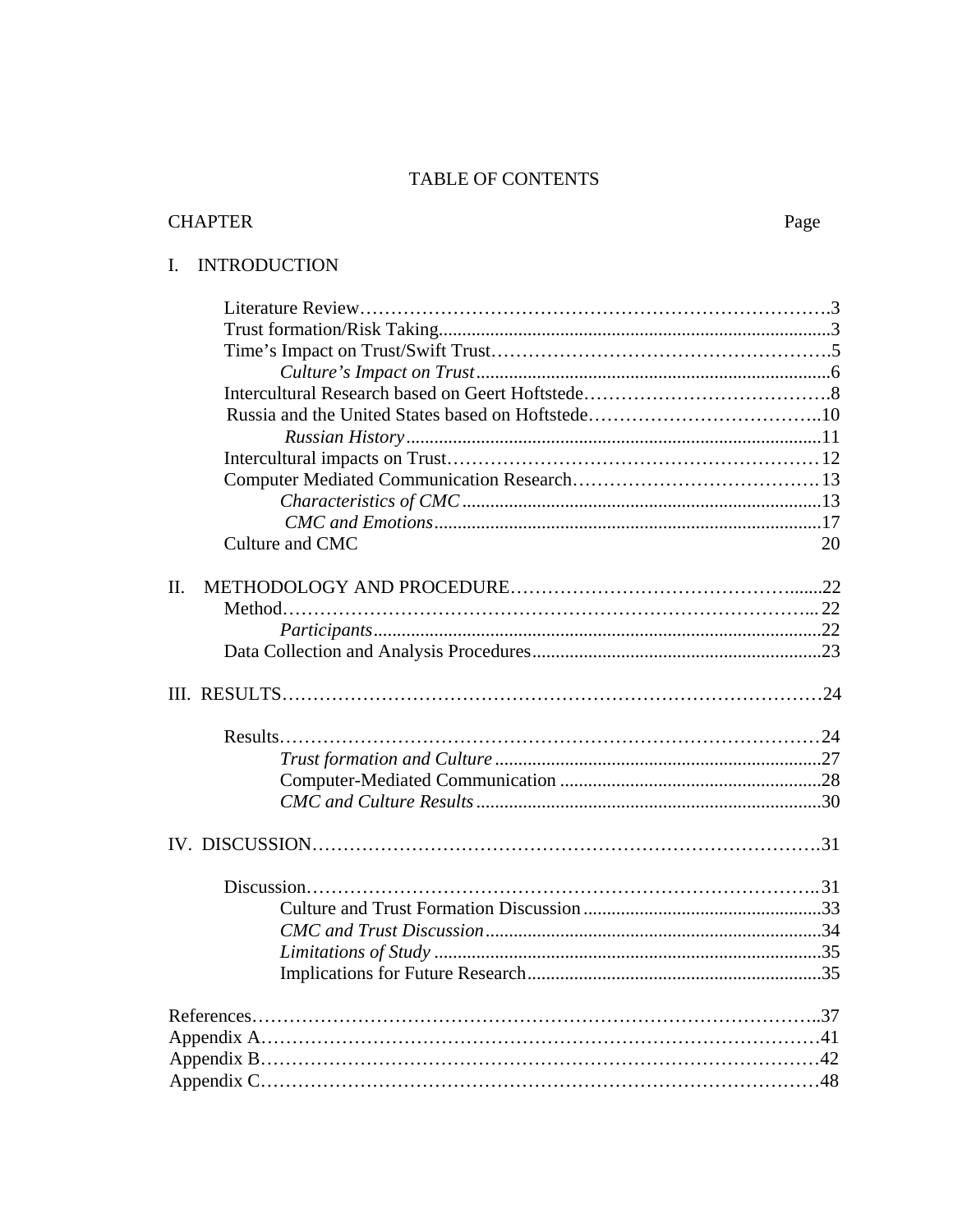## TABLE OF CONTENTS

| <b>TRODUCTION</b> |  |
|-------------------|--|
|                   |  |
|                   |  |
|                   |  |
|                   |  |
|                   |  |
|                   |  |
|                   |  |
|                   |  |
|                   |  |
|                   |  |
|                   |  |

# I. INTRODUC

| Culture and CMC<br>20<br>II. |  |
|------------------------------|--|
|                              |  |
|                              |  |
|                              |  |
|                              |  |
|                              |  |
|                              |  |
|                              |  |
|                              |  |
|                              |  |
|                              |  |
|                              |  |
|                              |  |
|                              |  |
|                              |  |
|                              |  |
|                              |  |
|                              |  |
|                              |  |
|                              |  |
|                              |  |
|                              |  |
|                              |  |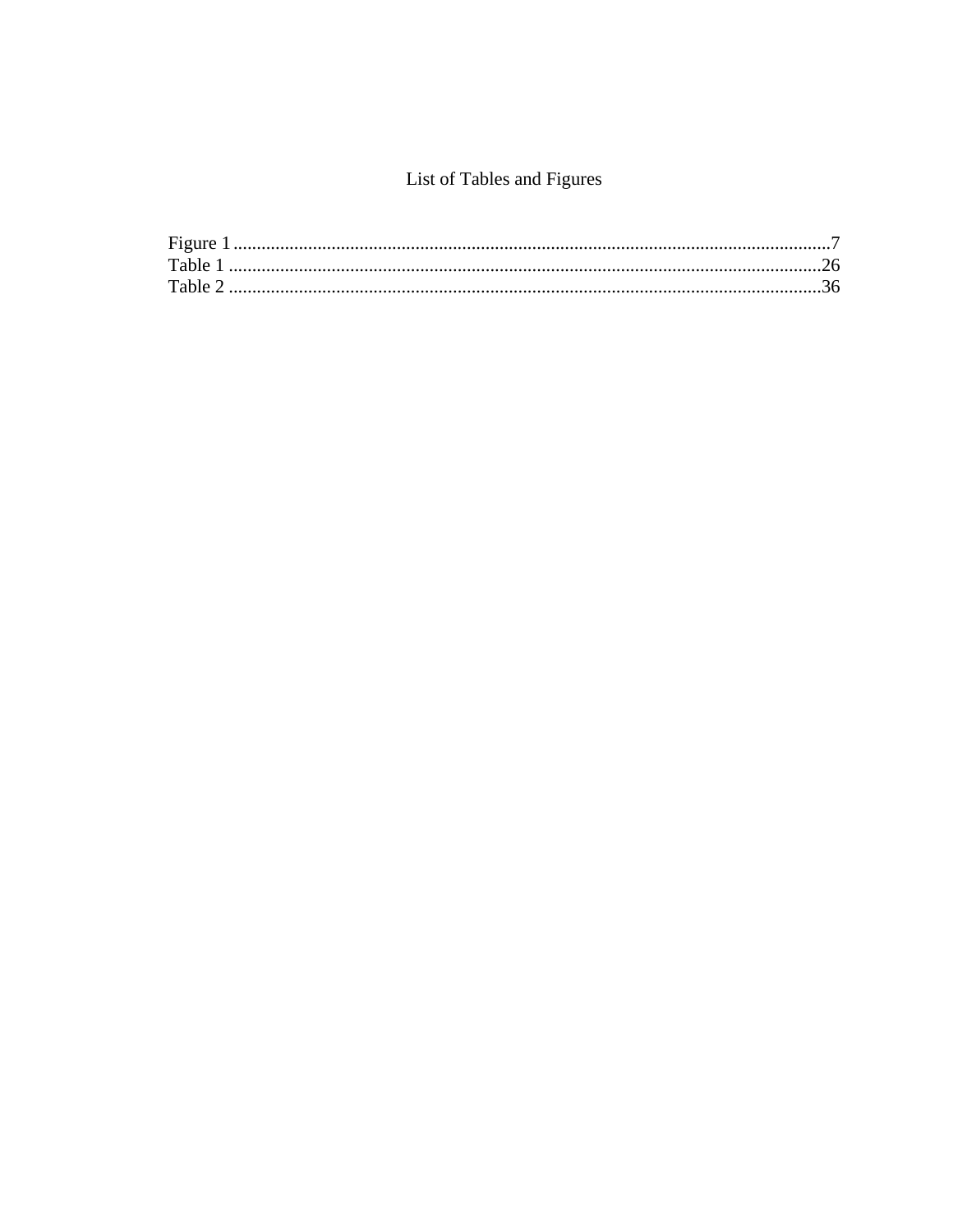# List of Tables and Figures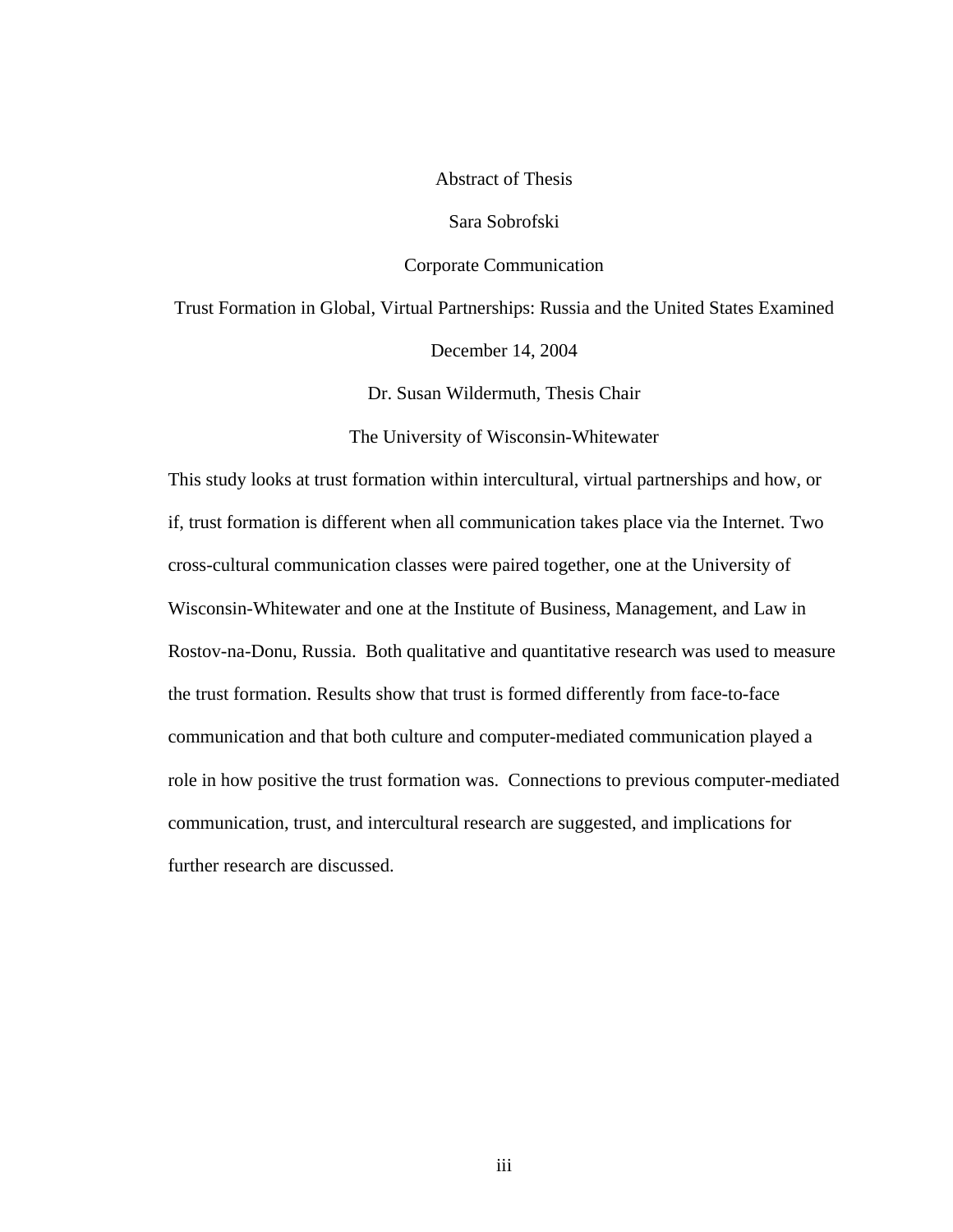## Abstract of Thesis

Sara Sobrofski

#### Corporate Communication

Trust Formation in Global, Virtual Partnerships: Russia and the United States Examined

December 14, 2004

Dr. Susan Wildermuth, Thesis Chair

The University of Wisconsin-Whitewater

This study looks at trust formation within intercultural, virtual partnerships and how, or if, trust formation is different when all communication takes place via the Internet. Two cross-cultural communication classes were paired together, one at the University of Wisconsin-Whitewater and one at the Institute of Business, Management, and Law in Rostov-na-Donu, Russia. Both qualitative and quantitative research was used to measure the trust formation. Results show that trust is formed differently from face-to-face communication and that both culture and computer-mediated communication played a role in how positive the trust formation was. Connections to previous computer-mediated communication, trust, and intercultural research are suggested, and implications for further research are discussed.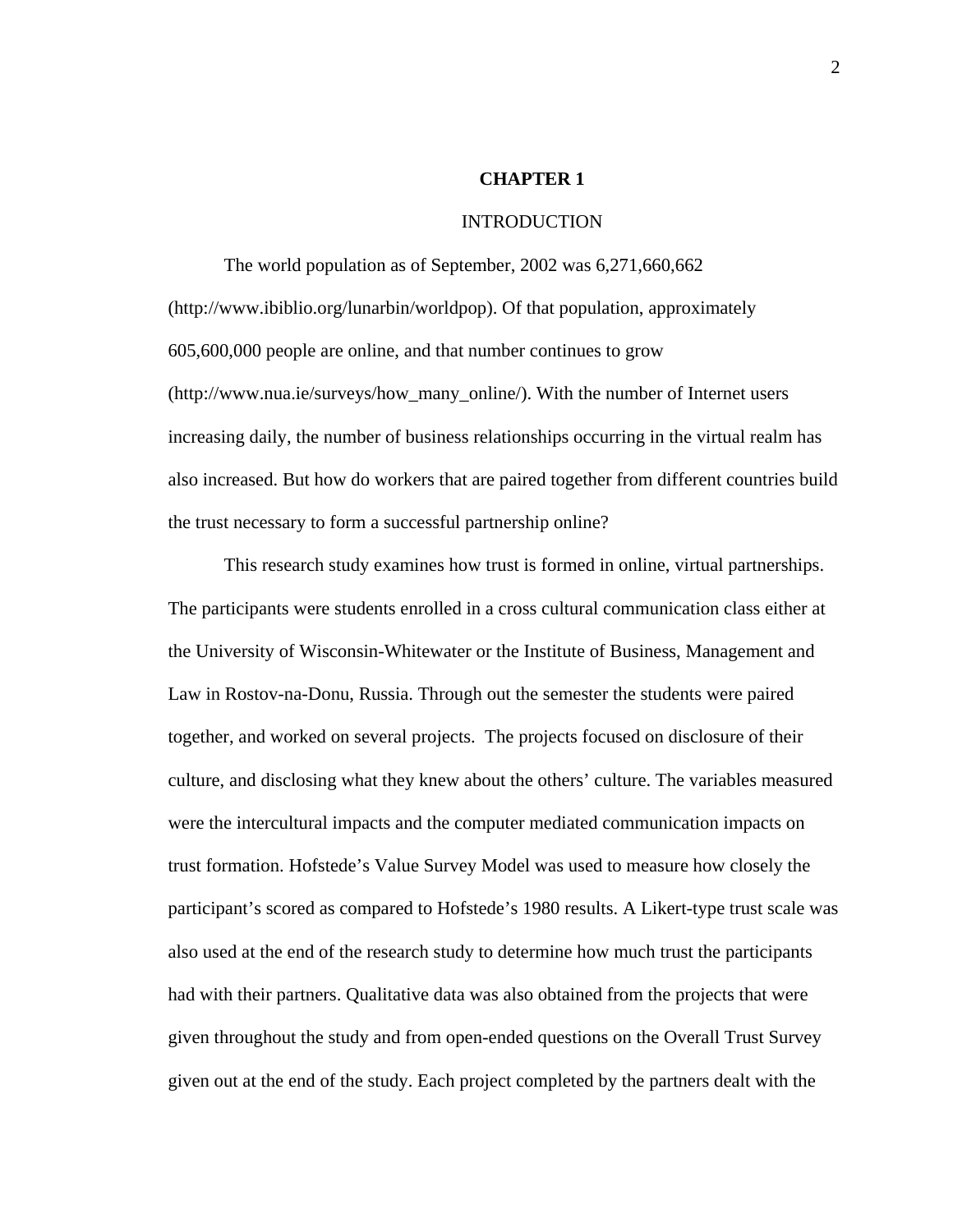## **CHAPTER 1**

#### INTRODUCTION

The world population as of September, 2002 was 6,271,660,662 (http://www.ibiblio.org/lunarbin/worldpop). Of that population, approximately 605,600,000 people are online, and that number continues to grow (http://www.nua.ie/surveys/how\_many\_online/). With the number of Internet users increasing daily, the number of business relationships occurring in the virtual realm has also increased. But how do workers that are paired together from different countries build the trust necessary to form a successful partnership online?

This research study examines how trust is formed in online, virtual partnerships. The participants were students enrolled in a cross cultural communication class either at the University of Wisconsin-Whitewater or the Institute of Business, Management and Law in Rostov-na-Donu, Russia. Through out the semester the students were paired together, and worked on several projects. The projects focused on disclosure of their culture, and disclosing what they knew about the others' culture. The variables measured were the intercultural impacts and the computer mediated communication impacts on trust formation. Hofstede's Value Survey Model was used to measure how closely the participant's scored as compared to Hofstede's 1980 results. A Likert-type trust scale was also used at the end of the research study to determine how much trust the participants had with their partners. Qualitative data was also obtained from the projects that were given throughout the study and from open-ended questions on the Overall Trust Survey given out at the end of the study. Each project completed by the partners dealt with the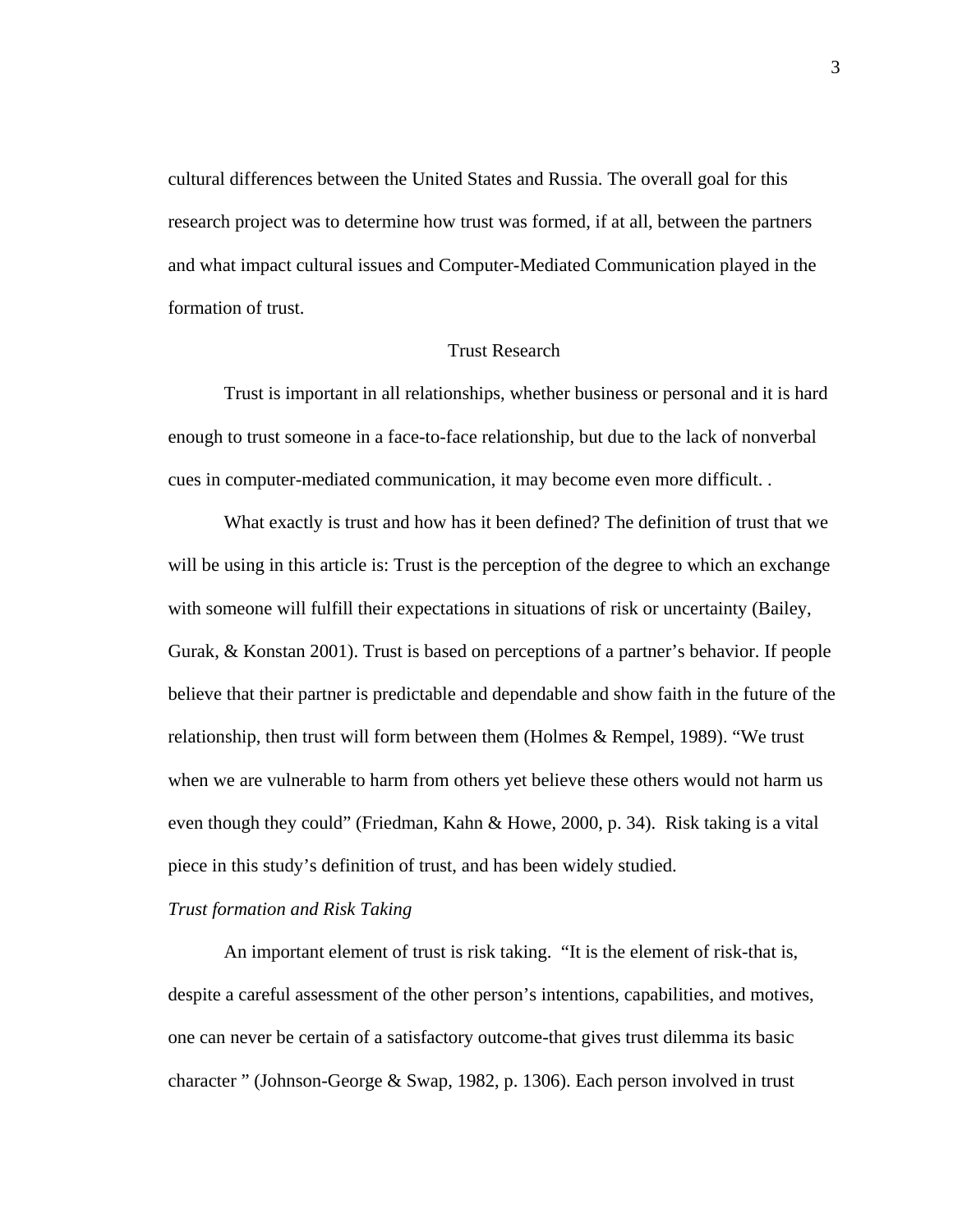cultural differences between the United States and Russia. The overall goal for this research project was to determine how trust was formed, if at all, between the partners and what impact cultural issues and Computer-Mediated Communication played in the formation of trust.

## Trust Research

 Trust is important in all relationships, whether business or personal and it is hard enough to trust someone in a face-to-face relationship, but due to the lack of nonverbal cues in computer-mediated communication, it may become even more difficult. .

 What exactly is trust and how has it been defined? The definition of trust that we will be using in this article is: Trust is the perception of the degree to which an exchange with someone will fulfill their expectations in situations of risk or uncertainty (Bailey, Gurak, & Konstan 2001). Trust is based on perceptions of a partner's behavior. If people believe that their partner is predictable and dependable and show faith in the future of the relationship, then trust will form between them (Holmes & Rempel, 1989). "We trust when we are vulnerable to harm from others yet believe these others would not harm us even though they could" (Friedman, Kahn & Howe, 2000, p. 34). Risk taking is a vital piece in this study's definition of trust, and has been widely studied.

#### *Trust formation and Risk Taking*

 An important element of trust is risk taking. "It is the element of risk-that is, despite a careful assessment of the other person's intentions, capabilities, and motives, one can never be certain of a satisfactory outcome-that gives trust dilemma its basic character " (Johnson-George & Swap, 1982, p. 1306). Each person involved in trust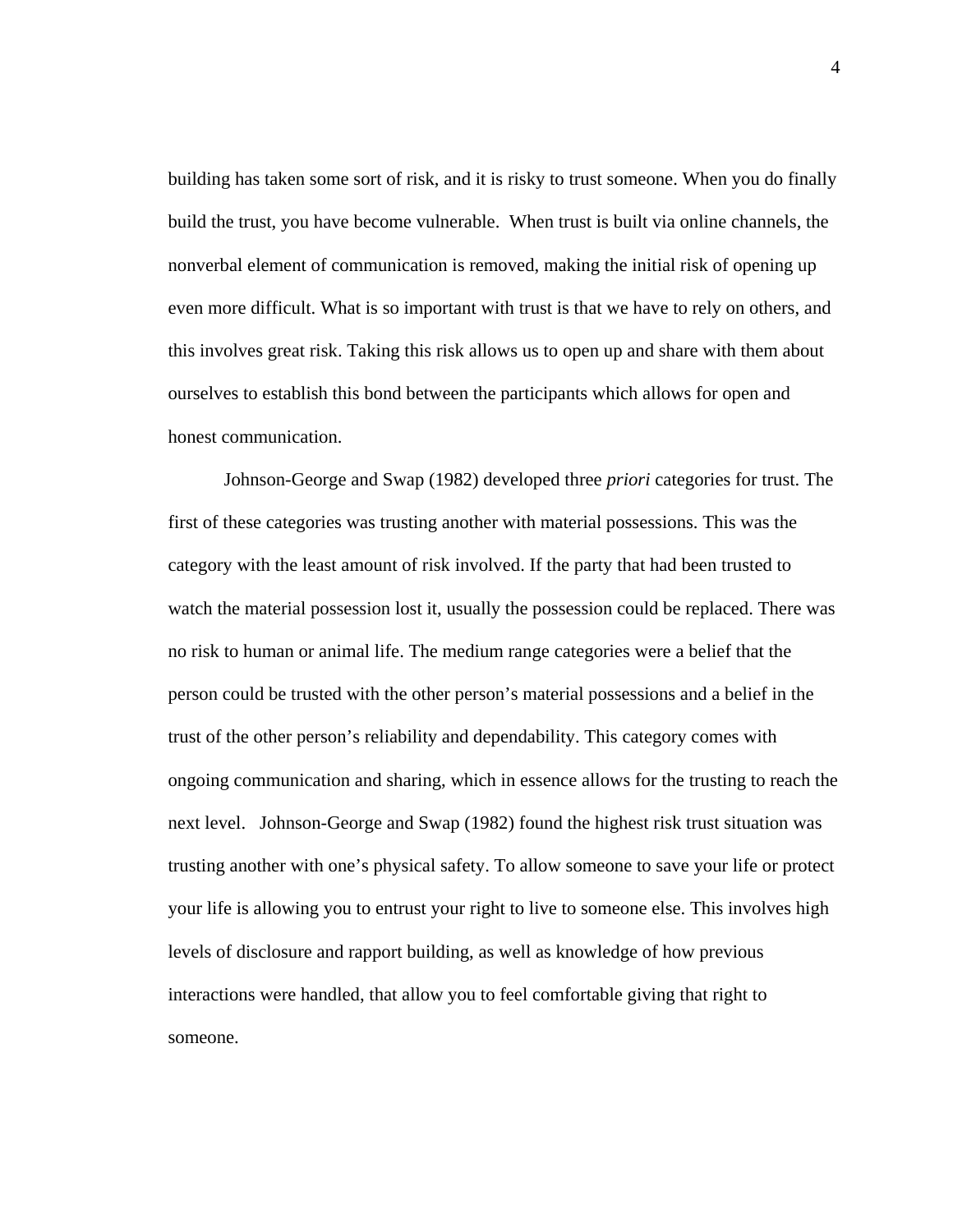building has taken some sort of risk, and it is risky to trust someone. When you do finally build the trust, you have become vulnerable. When trust is built via online channels, the nonverbal element of communication is removed, making the initial risk of opening up even more difficult. What is so important with trust is that we have to rely on others, and this involves great risk. Taking this risk allows us to open up and share with them about ourselves to establish this bond between the participants which allows for open and honest communication.

 Johnson-George and Swap (1982) developed three *priori* categories for trust. The first of these categories was trusting another with material possessions. This was the category with the least amount of risk involved. If the party that had been trusted to watch the material possession lost it, usually the possession could be replaced. There was no risk to human or animal life. The medium range categories were a belief that the person could be trusted with the other person's material possessions and a belief in the trust of the other person's reliability and dependability. This category comes with ongoing communication and sharing, which in essence allows for the trusting to reach the next level. Johnson-George and Swap (1982) found the highest risk trust situation was trusting another with one's physical safety. To allow someone to save your life or protect your life is allowing you to entrust your right to live to someone else. This involves high levels of disclosure and rapport building, as well as knowledge of how previous interactions were handled, that allow you to feel comfortable giving that right to someone.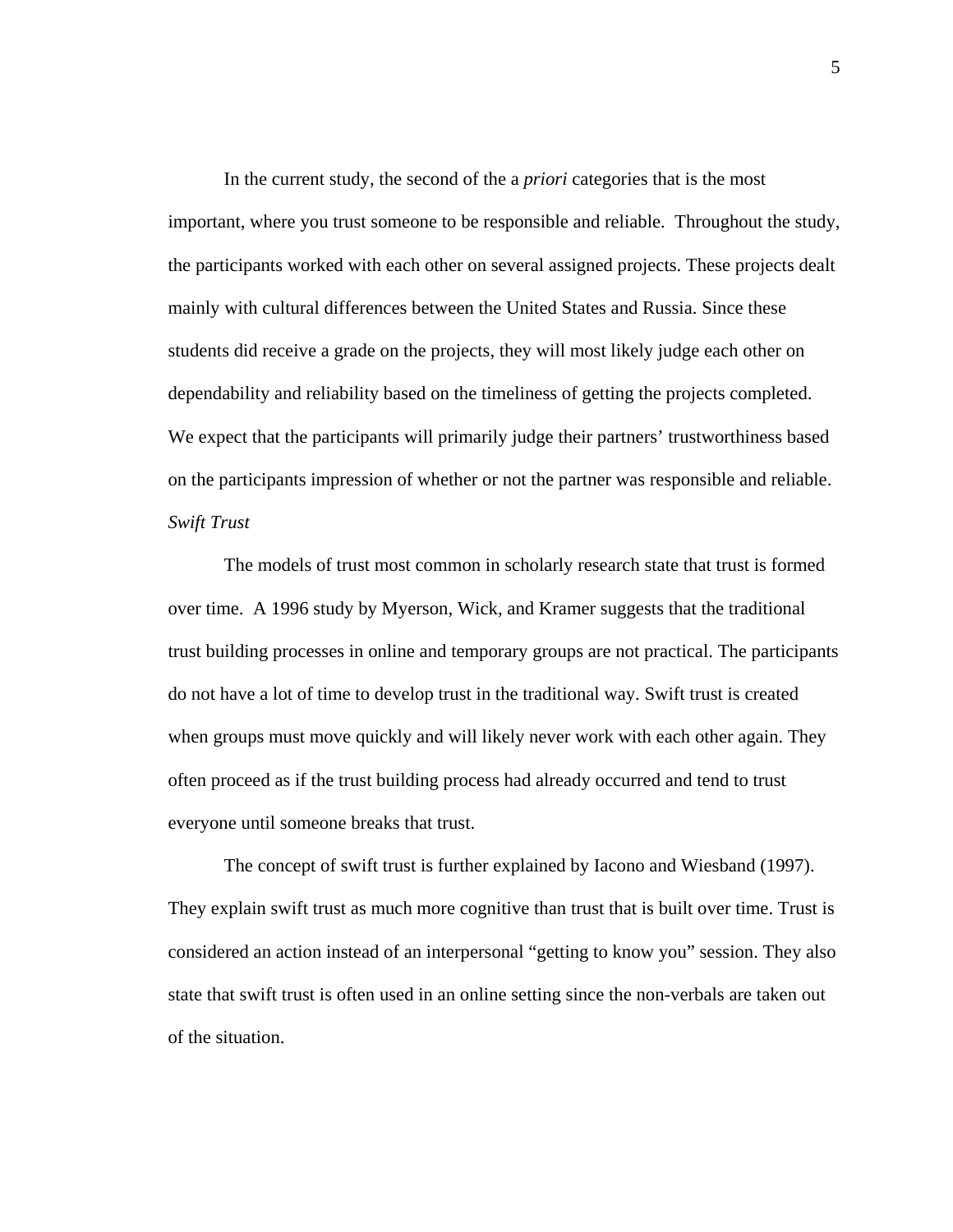In the current study, the second of the a *priori* categories that is the most important, where you trust someone to be responsible and reliable. Throughout the study, the participants worked with each other on several assigned projects. These projects dealt mainly with cultural differences between the United States and Russia. Since these students did receive a grade on the projects, they will most likely judge each other on dependability and reliability based on the timeliness of getting the projects completed. We expect that the participants will primarily judge their partners' trustworthiness based on the participants impression of whether or not the partner was responsible and reliable. *Swift Trust* 

 The models of trust most common in scholarly research state that trust is formed over time. A 1996 study by Myerson, Wick, and Kramer suggests that the traditional trust building processes in online and temporary groups are not practical. The participants do not have a lot of time to develop trust in the traditional way. Swift trust is created when groups must move quickly and will likely never work with each other again. They often proceed as if the trust building process had already occurred and tend to trust everyone until someone breaks that trust.

 The concept of swift trust is further explained by Iacono and Wiesband (1997). They explain swift trust as much more cognitive than trust that is built over time. Trust is considered an action instead of an interpersonal "getting to know you" session. They also state that swift trust is often used in an online setting since the non-verbals are taken out of the situation.

5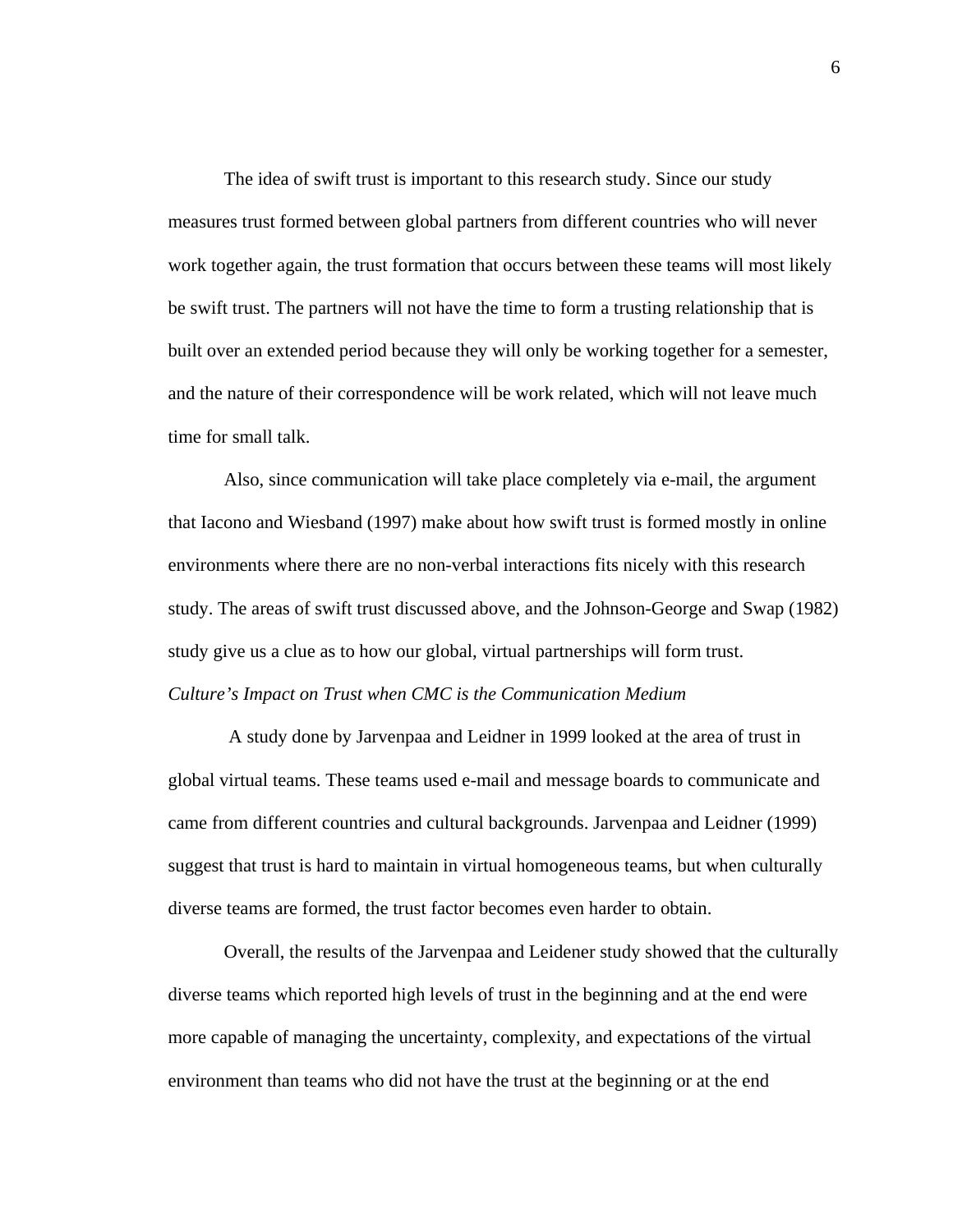The idea of swift trust is important to this research study. Since our study measures trust formed between global partners from different countries who will never work together again, the trust formation that occurs between these teams will most likely be swift trust. The partners will not have the time to form a trusting relationship that is built over an extended period because they will only be working together for a semester, and the nature of their correspondence will be work related, which will not leave much time for small talk.

 Also, since communication will take place completely via e-mail, the argument that Iacono and Wiesband (1997) make about how swift trust is formed mostly in online environments where there are no non-verbal interactions fits nicely with this research study. The areas of swift trust discussed above, and the Johnson-George and Swap (1982) study give us a clue as to how our global, virtual partnerships will form trust. *Culture's Impact on Trust when CMC is the Communication Medium* 

 A study done by Jarvenpaa and Leidner in 1999 looked at the area of trust in global virtual teams. These teams used e-mail and message boards to communicate and came from different countries and cultural backgrounds. Jarvenpaa and Leidner (1999) suggest that trust is hard to maintain in virtual homogeneous teams, but when culturally diverse teams are formed, the trust factor becomes even harder to obtain.

Overall, the results of the Jarvenpaa and Leidener study showed that the culturally diverse teams which reported high levels of trust in the beginning and at the end were more capable of managing the uncertainty, complexity, and expectations of the virtual environment than teams who did not have the trust at the beginning or at the end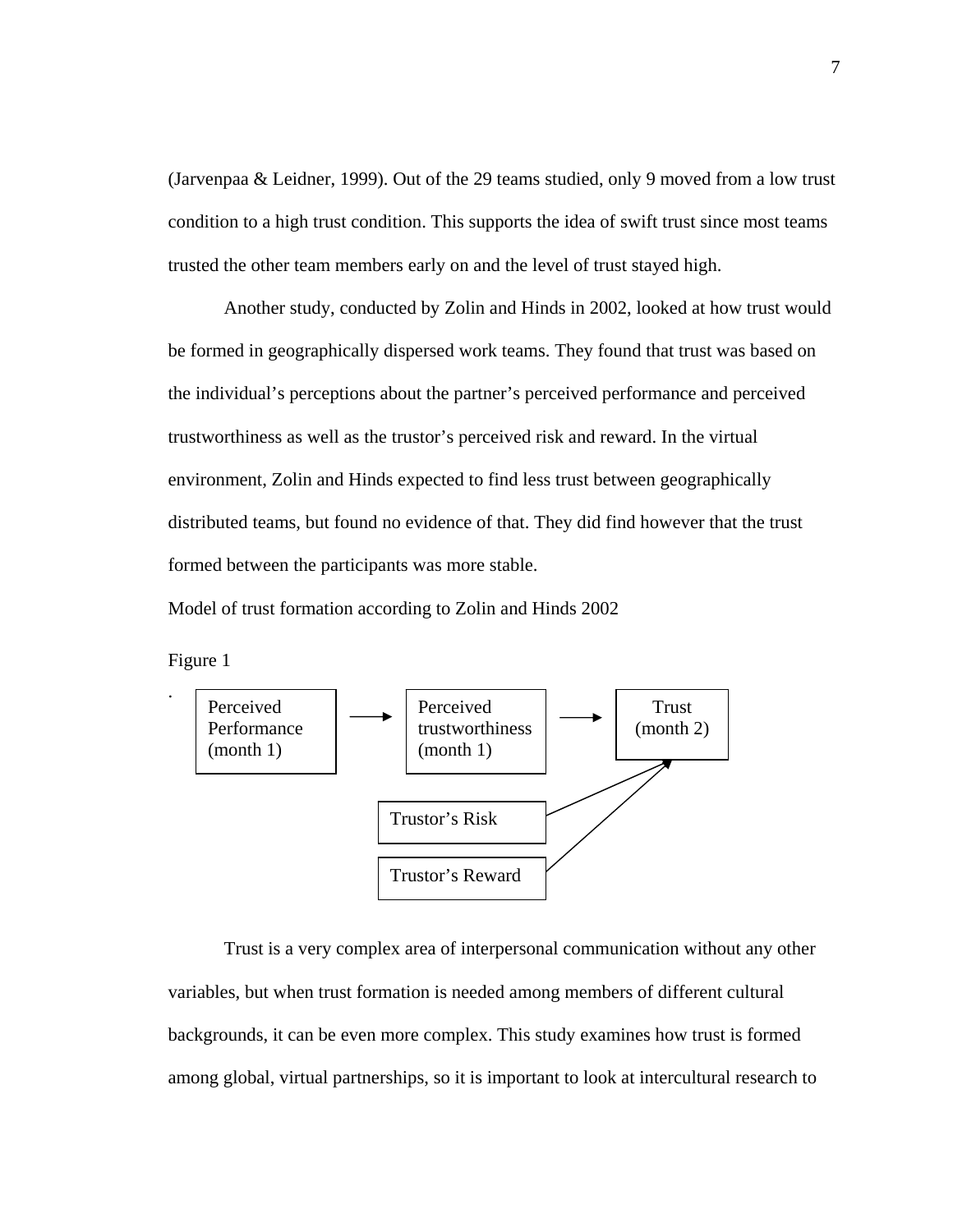(Jarvenpaa & Leidner, 1999). Out of the 29 teams studied, only 9 moved from a low trust condition to a high trust condition. This supports the idea of swift trust since most teams trusted the other team members early on and the level of trust stayed high.

Another study, conducted by Zolin and Hinds in 2002, looked at how trust would be formed in geographically dispersed work teams. They found that trust was based on the individual's perceptions about the partner's perceived performance and perceived trustworthiness as well as the trustor's perceived risk and reward. In the virtual environment, Zolin and Hinds expected to find less trust between geographically distributed teams, but found no evidence of that. They did find however that the trust formed between the participants was more stable.

Model of trust formation according to Zolin and Hinds 2002

Figure 1



Trust is a very complex area of interpersonal communication without any other variables, but when trust formation is needed among members of different cultural backgrounds, it can be even more complex. This study examines how trust is formed among global, virtual partnerships, so it is important to look at intercultural research to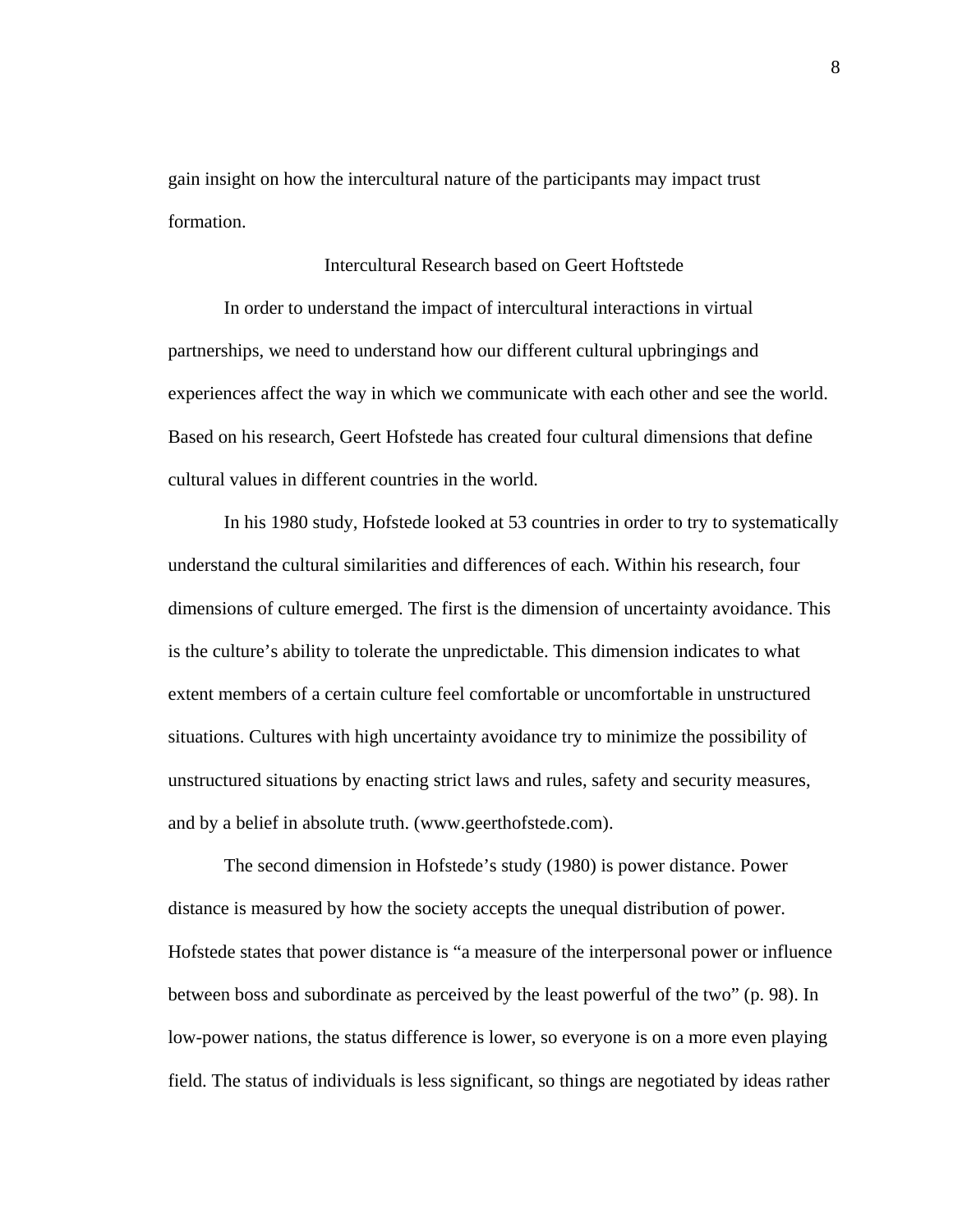gain insight on how the intercultural nature of the participants may impact trust formation.

## Intercultural Research based on Geert Hoftstede

In order to understand the impact of intercultural interactions in virtual partnerships, we need to understand how our different cultural upbringings and experiences affect the way in which we communicate with each other and see the world. Based on his research, Geert Hofstede has created four cultural dimensions that define cultural values in different countries in the world.

In his 1980 study, Hofstede looked at 53 countries in order to try to systematically understand the cultural similarities and differences of each. Within his research, four dimensions of culture emerged. The first is the dimension of uncertainty avoidance. This is the culture's ability to tolerate the unpredictable. This dimension indicates to what extent members of a certain culture feel comfortable or uncomfortable in unstructured situations. Cultures with high uncertainty avoidance try to minimize the possibility of unstructured situations by enacting strict laws and rules, safety and security measures, and by a belief in absolute truth. (www.geerthofstede.com).

The second dimension in Hofstede's study (1980) is power distance. Power distance is measured by how the society accepts the unequal distribution of power. Hofstede states that power distance is "a measure of the interpersonal power or influence between boss and subordinate as perceived by the least powerful of the two" (p. 98). In low-power nations, the status difference is lower, so everyone is on a more even playing field. The status of individuals is less significant, so things are negotiated by ideas rather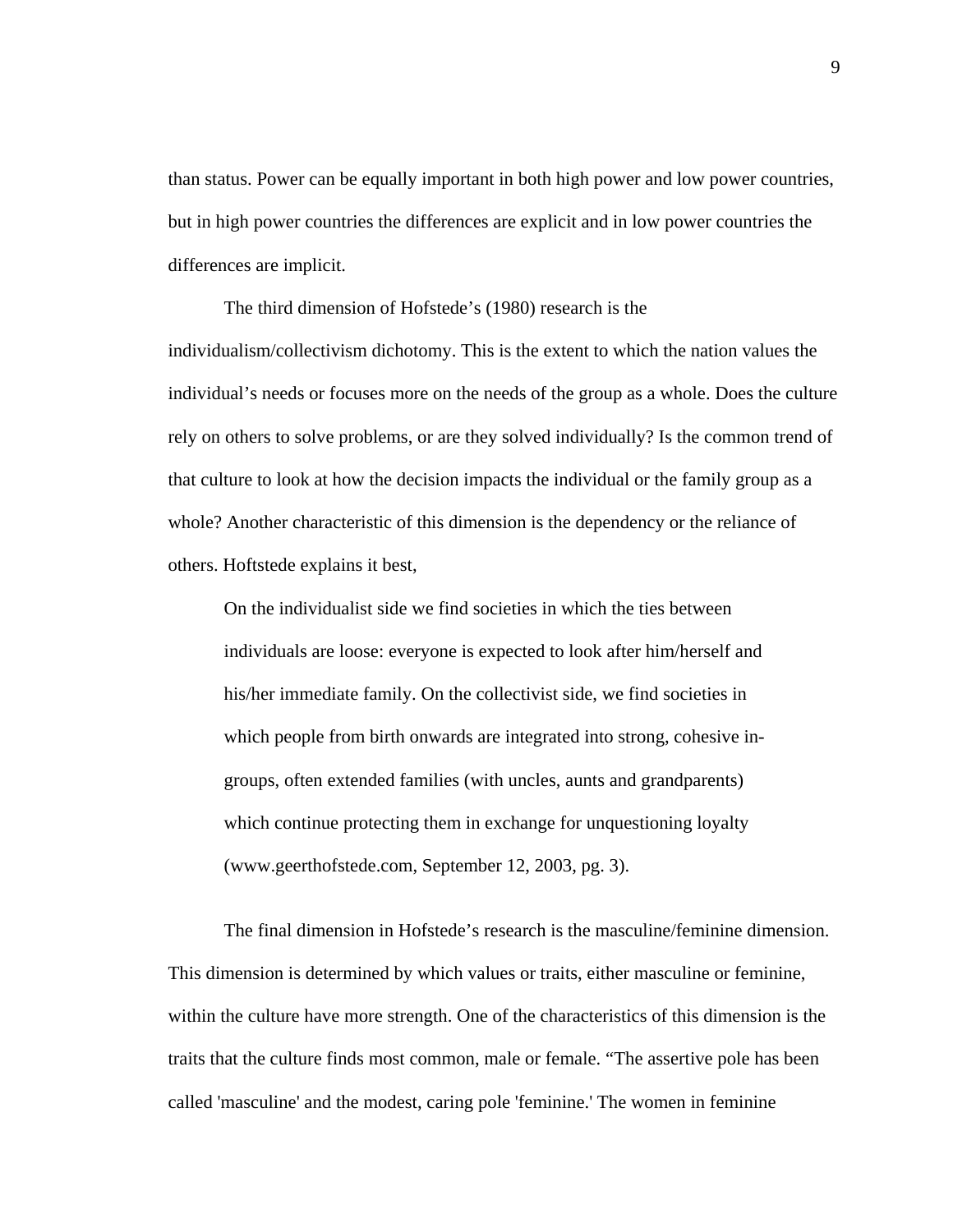than status. Power can be equally important in both high power and low power countries, but in high power countries the differences are explicit and in low power countries the differences are implicit.

The third dimension of Hofstede's (1980) research is the individualism/collectivism dichotomy. This is the extent to which the nation values the individual's needs or focuses more on the needs of the group as a whole. Does the culture rely on others to solve problems, or are they solved individually? Is the common trend of that culture to look at how the decision impacts the individual or the family group as a whole? Another characteristic of this dimension is the dependency or the reliance of others. Hoftstede explains it best,

On the individualist side we find societies in which the ties between individuals are loose: everyone is expected to look after him/herself and his/her immediate family. On the collectivist side, we find societies in which people from birth onwards are integrated into strong, cohesive ingroups, often extended families (with uncles, aunts and grandparents) which continue protecting them in exchange for unquestioning loyalty (www.geerthofstede.com, September 12, 2003, pg. 3).

The final dimension in Hofstede's research is the masculine/feminine dimension. This dimension is determined by which values or traits, either masculine or feminine, within the culture have more strength. One of the characteristics of this dimension is the traits that the culture finds most common, male or female. "The assertive pole has been called 'masculine' and the modest, caring pole 'feminine.' The women in feminine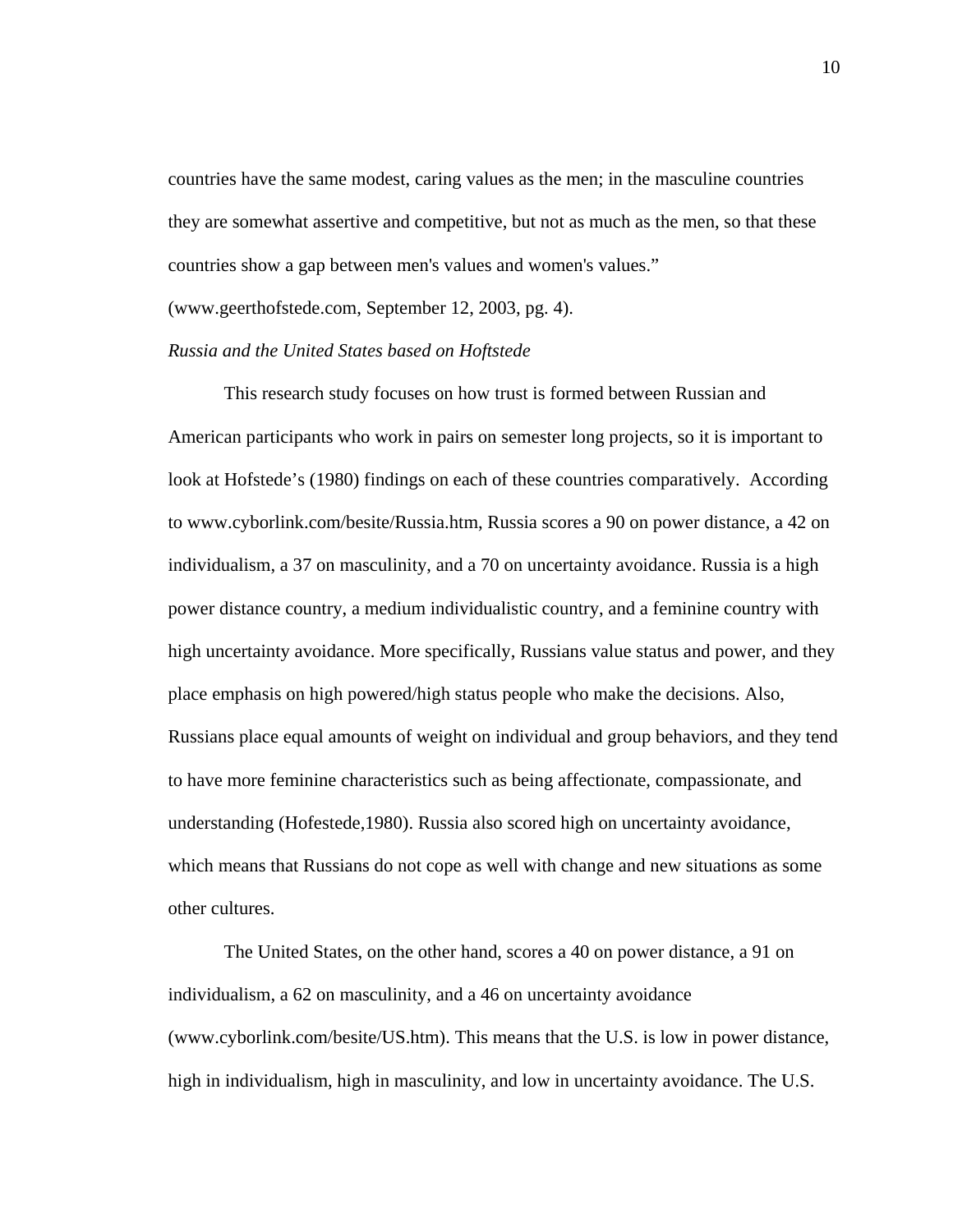countries have the same modest, caring values as the men; in the masculine countries they are somewhat assertive and competitive, but not as much as the men, so that these countries show a gap between men's values and women's values."

(www.geerthofstede.com, September 12, 2003, pg. 4).

## *Russia and the United States based on Hoftstede*

This research study focuses on how trust is formed between Russian and American participants who work in pairs on semester long projects, so it is important to look at Hofstede's (1980) findings on each of these countries comparatively. According to www.cyborlink.com/besite/Russia.htm, Russia scores a 90 on power distance, a 42 on individualism, a 37 on masculinity, and a 70 on uncertainty avoidance. Russia is a high power distance country, a medium individualistic country, and a feminine country with high uncertainty avoidance. More specifically, Russians value status and power, and they place emphasis on high powered/high status people who make the decisions. Also, Russians place equal amounts of weight on individual and group behaviors, and they tend to have more feminine characteristics such as being affectionate, compassionate, and understanding (Hofestede,1980). Russia also scored high on uncertainty avoidance, which means that Russians do not cope as well with change and new situations as some other cultures.

 The United States, on the other hand, scores a 40 on power distance, a 91 on individualism, a 62 on masculinity, and a 46 on uncertainty avoidance (www.cyborlink.com/besite/US.htm). This means that the U.S. is low in power distance, high in individualism, high in masculinity, and low in uncertainty avoidance. The U.S.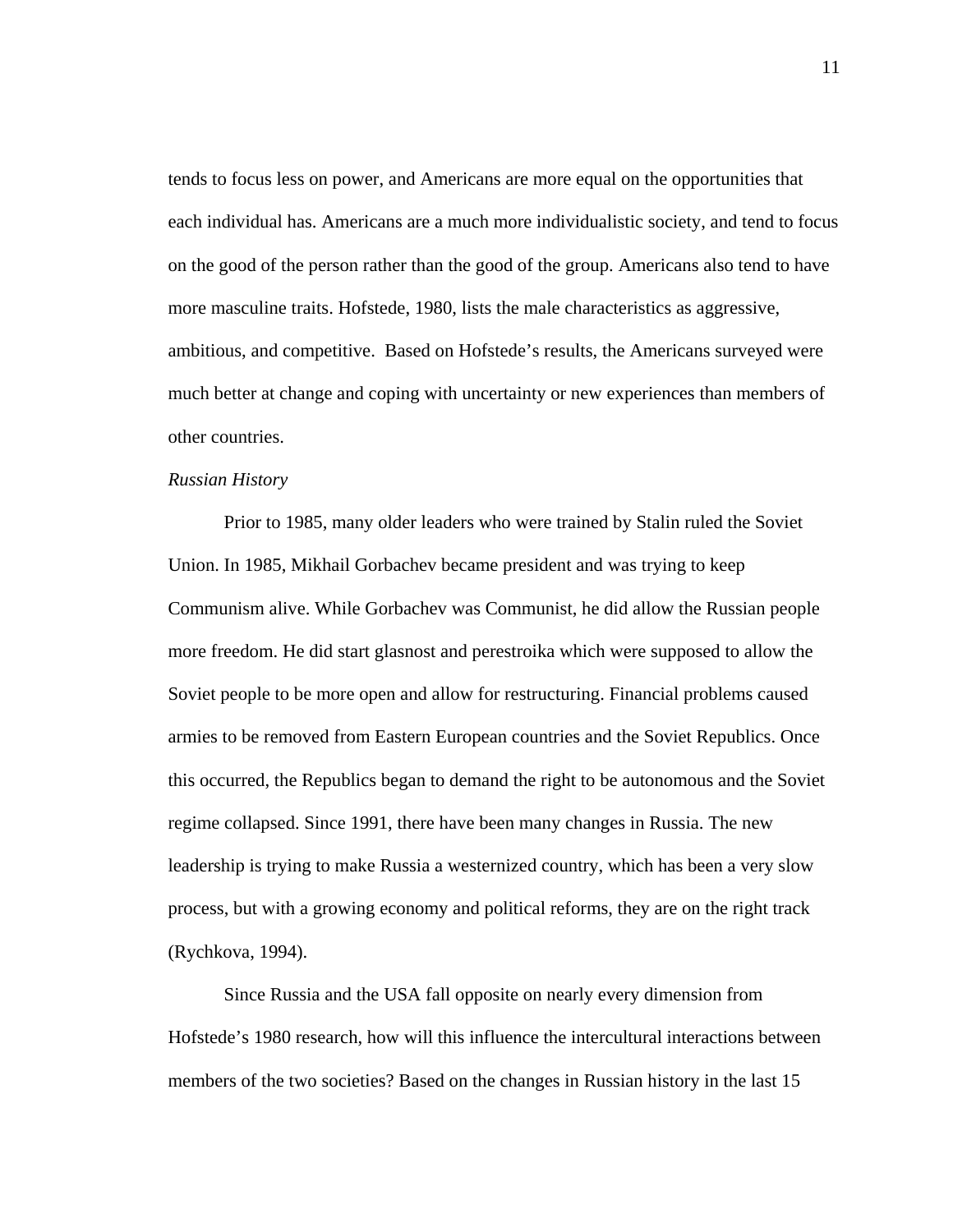tends to focus less on power, and Americans are more equal on the opportunities that each individual has. Americans are a much more individualistic society, and tend to focus on the good of the person rather than the good of the group. Americans also tend to have more masculine traits. Hofstede, 1980, lists the male characteristics as aggressive, ambitious, and competitive. Based on Hofstede's results, the Americans surveyed were much better at change and coping with uncertainty or new experiences than members of other countries.

#### *Russian History*

 Prior to 1985, many older leaders who were trained by Stalin ruled the Soviet Union. In 1985, Mikhail Gorbachev became president and was trying to keep Communism alive. While Gorbachev was Communist, he did allow the Russian people more freedom. He did start glasnost and perestroika which were supposed to allow the Soviet people to be more open and allow for restructuring. Financial problems caused armies to be removed from Eastern European countries and the Soviet Republics. Once this occurred, the Republics began to demand the right to be autonomous and the Soviet regime collapsed. Since 1991, there have been many changes in Russia. The new leadership is trying to make Russia a westernized country, which has been a very slow process, but with a growing economy and political reforms, they are on the right track (Rychkova, 1994).

Since Russia and the USA fall opposite on nearly every dimension from Hofstede's 1980 research, how will this influence the intercultural interactions between members of the two societies? Based on the changes in Russian history in the last 15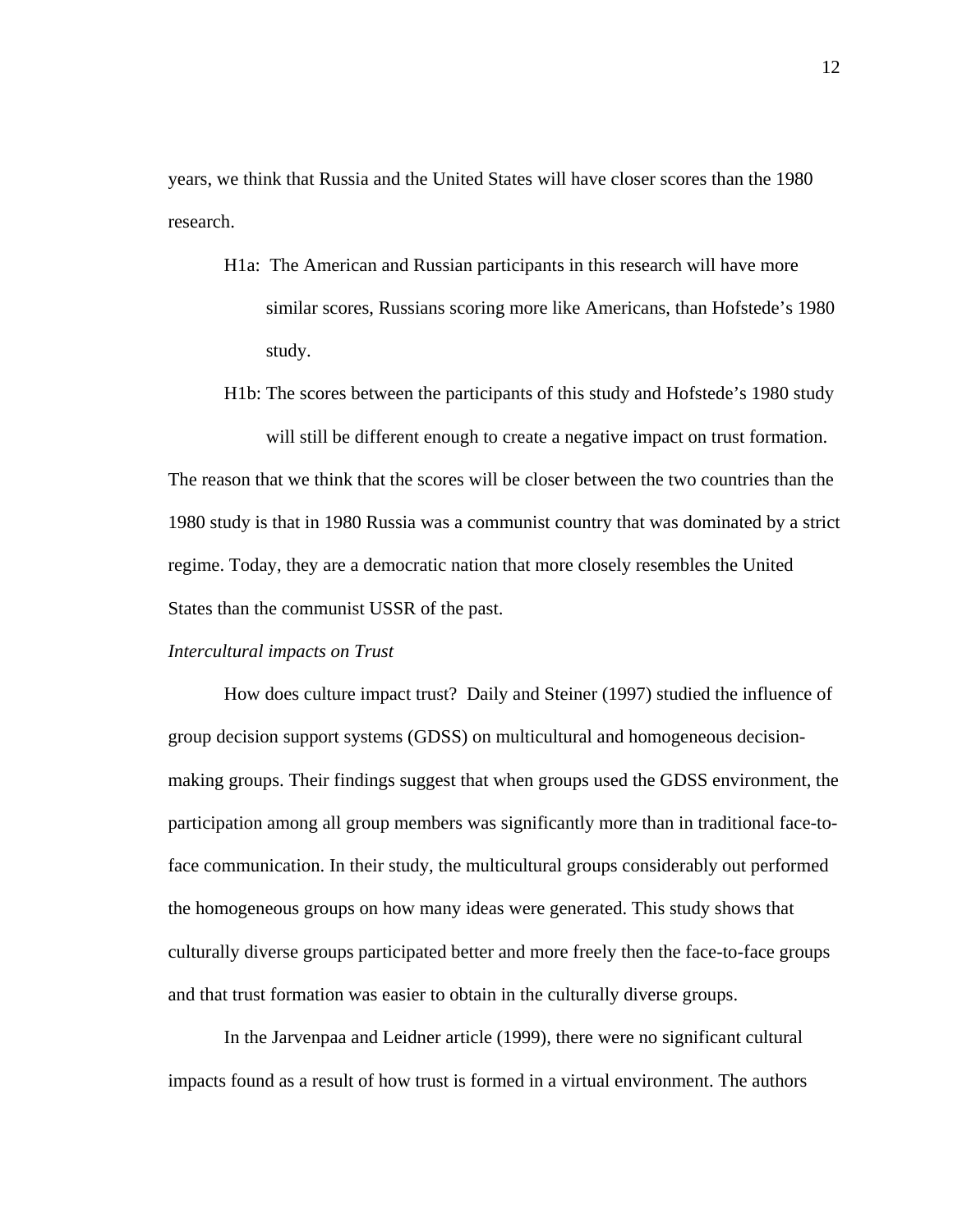years, we think that Russia and the United States will have closer scores than the 1980 research.

- H1a: The American and Russian participants in this research will have more similar scores, Russians scoring more like Americans, than Hofstede's 1980 study.
- H1b: The scores between the participants of this study and Hofstede's 1980 study will still be different enough to create a negative impact on trust formation.

The reason that we think that the scores will be closer between the two countries than the 1980 study is that in 1980 Russia was a communist country that was dominated by a strict regime. Today, they are a democratic nation that more closely resembles the United States than the communist USSR of the past.

#### *Intercultural impacts on Trust*

 How does culture impact trust? Daily and Steiner (1997) studied the influence of group decision support systems (GDSS) on multicultural and homogeneous decisionmaking groups. Their findings suggest that when groups used the GDSS environment, the participation among all group members was significantly more than in traditional face-toface communication. In their study, the multicultural groups considerably out performed the homogeneous groups on how many ideas were generated. This study shows that culturally diverse groups participated better and more freely then the face-to-face groups and that trust formation was easier to obtain in the culturally diverse groups.

 In the Jarvenpaa and Leidner article (1999), there were no significant cultural impacts found as a result of how trust is formed in a virtual environment. The authors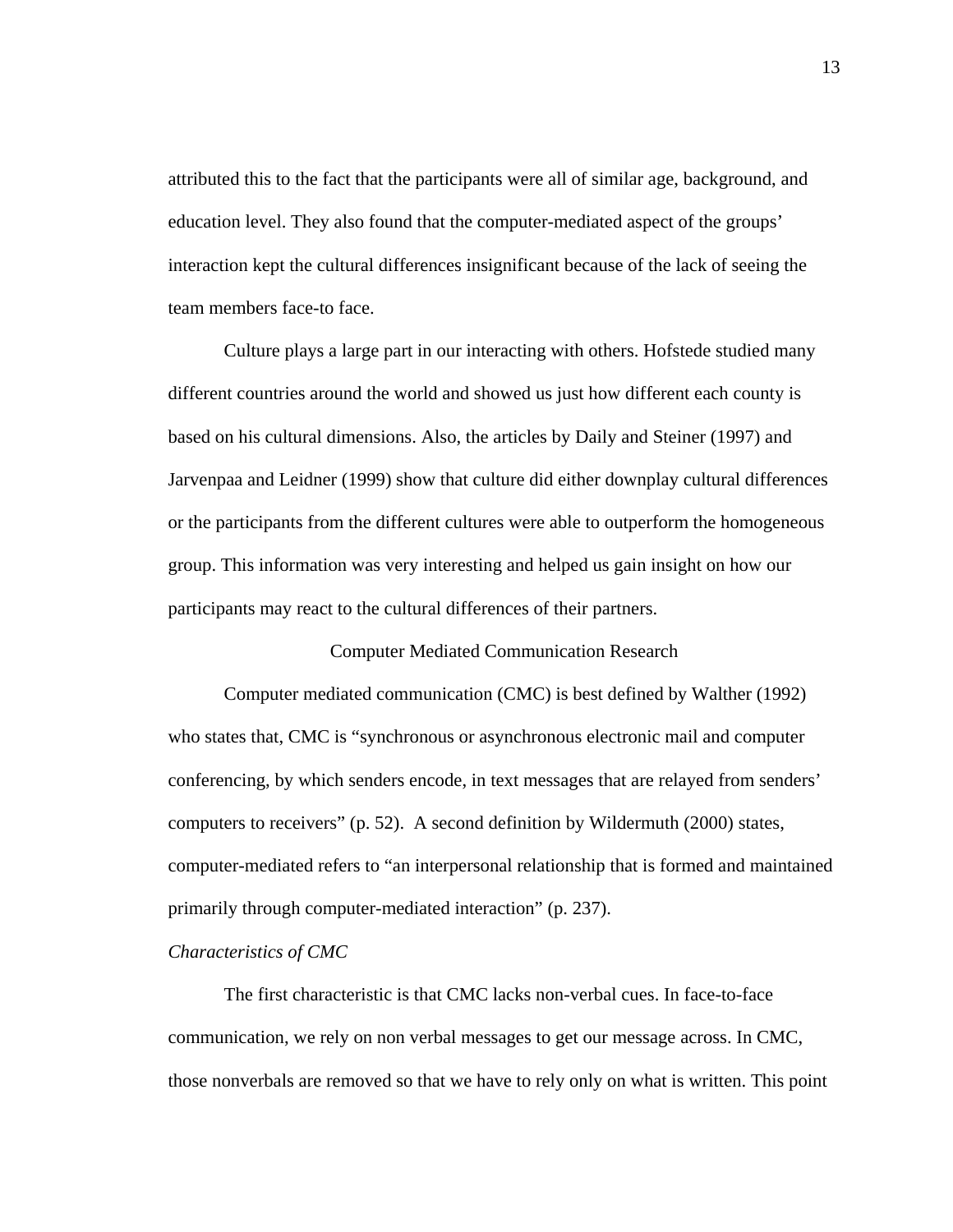attributed this to the fact that the participants were all of similar age, background, and education level. They also found that the computer-mediated aspect of the groups' interaction kept the cultural differences insignificant because of the lack of seeing the team members face-to face.

 Culture plays a large part in our interacting with others. Hofstede studied many different countries around the world and showed us just how different each county is based on his cultural dimensions. Also, the articles by Daily and Steiner (1997) and Jarvenpaa and Leidner (1999) show that culture did either downplay cultural differences or the participants from the different cultures were able to outperform the homogeneous group. This information was very interesting and helped us gain insight on how our participants may react to the cultural differences of their partners.

#### Computer Mediated Communication Research

 Computer mediated communication (CMC) is best defined by Walther (1992) who states that, CMC is "synchronous or asynchronous electronic mail and computer conferencing, by which senders encode, in text messages that are relayed from senders' computers to receivers" (p. 52). A second definition by Wildermuth (2000) states, computer-mediated refers to "an interpersonal relationship that is formed and maintained primarily through computer-mediated interaction" (p. 237).

#### *Characteristics of CMC*

The first characteristic is that CMC lacks non-verbal cues. In face-to-face communication, we rely on non verbal messages to get our message across. In CMC, those nonverbals are removed so that we have to rely only on what is written. This point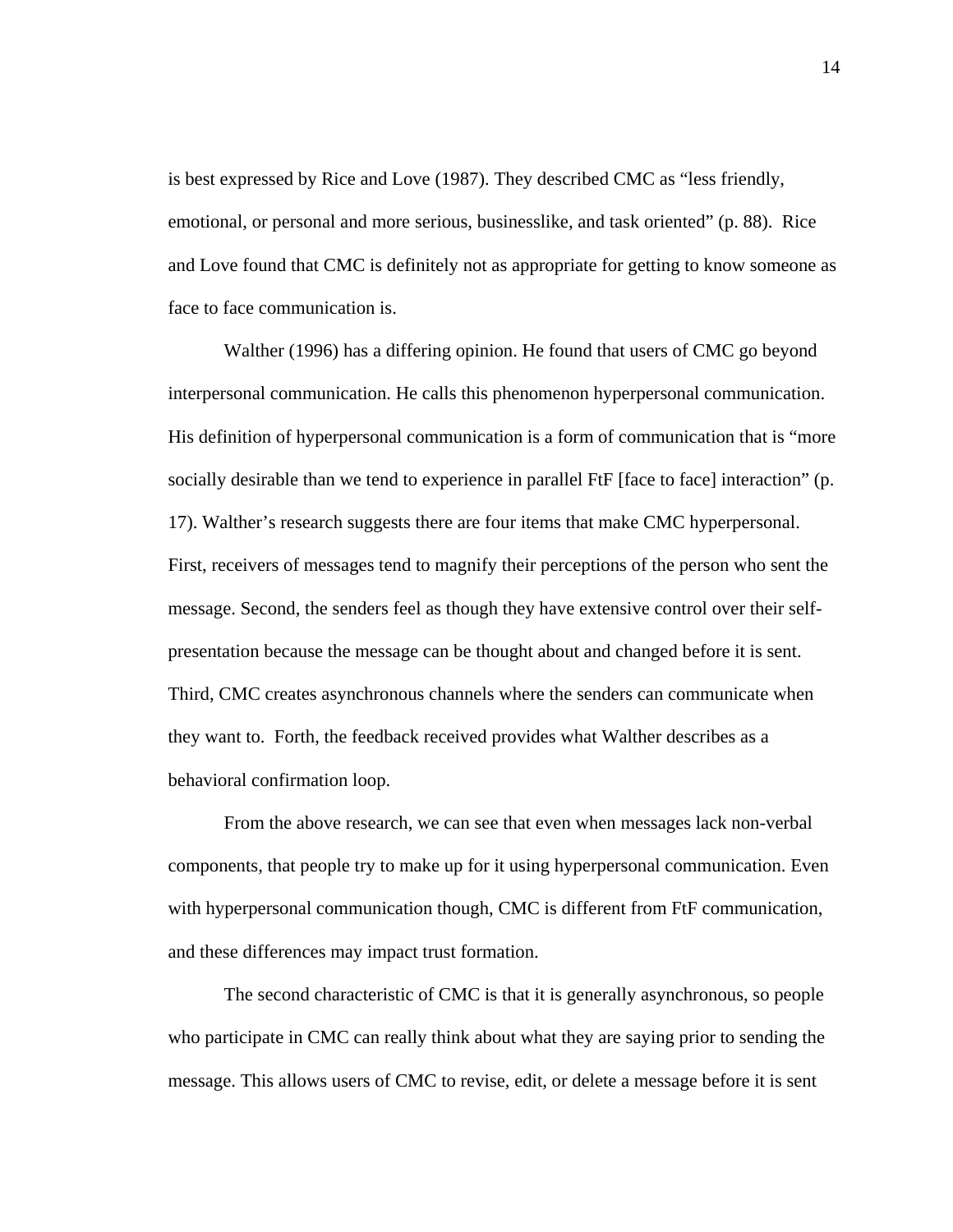is best expressed by Rice and Love (1987). They described CMC as "less friendly, emotional, or personal and more serious, businesslike, and task oriented" (p. 88). Rice and Love found that CMC is definitely not as appropriate for getting to know someone as face to face communication is.

Walther (1996) has a differing opinion. He found that users of CMC go beyond interpersonal communication. He calls this phenomenon hyperpersonal communication. His definition of hyperpersonal communication is a form of communication that is "more socially desirable than we tend to experience in parallel FtF [face to face] interaction" (p. 17). Walther's research suggests there are four items that make CMC hyperpersonal. First, receivers of messages tend to magnify their perceptions of the person who sent the message. Second, the senders feel as though they have extensive control over their selfpresentation because the message can be thought about and changed before it is sent. Third, CMC creates asynchronous channels where the senders can communicate when they want to. Forth, the feedback received provides what Walther describes as a behavioral confirmation loop.

 From the above research, we can see that even when messages lack non-verbal components, that people try to make up for it using hyperpersonal communication. Even with hyperpersonal communication though, CMC is different from FtF communication, and these differences may impact trust formation.

 The second characteristic of CMC is that it is generally asynchronous, so people who participate in CMC can really think about what they are saying prior to sending the message. This allows users of CMC to revise, edit, or delete a message before it is sent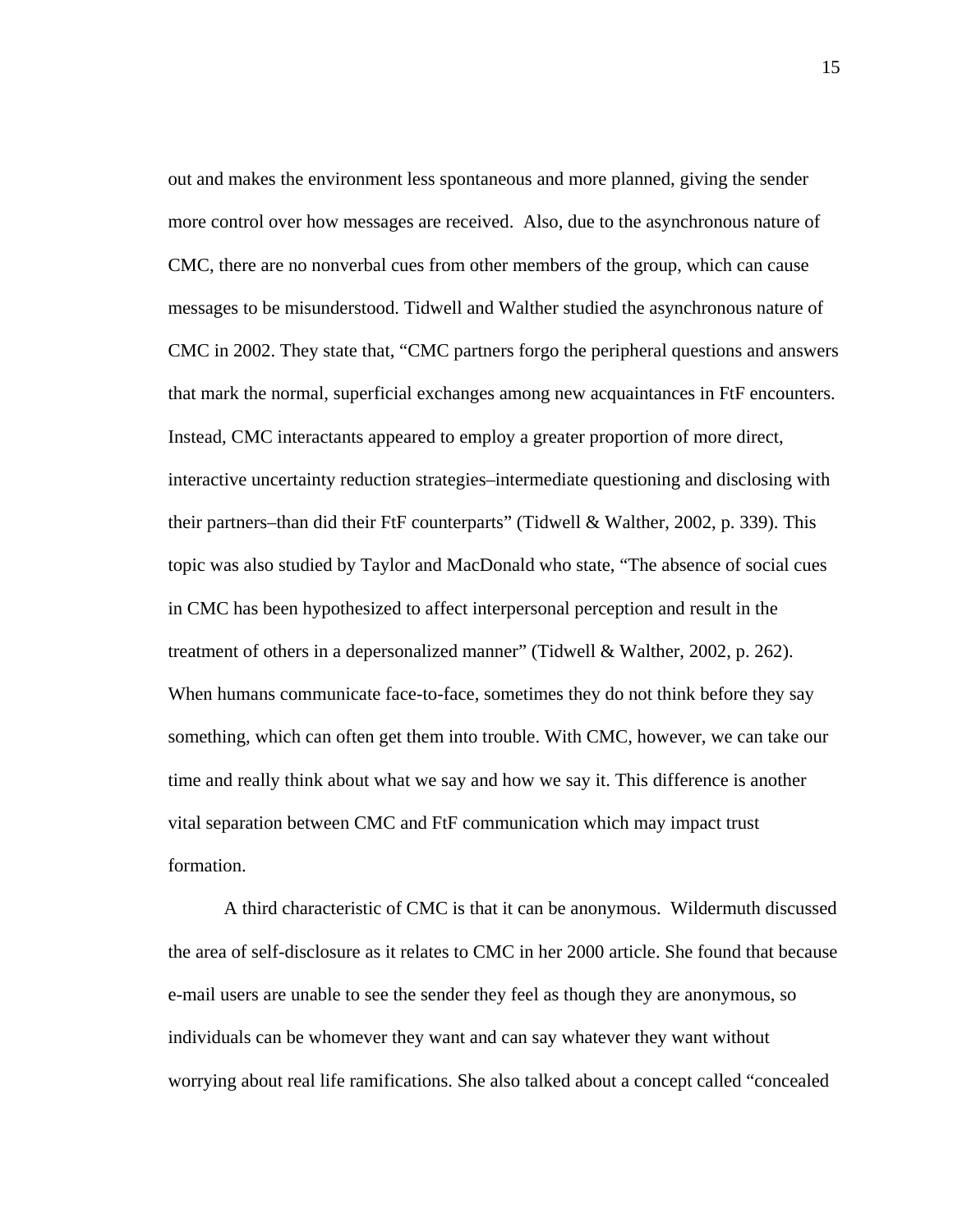out and makes the environment less spontaneous and more planned, giving the sender more control over how messages are received. Also, due to the asynchronous nature of CMC, there are no nonverbal cues from other members of the group, which can cause messages to be misunderstood. Tidwell and Walther studied the asynchronous nature of CMC in 2002. They state that, "CMC partners forgo the peripheral questions and answers that mark the normal, superficial exchanges among new acquaintances in FtF encounters. Instead, CMC interactants appeared to employ a greater proportion of more direct, interactive uncertainty reduction strategies–intermediate questioning and disclosing with their partners–than did their FtF counterparts" (Tidwell & Walther, 2002, p. 339). This topic was also studied by Taylor and MacDonald who state, "The absence of social cues in CMC has been hypothesized to affect interpersonal perception and result in the treatment of others in a depersonalized manner" (Tidwell & Walther, 2002, p. 262). When humans communicate face-to-face, sometimes they do not think before they say something, which can often get them into trouble. With CMC, however, we can take our time and really think about what we say and how we say it. This difference is another vital separation between CMC and FtF communication which may impact trust formation.

 A third characteristic of CMC is that it can be anonymous. Wildermuth discussed the area of self-disclosure as it relates to CMC in her 2000 article. She found that because e-mail users are unable to see the sender they feel as though they are anonymous, so individuals can be whomever they want and can say whatever they want without worrying about real life ramifications. She also talked about a concept called "concealed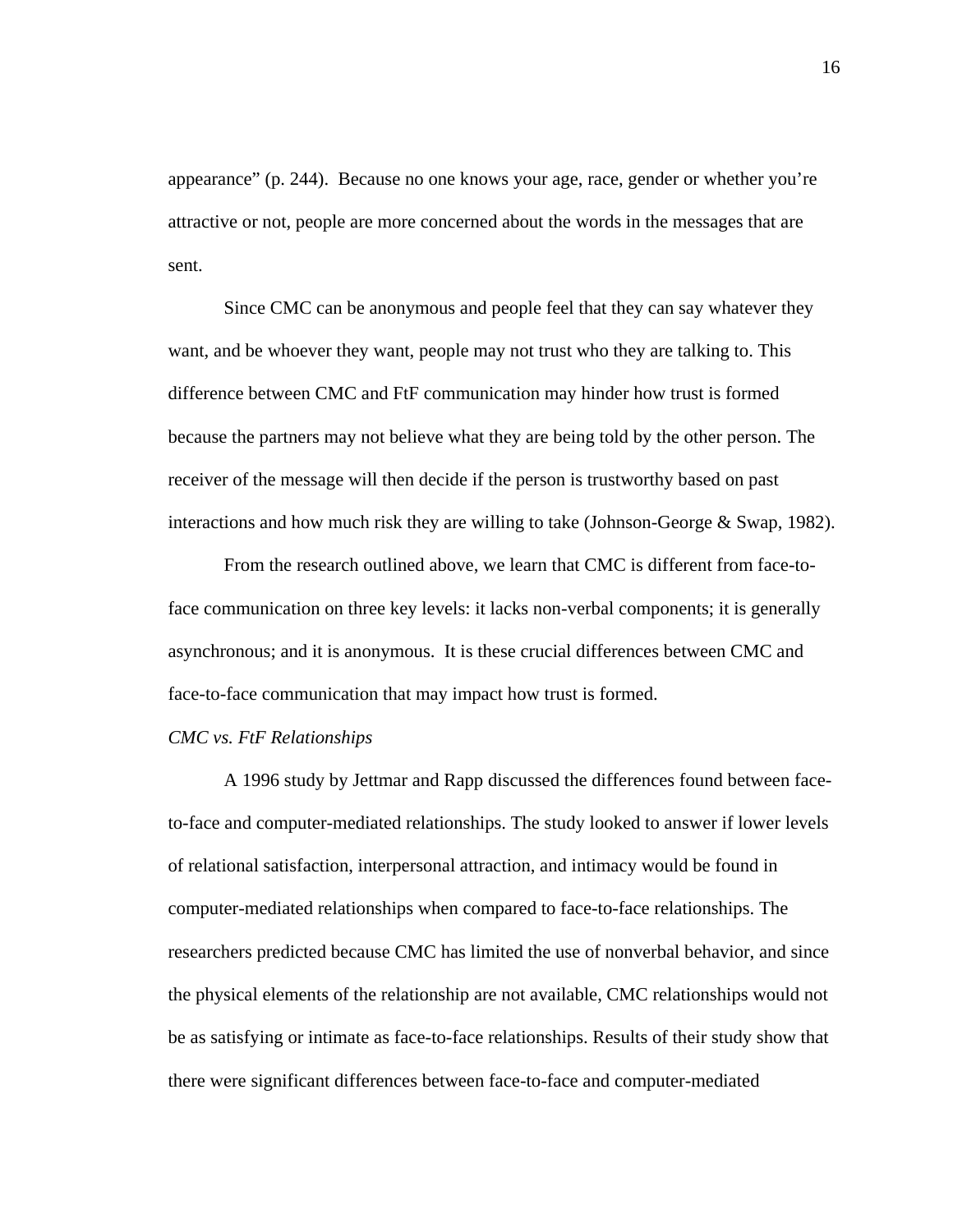appearance" (p. 244). Because no one knows your age, race, gender or whether you're attractive or not, people are more concerned about the words in the messages that are sent.

 Since CMC can be anonymous and people feel that they can say whatever they want, and be whoever they want, people may not trust who they are talking to. This difference between CMC and FtF communication may hinder how trust is formed because the partners may not believe what they are being told by the other person. The receiver of the message will then decide if the person is trustworthy based on past interactions and how much risk they are willing to take (Johnson-George & Swap, 1982).

From the research outlined above, we learn that CMC is different from face-toface communication on three key levels: it lacks non-verbal components; it is generally asynchronous; and it is anonymous. It is these crucial differences between CMC and face-to-face communication that may impact how trust is formed.

## *CMC vs. FtF Relationships*

A 1996 study by Jettmar and Rapp discussed the differences found between faceto-face and computer-mediated relationships. The study looked to answer if lower levels of relational satisfaction, interpersonal attraction, and intimacy would be found in computer-mediated relationships when compared to face-to-face relationships. The researchers predicted because CMC has limited the use of nonverbal behavior, and since the physical elements of the relationship are not available, CMC relationships would not be as satisfying or intimate as face-to-face relationships. Results of their study show that there were significant differences between face-to-face and computer-mediated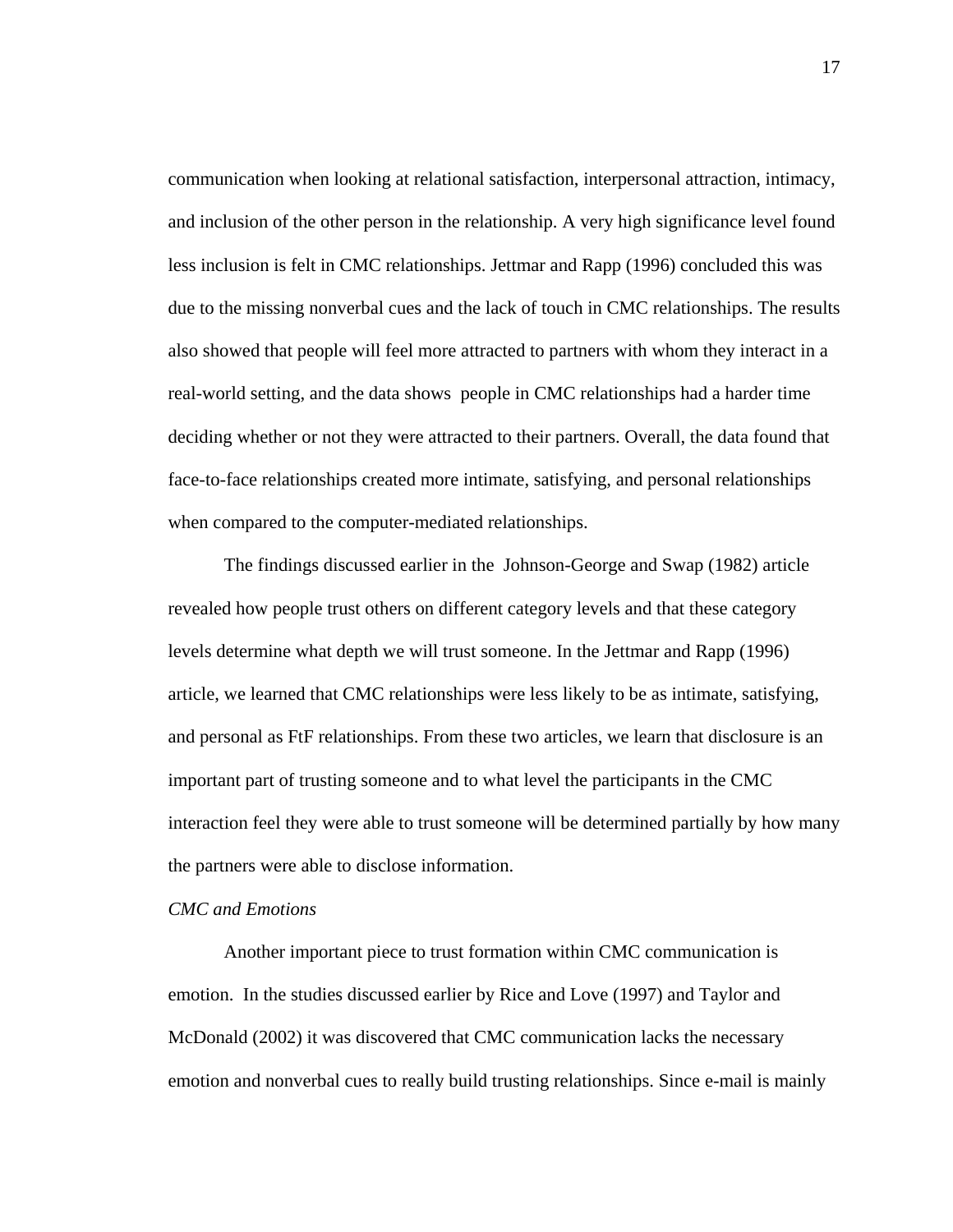communication when looking at relational satisfaction, interpersonal attraction, intimacy, and inclusion of the other person in the relationship. A very high significance level found less inclusion is felt in CMC relationships. Jettmar and Rapp (1996) concluded this was due to the missing nonverbal cues and the lack of touch in CMC relationships. The results also showed that people will feel more attracted to partners with whom they interact in a real-world setting, and the data shows people in CMC relationships had a harder time deciding whether or not they were attracted to their partners. Overall, the data found that face-to-face relationships created more intimate, satisfying, and personal relationships when compared to the computer-mediated relationships.

The findings discussed earlier in the Johnson-George and Swap (1982) article revealed how people trust others on different category levels and that these category levels determine what depth we will trust someone. In the Jettmar and Rapp (1996) article, we learned that CMC relationships were less likely to be as intimate, satisfying, and personal as FtF relationships. From these two articles, we learn that disclosure is an important part of trusting someone and to what level the participants in the CMC interaction feel they were able to trust someone will be determined partially by how many the partners were able to disclose information.

#### *CMC and Emotions*

Another important piece to trust formation within CMC communication is emotion. In the studies discussed earlier by Rice and Love (1997) and Taylor and McDonald (2002) it was discovered that CMC communication lacks the necessary emotion and nonverbal cues to really build trusting relationships. Since e-mail is mainly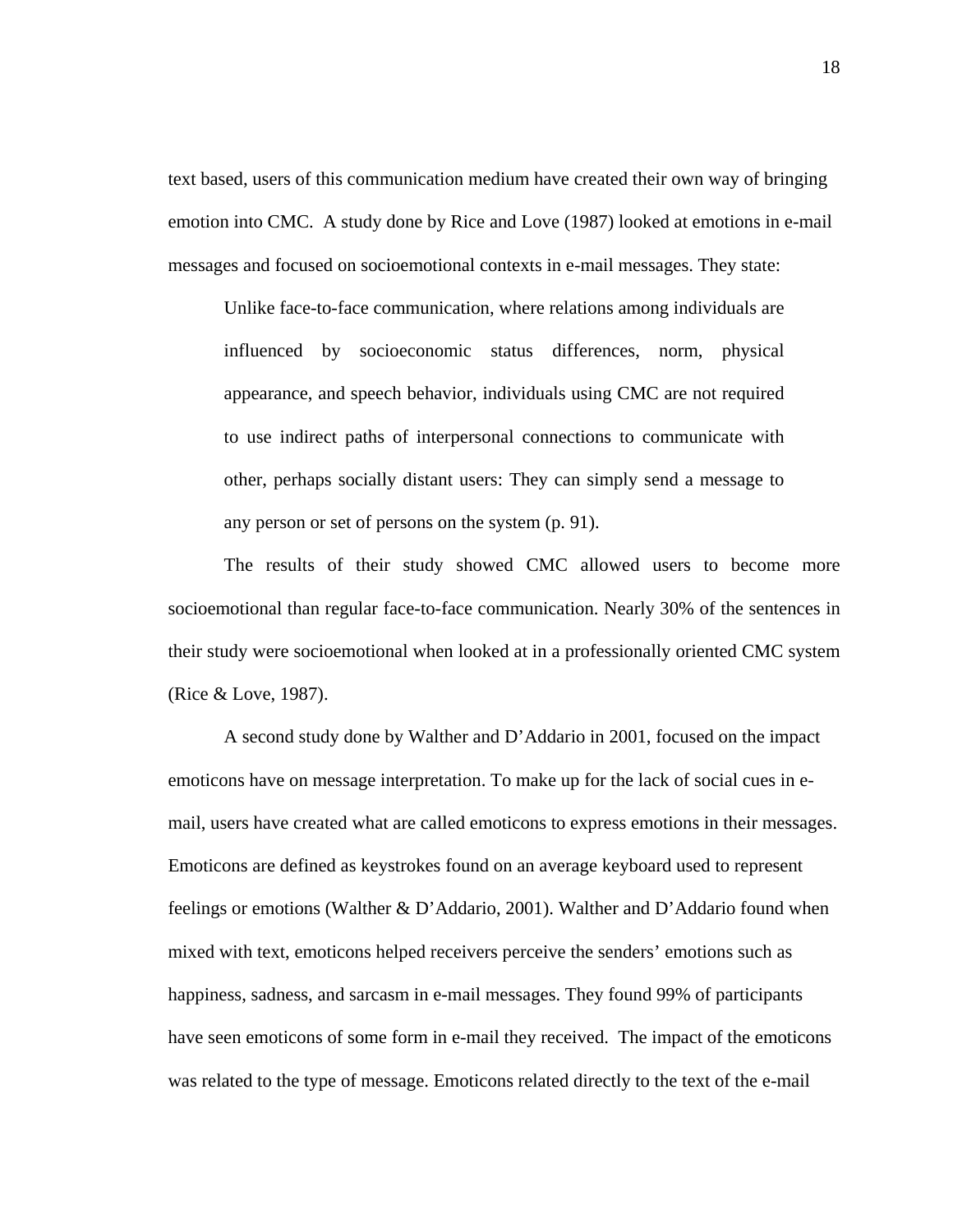text based, users of this communication medium have created their own way of bringing emotion into CMC. A study done by Rice and Love (1987) looked at emotions in e-mail messages and focused on socioemotional contexts in e-mail messages. They state:

Unlike face-to-face communication, where relations among individuals are influenced by socioeconomic status differences, norm, physical appearance, and speech behavior, individuals using CMC are not required to use indirect paths of interpersonal connections to communicate with other, perhaps socially distant users: They can simply send a message to any person or set of persons on the system (p. 91).

The results of their study showed CMC allowed users to become more socioemotional than regular face-to-face communication. Nearly 30% of the sentences in their study were socioemotional when looked at in a professionally oriented CMC system (Rice & Love, 1987).

A second study done by Walther and D'Addario in 2001, focused on the impact emoticons have on message interpretation. To make up for the lack of social cues in email, users have created what are called emoticons to express emotions in their messages. Emoticons are defined as keystrokes found on an average keyboard used to represent feelings or emotions (Walther & D'Addario, 2001). Walther and D'Addario found when mixed with text, emoticons helped receivers perceive the senders' emotions such as happiness, sadness, and sarcasm in e-mail messages. They found 99% of participants have seen emoticons of some form in e-mail they received. The impact of the emoticons was related to the type of message. Emoticons related directly to the text of the e-mail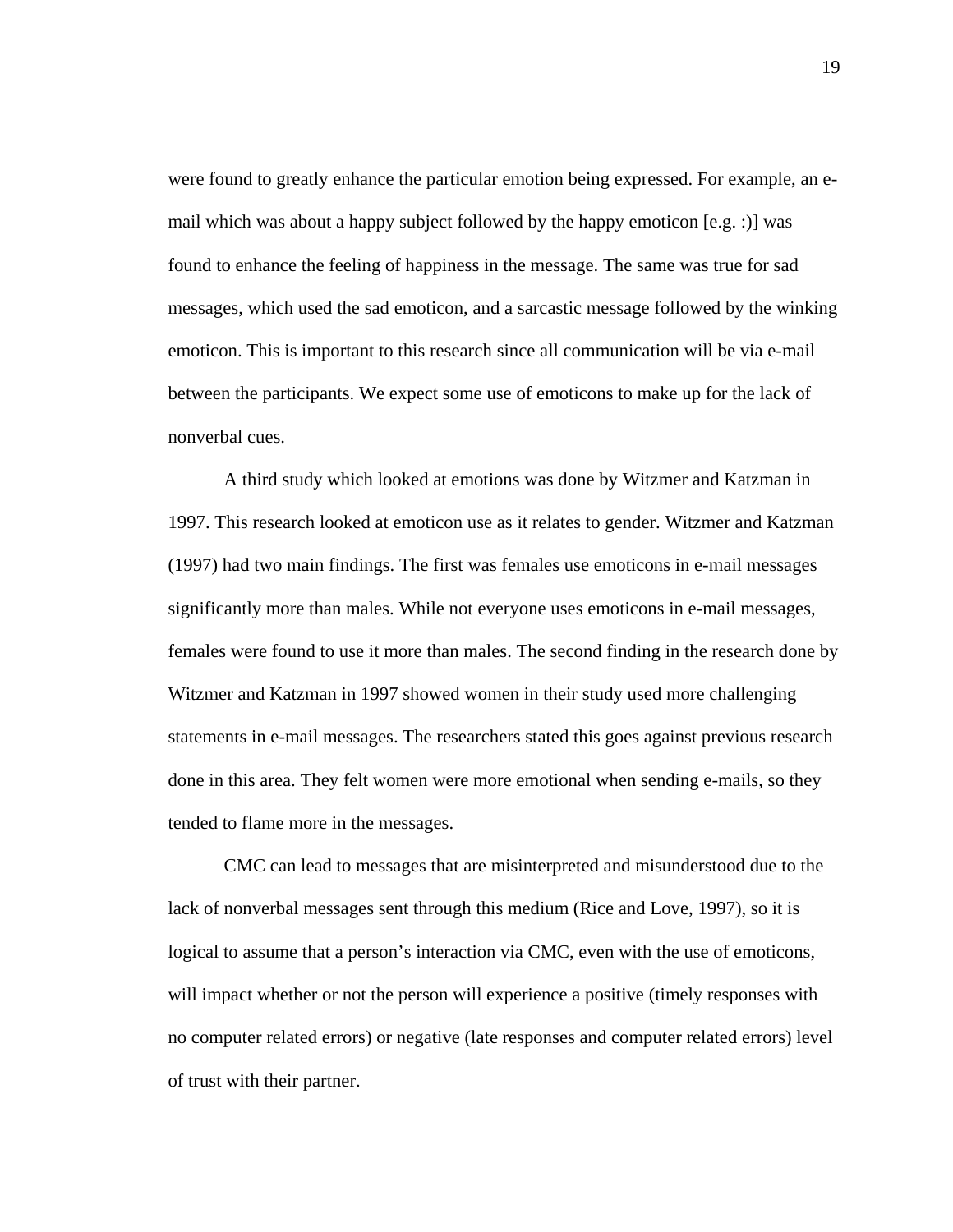were found to greatly enhance the particular emotion being expressed. For example, an email which was about a happy subject followed by the happy emoticon [e.g. :)] was found to enhance the feeling of happiness in the message. The same was true for sad messages, which used the sad emoticon, and a sarcastic message followed by the winking emoticon. This is important to this research since all communication will be via e-mail between the participants. We expect some use of emoticons to make up for the lack of nonverbal cues.

A third study which looked at emotions was done by Witzmer and Katzman in 1997. This research looked at emoticon use as it relates to gender. Witzmer and Katzman (1997) had two main findings. The first was females use emoticons in e-mail messages significantly more than males. While not everyone uses emoticons in e-mail messages, females were found to use it more than males. The second finding in the research done by Witzmer and Katzman in 1997 showed women in their study used more challenging statements in e-mail messages. The researchers stated this goes against previous research done in this area. They felt women were more emotional when sending e-mails, so they tended to flame more in the messages.

CMC can lead to messages that are misinterpreted and misunderstood due to the lack of nonverbal messages sent through this medium (Rice and Love, 1997), so it is logical to assume that a person's interaction via CMC, even with the use of emoticons, will impact whether or not the person will experience a positive (timely responses with no computer related errors) or negative (late responses and computer related errors) level of trust with their partner.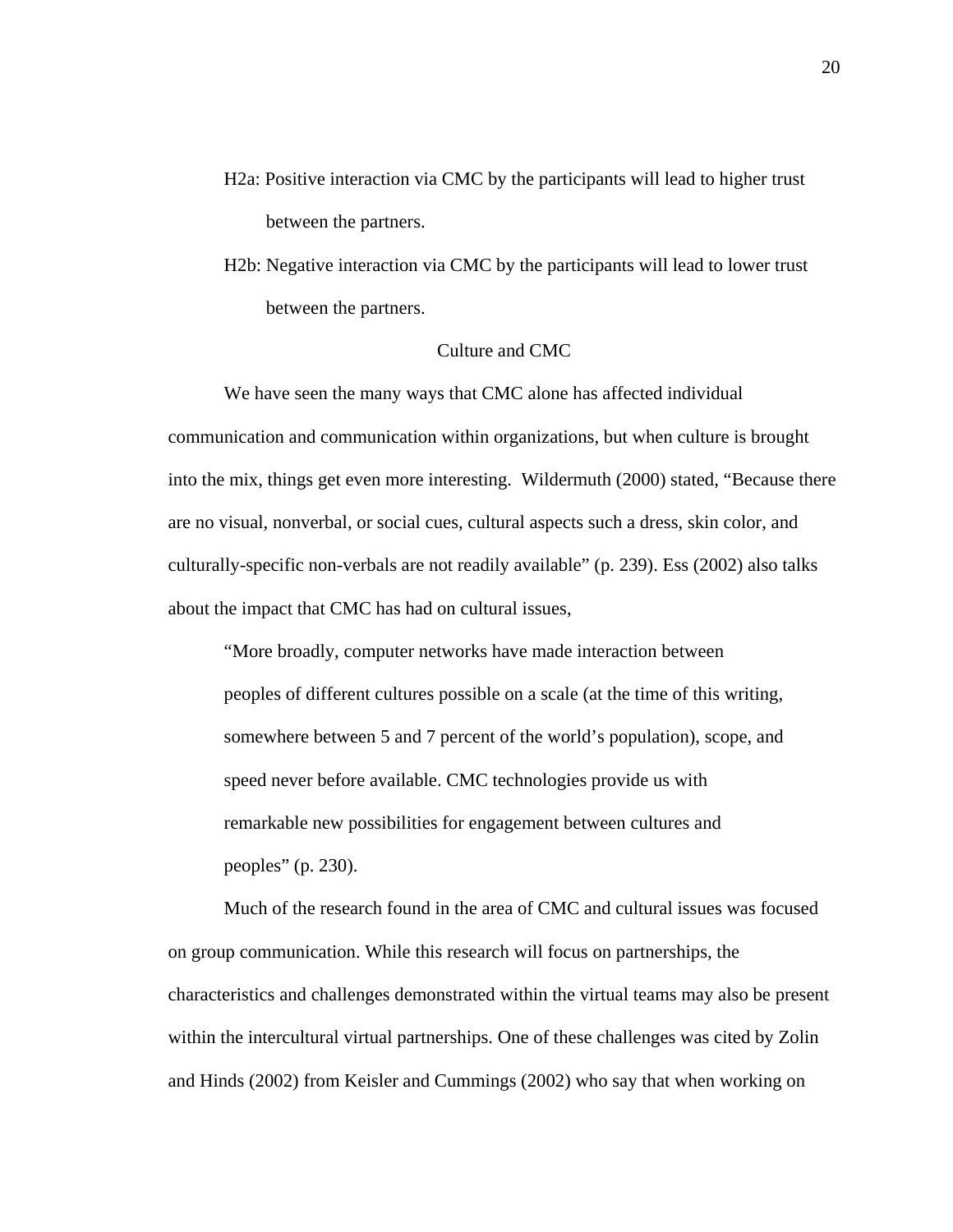- H2a: Positive interaction via CMC by the participants will lead to higher trust between the partners.
- H2b: Negative interaction via CMC by the participants will lead to lower trust between the partners.

## Culture and CMC

We have seen the many ways that CMC alone has affected individual communication and communication within organizations, but when culture is brought into the mix, things get even more interesting. Wildermuth (2000) stated, "Because there are no visual, nonverbal, or social cues, cultural aspects such a dress, skin color, and culturally-specific non-verbals are not readily available" (p. 239). Ess (2002) also talks about the impact that CMC has had on cultural issues,

"More broadly, computer networks have made interaction between peoples of different cultures possible on a scale (at the time of this writing, somewhere between 5 and 7 percent of the world's population), scope, and speed never before available. CMC technologies provide us with remarkable new possibilities for engagement between cultures and peoples" (p. 230).

Much of the research found in the area of CMC and cultural issues was focused on group communication. While this research will focus on partnerships, the characteristics and challenges demonstrated within the virtual teams may also be present within the intercultural virtual partnerships. One of these challenges was cited by Zolin and Hinds (2002) from Keisler and Cummings (2002) who say that when working on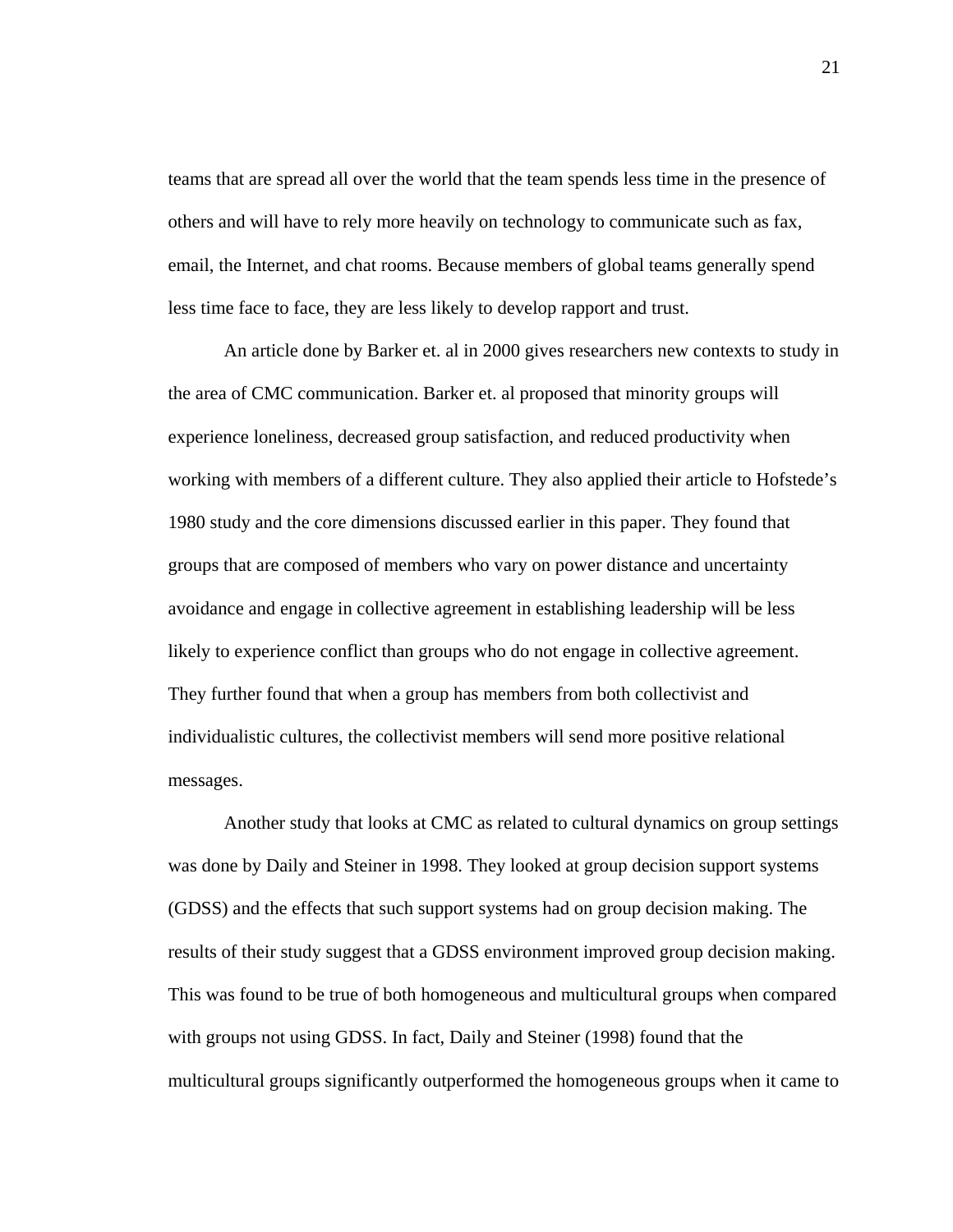teams that are spread all over the world that the team spends less time in the presence of others and will have to rely more heavily on technology to communicate such as fax, email, the Internet, and chat rooms. Because members of global teams generally spend less time face to face, they are less likely to develop rapport and trust.

An article done by Barker et. al in 2000 gives researchers new contexts to study in the area of CMC communication. Barker et. al proposed that minority groups will experience loneliness, decreased group satisfaction, and reduced productivity when working with members of a different culture. They also applied their article to Hofstede's 1980 study and the core dimensions discussed earlier in this paper. They found that groups that are composed of members who vary on power distance and uncertainty avoidance and engage in collective agreement in establishing leadership will be less likely to experience conflict than groups who do not engage in collective agreement. They further found that when a group has members from both collectivist and individualistic cultures, the collectivist members will send more positive relational messages.

Another study that looks at CMC as related to cultural dynamics on group settings was done by Daily and Steiner in 1998. They looked at group decision support systems (GDSS) and the effects that such support systems had on group decision making. The results of their study suggest that a GDSS environment improved group decision making. This was found to be true of both homogeneous and multicultural groups when compared with groups not using GDSS. In fact, Daily and Steiner (1998) found that the multicultural groups significantly outperformed the homogeneous groups when it came to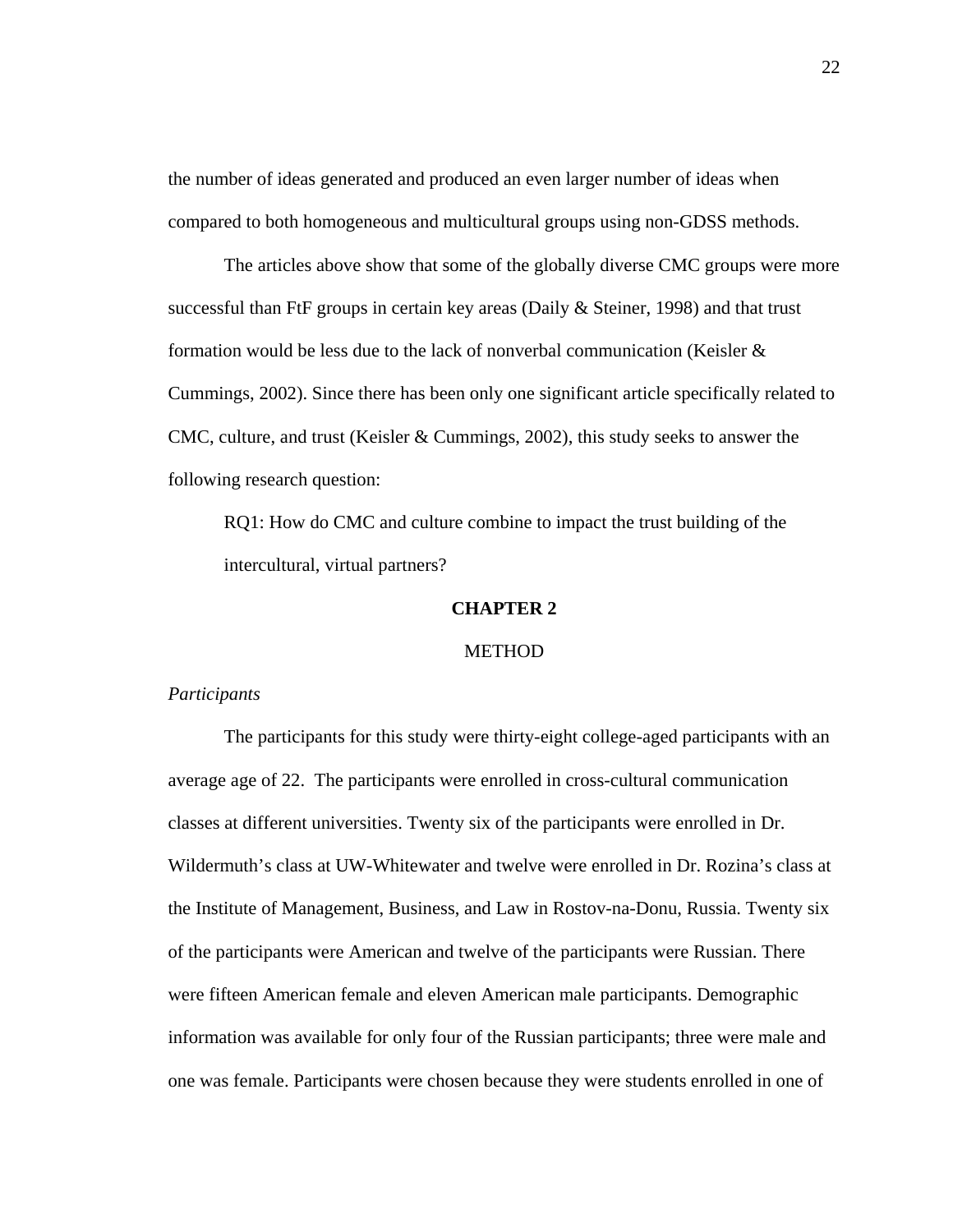the number of ideas generated and produced an even larger number of ideas when compared to both homogeneous and multicultural groups using non-GDSS methods.

The articles above show that some of the globally diverse CMC groups were more successful than FtF groups in certain key areas (Daily & Steiner, 1998) and that trust formation would be less due to the lack of nonverbal communication (Keisler & Cummings, 2002). Since there has been only one significant article specifically related to CMC, culture, and trust (Keisler & Cummings, 2002), this study seeks to answer the following research question:

RQ1: How do CMC and culture combine to impact the trust building of the intercultural, virtual partners?

## **CHAPTER 2**

## **METHOD**

#### *Participants*

The participants for this study were thirty-eight college-aged participants with an average age of 22. The participants were enrolled in cross-cultural communication classes at different universities. Twenty six of the participants were enrolled in Dr. Wildermuth's class at UW-Whitewater and twelve were enrolled in Dr. Rozina's class at the Institute of Management, Business, and Law in Rostov-na-Donu, Russia. Twenty six of the participants were American and twelve of the participants were Russian. There were fifteen American female and eleven American male participants. Demographic information was available for only four of the Russian participants; three were male and one was female. Participants were chosen because they were students enrolled in one of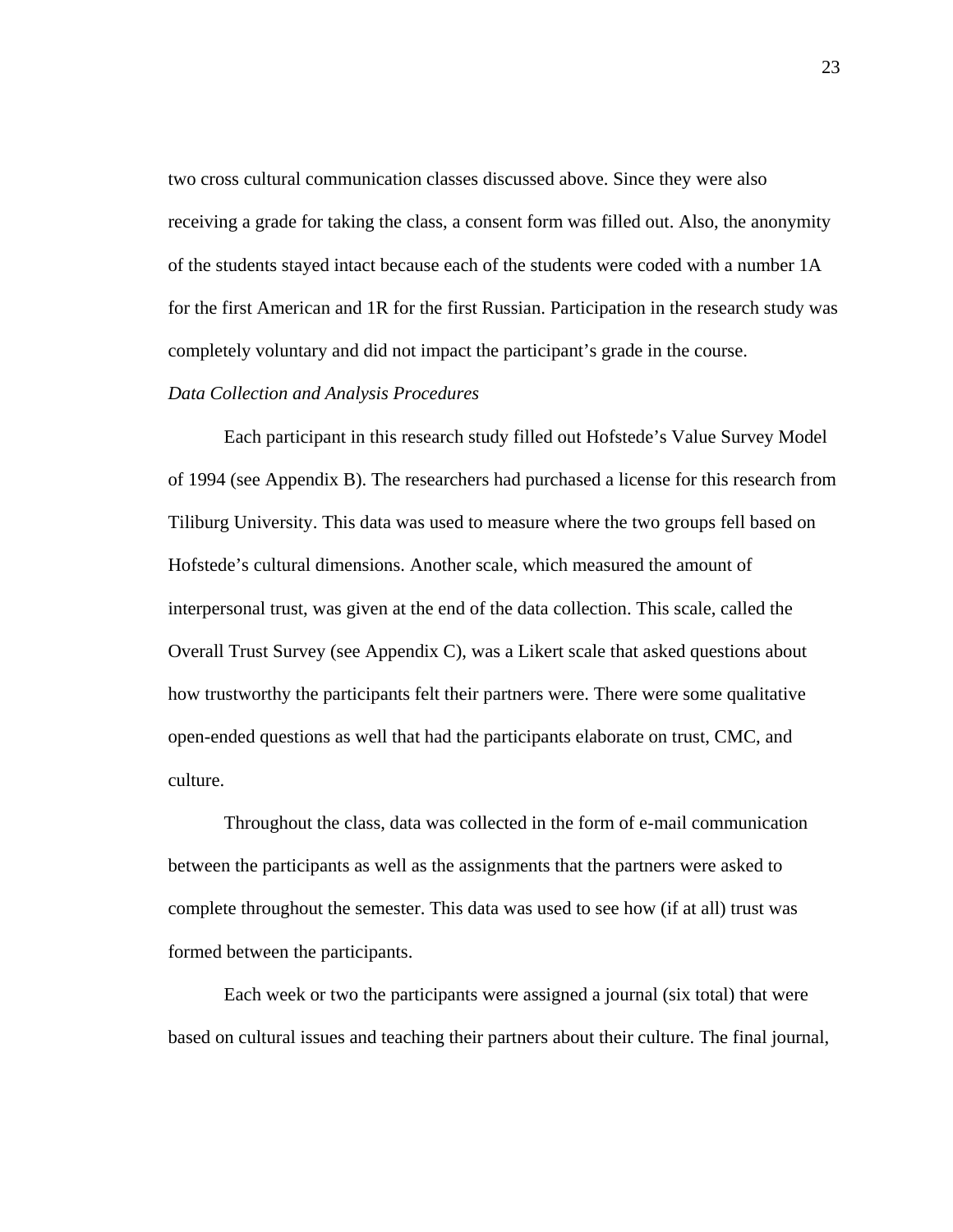two cross cultural communication classes discussed above. Since they were also receiving a grade for taking the class, a consent form was filled out. Also, the anonymity of the students stayed intact because each of the students were coded with a number 1A for the first American and 1R for the first Russian. Participation in the research study was completely voluntary and did not impact the participant's grade in the course.

## *Data Collection and Analysis Procedures*

Each participant in this research study filled out Hofstede's Value Survey Model of 1994 (see Appendix B). The researchers had purchased a license for this research from Tiliburg University. This data was used to measure where the two groups fell based on Hofstede's cultural dimensions. Another scale, which measured the amount of interpersonal trust, was given at the end of the data collection. This scale, called the Overall Trust Survey (see Appendix C), was a Likert scale that asked questions about how trustworthy the participants felt their partners were. There were some qualitative open-ended questions as well that had the participants elaborate on trust, CMC, and culture.

Throughout the class, data was collected in the form of e-mail communication between the participants as well as the assignments that the partners were asked to complete throughout the semester. This data was used to see how (if at all) trust was formed between the participants.

Each week or two the participants were assigned a journal (six total) that were based on cultural issues and teaching their partners about their culture. The final journal,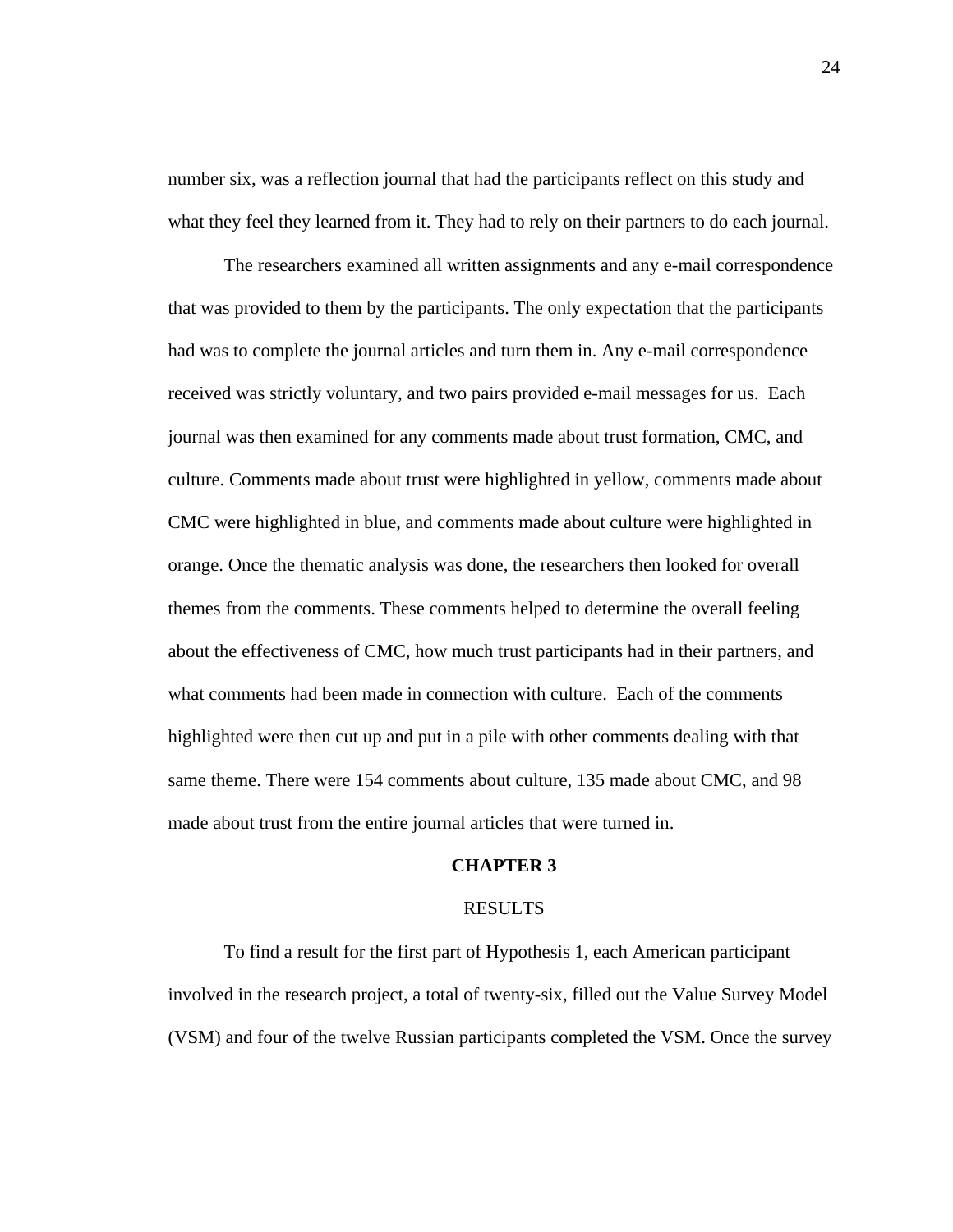number six, was a reflection journal that had the participants reflect on this study and what they feel they learned from it. They had to rely on their partners to do each journal.

The researchers examined all written assignments and any e-mail correspondence that was provided to them by the participants. The only expectation that the participants had was to complete the journal articles and turn them in. Any e-mail correspondence received was strictly voluntary, and two pairs provided e-mail messages for us. Each journal was then examined for any comments made about trust formation, CMC, and culture. Comments made about trust were highlighted in yellow, comments made about CMC were highlighted in blue, and comments made about culture were highlighted in orange. Once the thematic analysis was done, the researchers then looked for overall themes from the comments. These comments helped to determine the overall feeling about the effectiveness of CMC, how much trust participants had in their partners, and what comments had been made in connection with culture. Each of the comments highlighted were then cut up and put in a pile with other comments dealing with that same theme. There were 154 comments about culture, 135 made about CMC, and 98 made about trust from the entire journal articles that were turned in.

#### **CHAPTER 3**

#### RESULTS

To find a result for the first part of Hypothesis 1, each American participant involved in the research project, a total of twenty-six, filled out the Value Survey Model (VSM) and four of the twelve Russian participants completed the VSM. Once the survey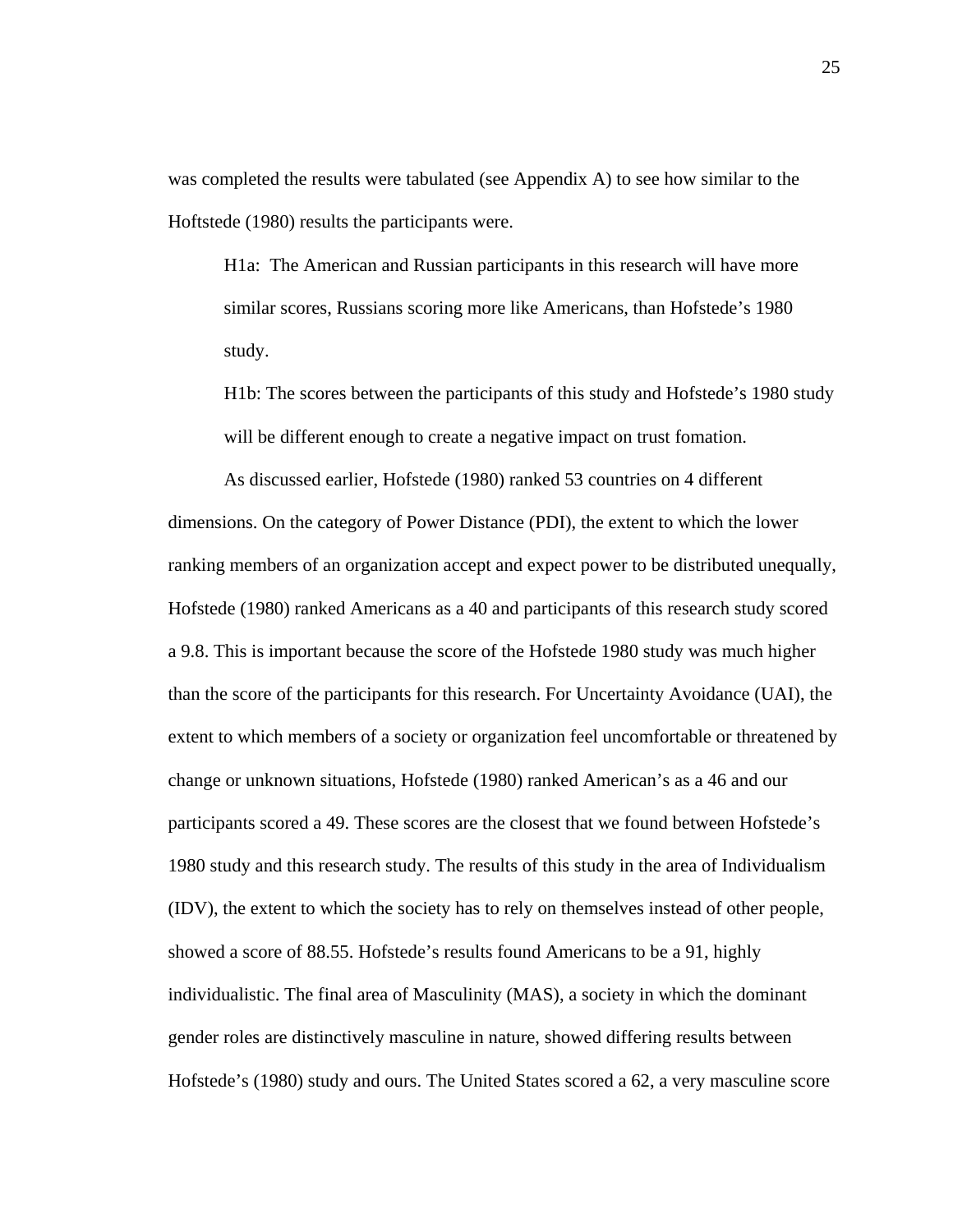was completed the results were tabulated (see Appendix A) to see how similar to the Hoftstede (1980) results the participants were.

H1a: The American and Russian participants in this research will have more similar scores, Russians scoring more like Americans, than Hofstede's 1980 study.

H1b: The scores between the participants of this study and Hofstede's 1980 study will be different enough to create a negative impact on trust fomation.

As discussed earlier, Hofstede (1980) ranked 53 countries on 4 different dimensions. On the category of Power Distance (PDI), the extent to which the lower ranking members of an organization accept and expect power to be distributed unequally, Hofstede (1980) ranked Americans as a 40 and participants of this research study scored a 9.8. This is important because the score of the Hofstede 1980 study was much higher than the score of the participants for this research. For Uncertainty Avoidance (UAI), the extent to which members of a society or organization feel uncomfortable or threatened by change or unknown situations, Hofstede (1980) ranked American's as a 46 and our participants scored a 49. These scores are the closest that we found between Hofstede's 1980 study and this research study. The results of this study in the area of Individualism (IDV), the extent to which the society has to rely on themselves instead of other people, showed a score of 88.55. Hofstede's results found Americans to be a 91, highly individualistic. The final area of Masculinity (MAS), a society in which the dominant gender roles are distinctively masculine in nature, showed differing results between Hofstede's (1980) study and ours. The United States scored a 62, a very masculine score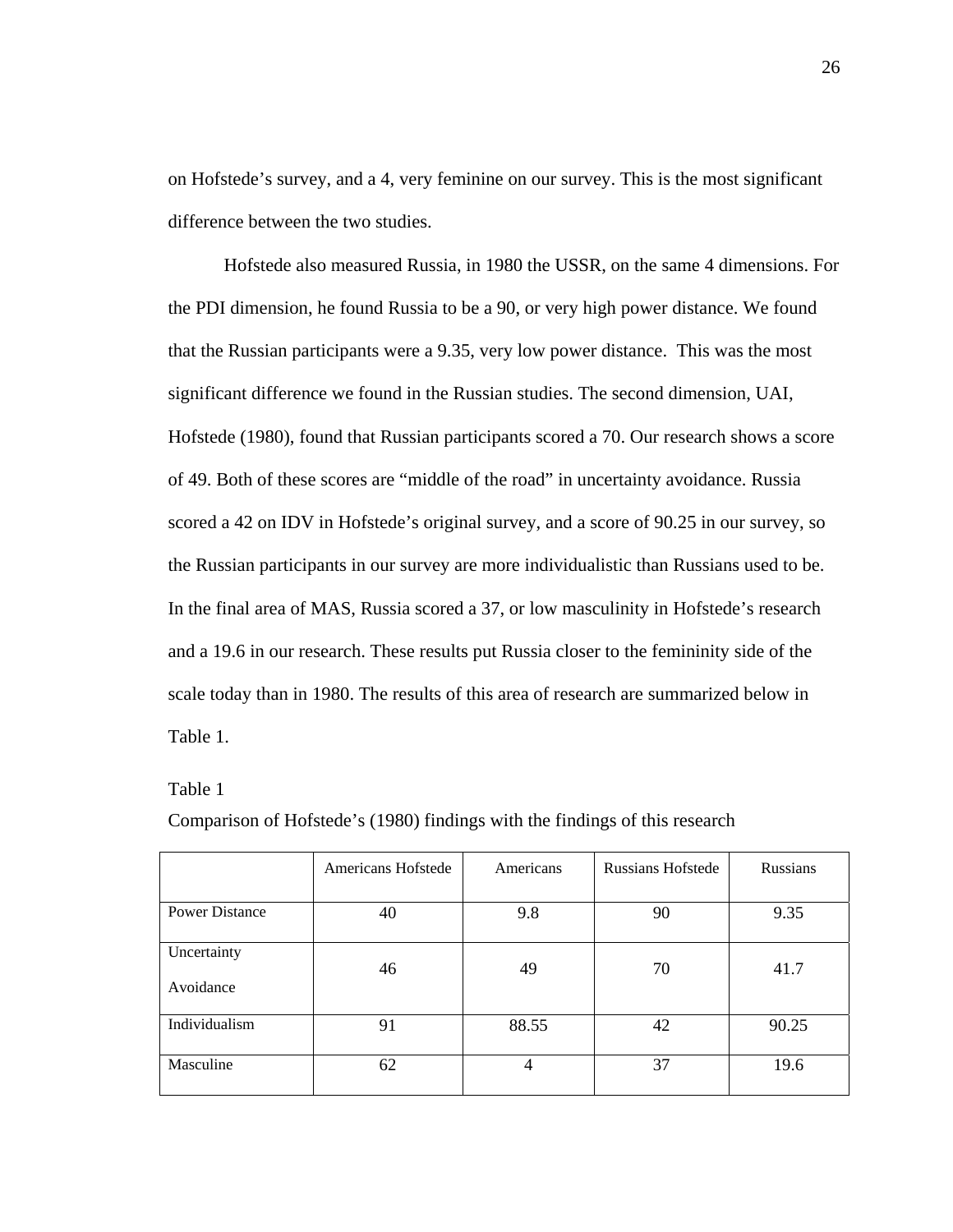on Hofstede's survey, and a 4, very feminine on our survey. This is the most significant difference between the two studies.

Hofstede also measured Russia, in 1980 the USSR, on the same 4 dimensions. For the PDI dimension, he found Russia to be a 90, or very high power distance. We found that the Russian participants were a 9.35, very low power distance. This was the most significant difference we found in the Russian studies. The second dimension, UAI, Hofstede (1980), found that Russian participants scored a 70. Our research shows a score of 49. Both of these scores are "middle of the road" in uncertainty avoidance. Russia scored a 42 on IDV in Hofstede's original survey, and a score of 90.25 in our survey, so the Russian participants in our survey are more individualistic than Russians used to be. In the final area of MAS, Russia scored a 37, or low masculinity in Hofstede's research and a 19.6 in our research. These results put Russia closer to the femininity side of the scale today than in 1980. The results of this area of research are summarized below in Table 1.

#### Table 1

Comparison of Hofstede's (1980) findings with the findings of this research

|                          | Americans Hofstede | Americans | <b>Russians Hofstede</b> | Russians |
|--------------------------|--------------------|-----------|--------------------------|----------|
| <b>Power Distance</b>    | 40                 | 9.8       | 90                       | 9.35     |
| Uncertainty<br>Avoidance | 46                 | 49        | 70                       | 41.7     |
| Individualism            | 91                 | 88.55     | 42                       | 90.25    |
| Masculine                | 62                 | 4         | 37                       | 19.6     |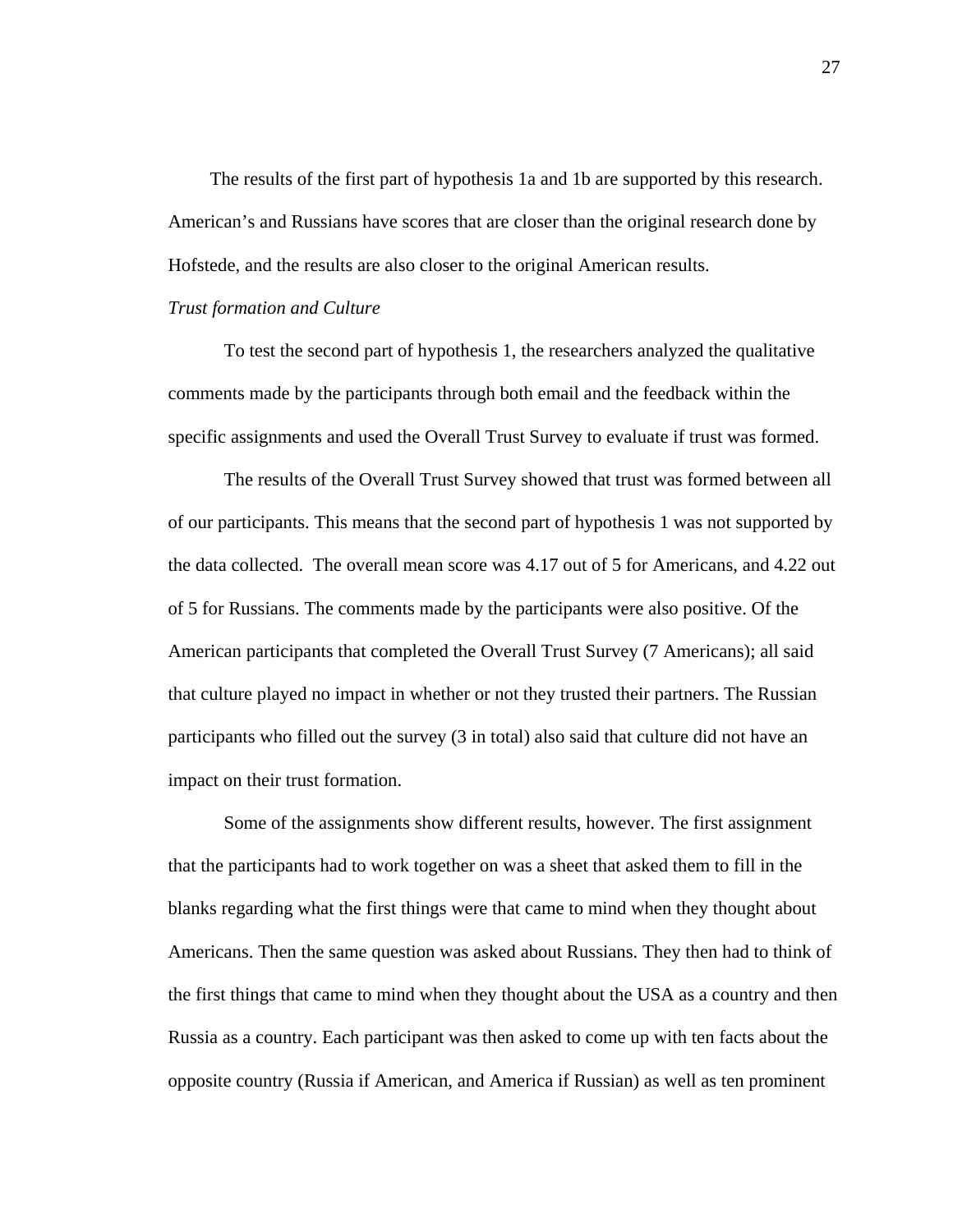The results of the first part of hypothesis 1a and 1b are supported by this research. American's and Russians have scores that are closer than the original research done by Hofstede, and the results are also closer to the original American results.

## *Trust formation and Culture*

To test the second part of hypothesis 1, the researchers analyzed the qualitative comments made by the participants through both email and the feedback within the specific assignments and used the Overall Trust Survey to evaluate if trust was formed.

The results of the Overall Trust Survey showed that trust was formed between all of our participants. This means that the second part of hypothesis 1 was not supported by the data collected. The overall mean score was 4.17 out of 5 for Americans, and 4.22 out of 5 for Russians. The comments made by the participants were also positive. Of the American participants that completed the Overall Trust Survey (7 Americans); all said that culture played no impact in whether or not they trusted their partners. The Russian participants who filled out the survey (3 in total) also said that culture did not have an impact on their trust formation.

Some of the assignments show different results, however. The first assignment that the participants had to work together on was a sheet that asked them to fill in the blanks regarding what the first things were that came to mind when they thought about Americans. Then the same question was asked about Russians. They then had to think of the first things that came to mind when they thought about the USA as a country and then Russia as a country. Each participant was then asked to come up with ten facts about the opposite country (Russia if American, and America if Russian) as well as ten prominent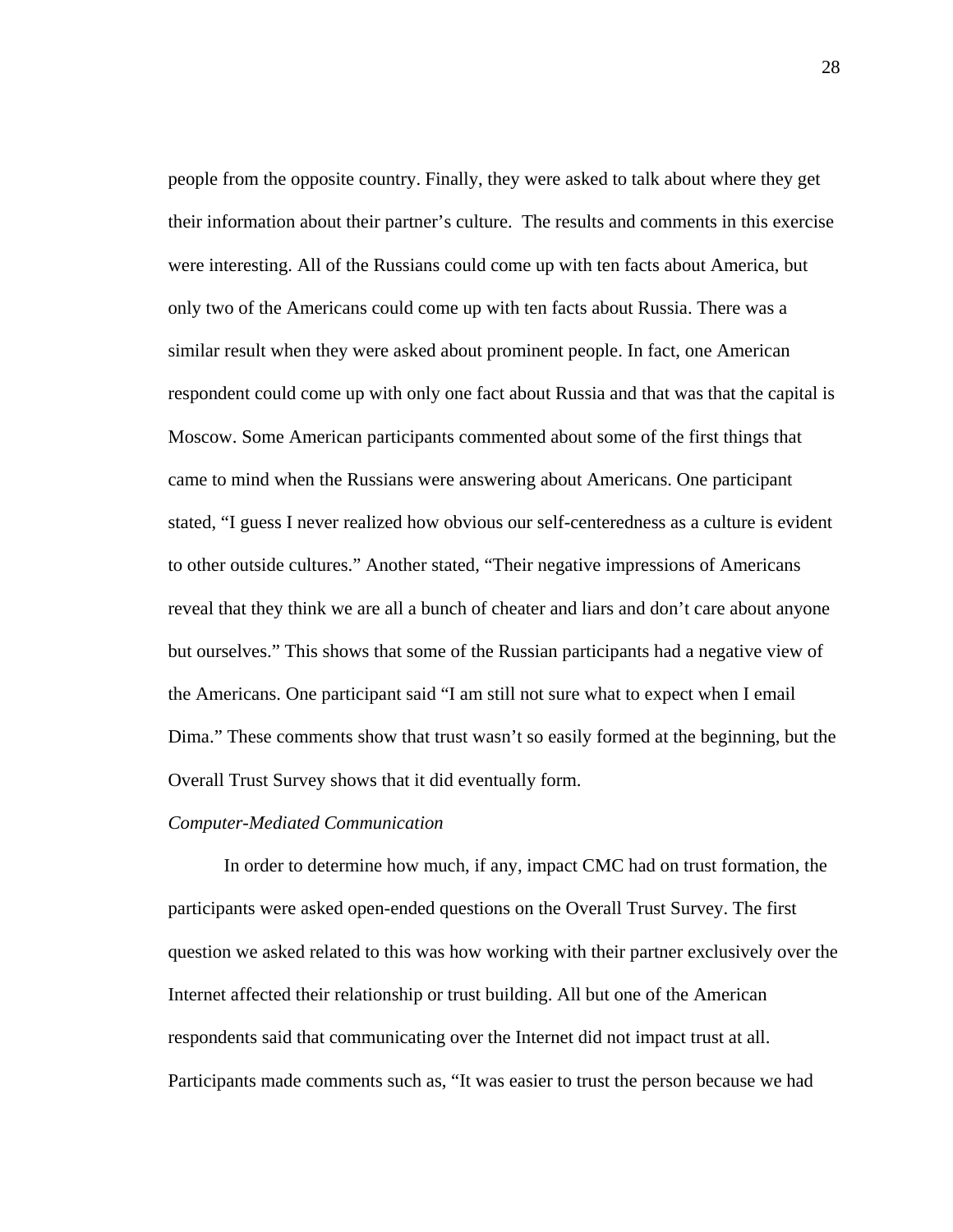people from the opposite country. Finally, they were asked to talk about where they get their information about their partner's culture. The results and comments in this exercise were interesting. All of the Russians could come up with ten facts about America, but only two of the Americans could come up with ten facts about Russia. There was a similar result when they were asked about prominent people. In fact, one American respondent could come up with only one fact about Russia and that was that the capital is Moscow. Some American participants commented about some of the first things that came to mind when the Russians were answering about Americans. One participant stated, "I guess I never realized how obvious our self-centeredness as a culture is evident to other outside cultures." Another stated, "Their negative impressions of Americans reveal that they think we are all a bunch of cheater and liars and don't care about anyone but ourselves." This shows that some of the Russian participants had a negative view of the Americans. One participant said "I am still not sure what to expect when I email Dima." These comments show that trust wasn't so easily formed at the beginning, but the Overall Trust Survey shows that it did eventually form.

#### *Computer-Mediated Communication*

In order to determine how much, if any, impact CMC had on trust formation, the participants were asked open-ended questions on the Overall Trust Survey. The first question we asked related to this was how working with their partner exclusively over the Internet affected their relationship or trust building. All but one of the American respondents said that communicating over the Internet did not impact trust at all. Participants made comments such as, "It was easier to trust the person because we had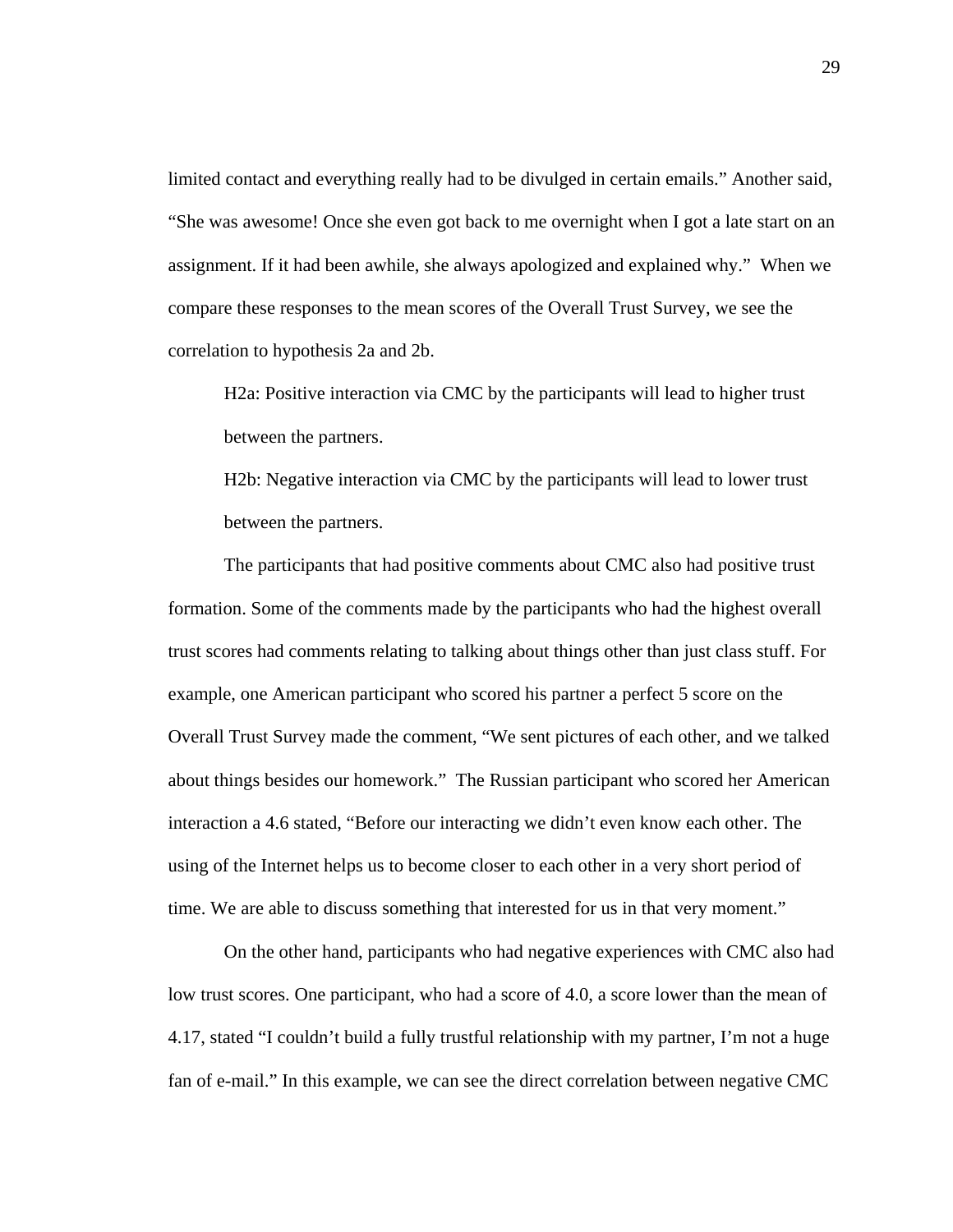limited contact and everything really had to be divulged in certain emails." Another said, "She was awesome! Once she even got back to me overnight when I got a late start on an assignment. If it had been awhile, she always apologized and explained why." When we compare these responses to the mean scores of the Overall Trust Survey, we see the correlation to hypothesis 2a and 2b.

H2a: Positive interaction via CMC by the participants will lead to higher trust between the partners.

H2b: Negative interaction via CMC by the participants will lead to lower trust between the partners.

The participants that had positive comments about CMC also had positive trust formation. Some of the comments made by the participants who had the highest overall trust scores had comments relating to talking about things other than just class stuff. For example, one American participant who scored his partner a perfect 5 score on the Overall Trust Survey made the comment, "We sent pictures of each other, and we talked about things besides our homework." The Russian participant who scored her American interaction a 4.6 stated, "Before our interacting we didn't even know each other. The using of the Internet helps us to become closer to each other in a very short period of time. We are able to discuss something that interested for us in that very moment."

On the other hand, participants who had negative experiences with CMC also had low trust scores. One participant, who had a score of 4.0, a score lower than the mean of 4.17, stated "I couldn't build a fully trustful relationship with my partner, I'm not a huge fan of e-mail." In this example, we can see the direct correlation between negative CMC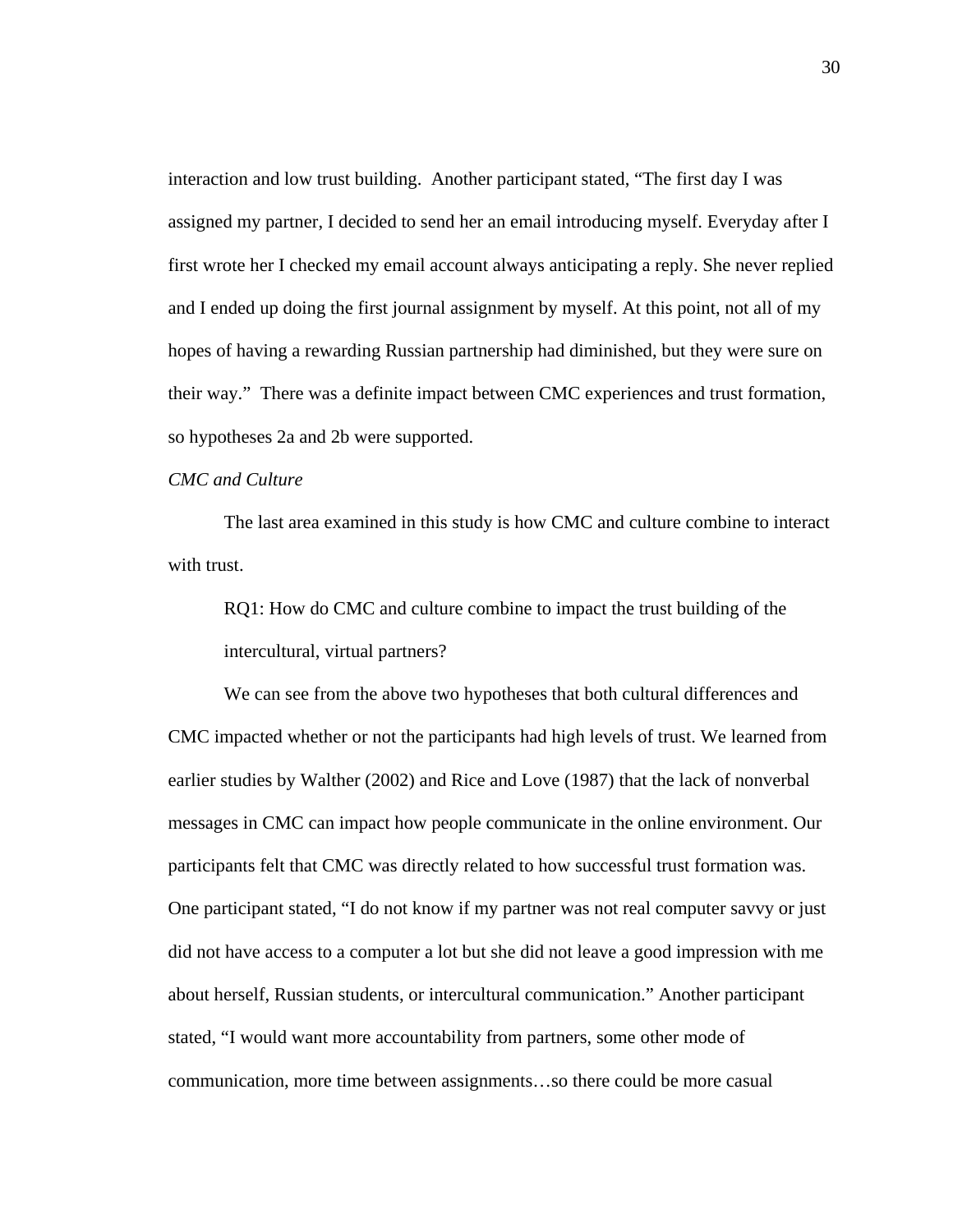interaction and low trust building. Another participant stated, "The first day I was assigned my partner, I decided to send her an email introducing myself. Everyday after I first wrote her I checked my email account always anticipating a reply. She never replied and I ended up doing the first journal assignment by myself. At this point, not all of my hopes of having a rewarding Russian partnership had diminished, but they were sure on their way." There was a definite impact between CMC experiences and trust formation, so hypotheses 2a and 2b were supported.

## *CMC and Culture*

The last area examined in this study is how CMC and culture combine to interact with trust.

RQ1: How do CMC and culture combine to impact the trust building of the intercultural, virtual partners?

We can see from the above two hypotheses that both cultural differences and CMC impacted whether or not the participants had high levels of trust. We learned from earlier studies by Walther (2002) and Rice and Love (1987) that the lack of nonverbal messages in CMC can impact how people communicate in the online environment. Our participants felt that CMC was directly related to how successful trust formation was. One participant stated, "I do not know if my partner was not real computer savvy or just did not have access to a computer a lot but she did not leave a good impression with me about herself, Russian students, or intercultural communication." Another participant stated, "I would want more accountability from partners, some other mode of communication, more time between assignments…so there could be more casual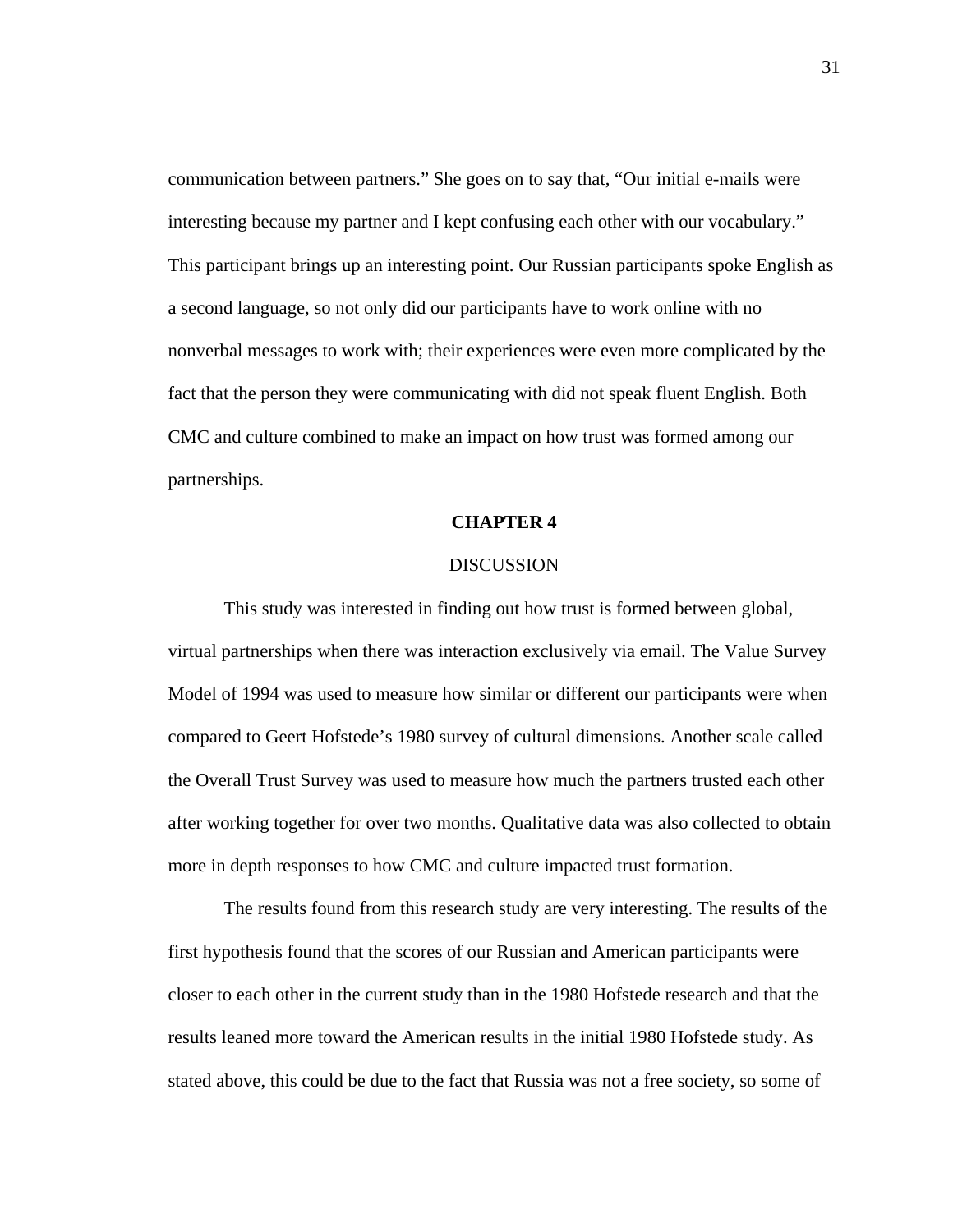communication between partners." She goes on to say that, "Our initial e-mails were interesting because my partner and I kept confusing each other with our vocabulary." This participant brings up an interesting point. Our Russian participants spoke English as a second language, so not only did our participants have to work online with no nonverbal messages to work with; their experiences were even more complicated by the fact that the person they were communicating with did not speak fluent English. Both CMC and culture combined to make an impact on how trust was formed among our partnerships.

#### **CHAPTER 4**

## DISCUSSION

This study was interested in finding out how trust is formed between global, virtual partnerships when there was interaction exclusively via email. The Value Survey Model of 1994 was used to measure how similar or different our participants were when compared to Geert Hofstede's 1980 survey of cultural dimensions. Another scale called the Overall Trust Survey was used to measure how much the partners trusted each other after working together for over two months. Qualitative data was also collected to obtain more in depth responses to how CMC and culture impacted trust formation.

The results found from this research study are very interesting. The results of the first hypothesis found that the scores of our Russian and American participants were closer to each other in the current study than in the 1980 Hofstede research and that the results leaned more toward the American results in the initial 1980 Hofstede study. As stated above, this could be due to the fact that Russia was not a free society, so some of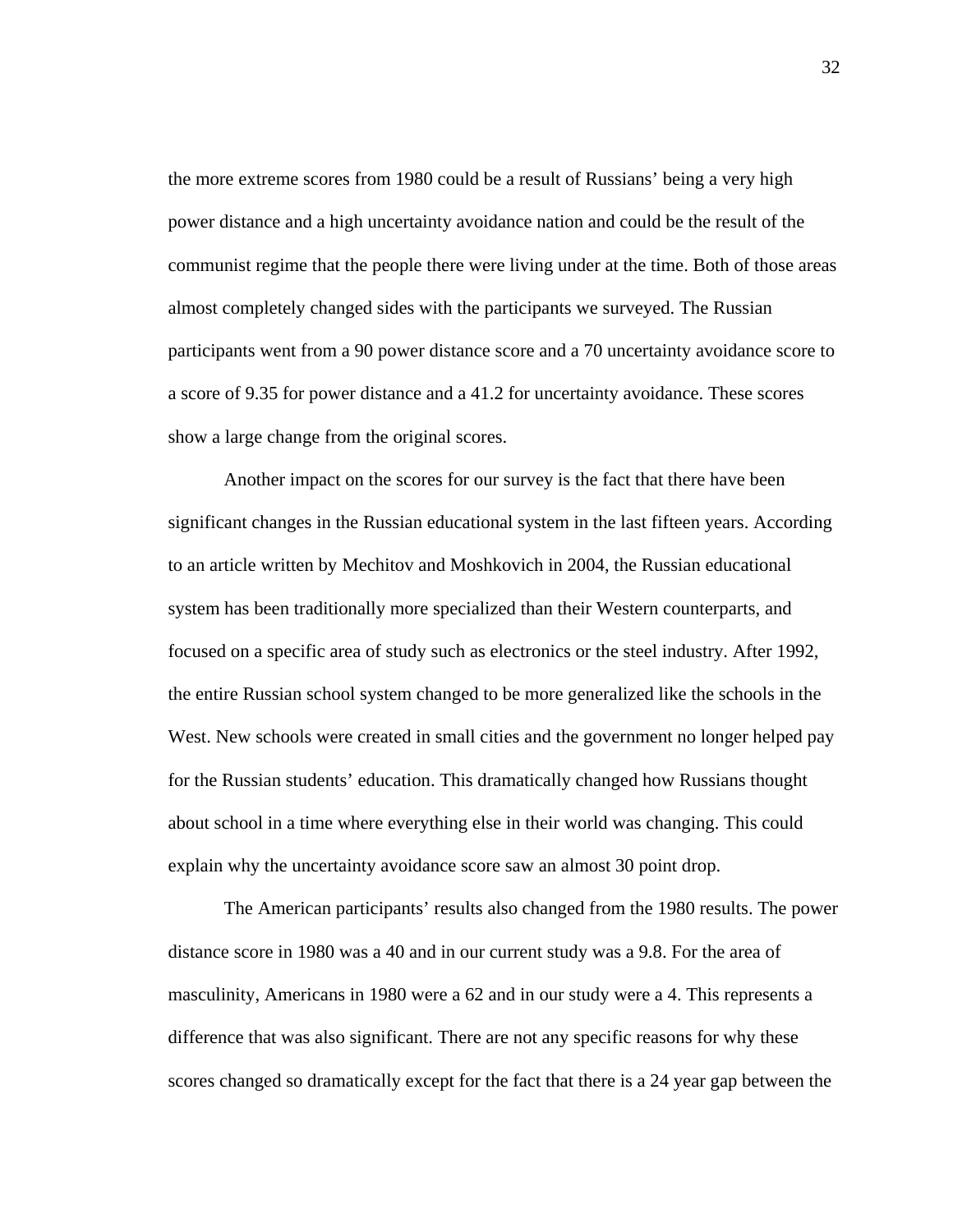the more extreme scores from 1980 could be a result of Russians' being a very high power distance and a high uncertainty avoidance nation and could be the result of the communist regime that the people there were living under at the time. Both of those areas almost completely changed sides with the participants we surveyed. The Russian participants went from a 90 power distance score and a 70 uncertainty avoidance score to a score of 9.35 for power distance and a 41.2 for uncertainty avoidance. These scores show a large change from the original scores.

Another impact on the scores for our survey is the fact that there have been significant changes in the Russian educational system in the last fifteen years. According to an article written by Mechitov and Moshkovich in 2004, the Russian educational system has been traditionally more specialized than their Western counterparts, and focused on a specific area of study such as electronics or the steel industry. After 1992, the entire Russian school system changed to be more generalized like the schools in the West. New schools were created in small cities and the government no longer helped pay for the Russian students' education. This dramatically changed how Russians thought about school in a time where everything else in their world was changing. This could explain why the uncertainty avoidance score saw an almost 30 point drop.

The American participants' results also changed from the 1980 results. The power distance score in 1980 was a 40 and in our current study was a 9.8. For the area of masculinity, Americans in 1980 were a 62 and in our study were a 4. This represents a difference that was also significant. There are not any specific reasons for why these scores changed so dramatically except for the fact that there is a 24 year gap between the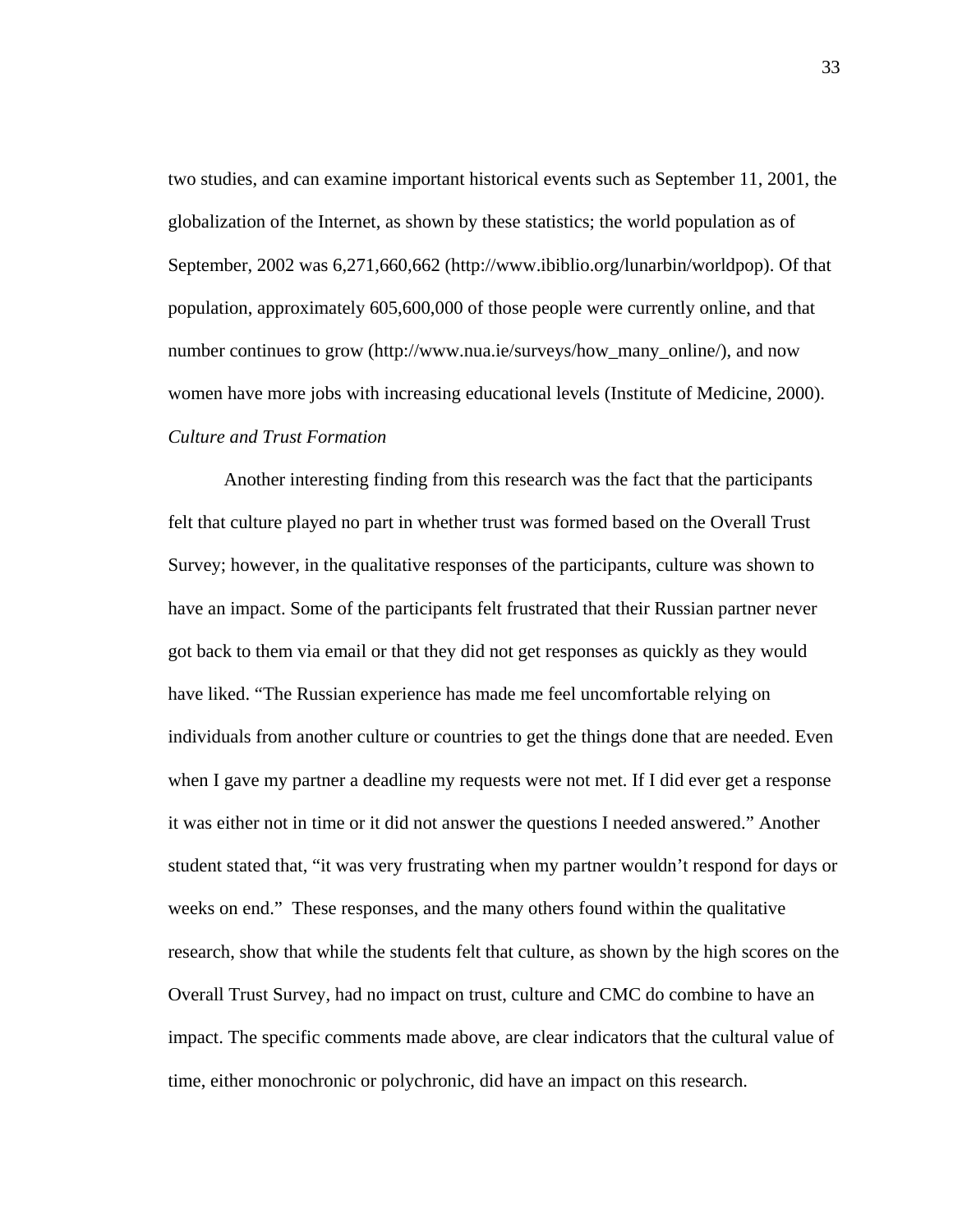two studies, and can examine important historical events such as September 11, 2001, the globalization of the Internet, as shown by these statistics; the world population as of September, 2002 was 6,271,660,662 (http://www.ibiblio.org/lunarbin/worldpop). Of that population, approximately 605,600,000 of those people were currently online, and that number continues to grow (http://www.nua.ie/surveys/how\_many\_online/), and now women have more jobs with increasing educational levels (Institute of Medicine, 2000). *Culture and Trust Formation* 

Another interesting finding from this research was the fact that the participants felt that culture played no part in whether trust was formed based on the Overall Trust Survey; however, in the qualitative responses of the participants, culture was shown to have an impact. Some of the participants felt frustrated that their Russian partner never got back to them via email or that they did not get responses as quickly as they would have liked. "The Russian experience has made me feel uncomfortable relying on individuals from another culture or countries to get the things done that are needed. Even when I gave my partner a deadline my requests were not met. If I did ever get a response it was either not in time or it did not answer the questions I needed answered." Another student stated that, "it was very frustrating when my partner wouldn't respond for days or weeks on end." These responses, and the many others found within the qualitative research, show that while the students felt that culture, as shown by the high scores on the Overall Trust Survey, had no impact on trust, culture and CMC do combine to have an impact. The specific comments made above, are clear indicators that the cultural value of time, either monochronic or polychronic, did have an impact on this research.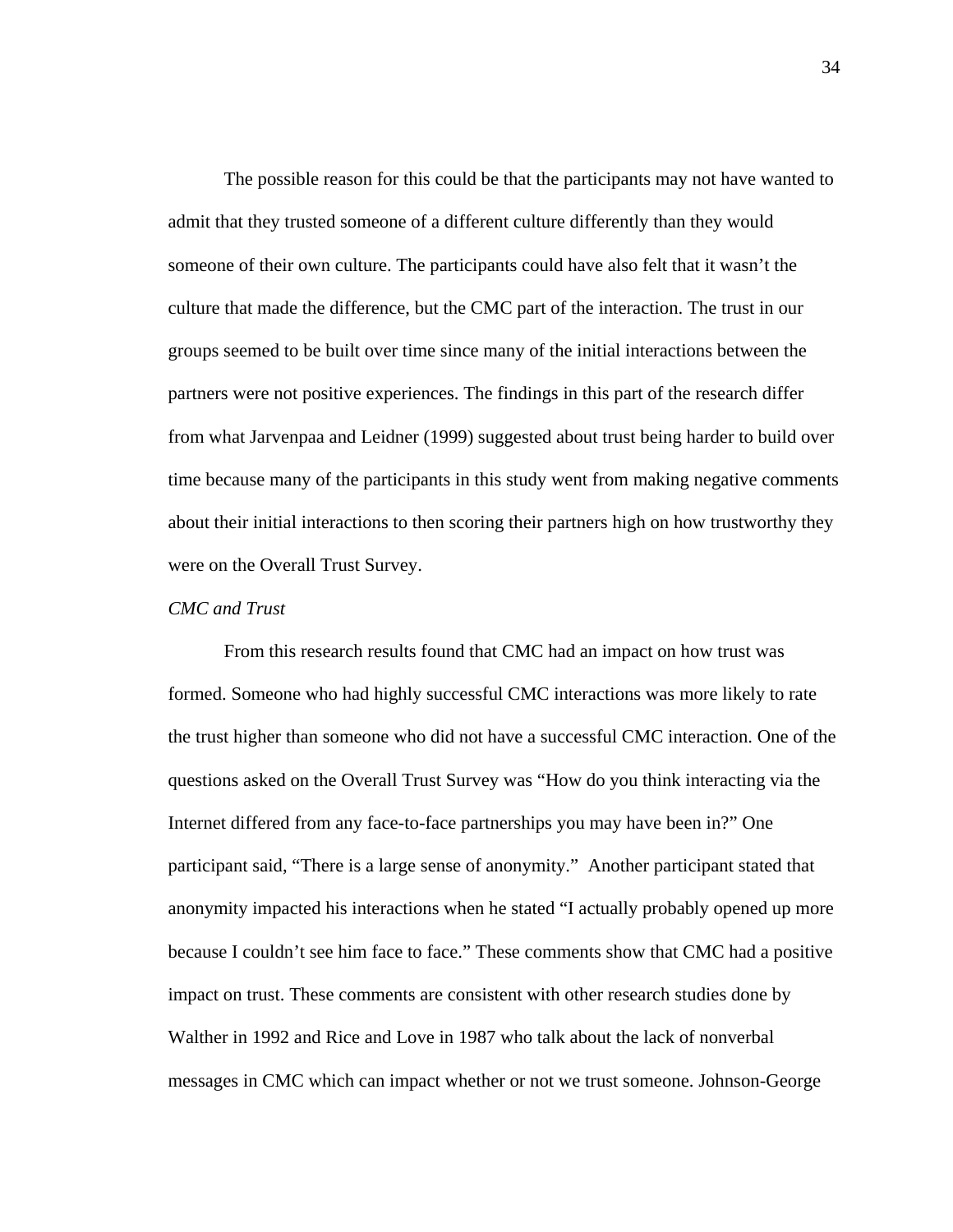The possible reason for this could be that the participants may not have wanted to admit that they trusted someone of a different culture differently than they would someone of their own culture. The participants could have also felt that it wasn't the culture that made the difference, but the CMC part of the interaction. The trust in our groups seemed to be built over time since many of the initial interactions between the partners were not positive experiences. The findings in this part of the research differ from what Jarvenpaa and Leidner (1999) suggested about trust being harder to build over time because many of the participants in this study went from making negative comments about their initial interactions to then scoring their partners high on how trustworthy they were on the Overall Trust Survey.

## *CMC and Trust*

From this research results found that CMC had an impact on how trust was formed. Someone who had highly successful CMC interactions was more likely to rate the trust higher than someone who did not have a successful CMC interaction. One of the questions asked on the Overall Trust Survey was "How do you think interacting via the Internet differed from any face-to-face partnerships you may have been in?" One participant said, "There is a large sense of anonymity." Another participant stated that anonymity impacted his interactions when he stated "I actually probably opened up more because I couldn't see him face to face." These comments show that CMC had a positive impact on trust. These comments are consistent with other research studies done by Walther in 1992 and Rice and Love in 1987 who talk about the lack of nonverbal messages in CMC which can impact whether or not we trust someone. Johnson-George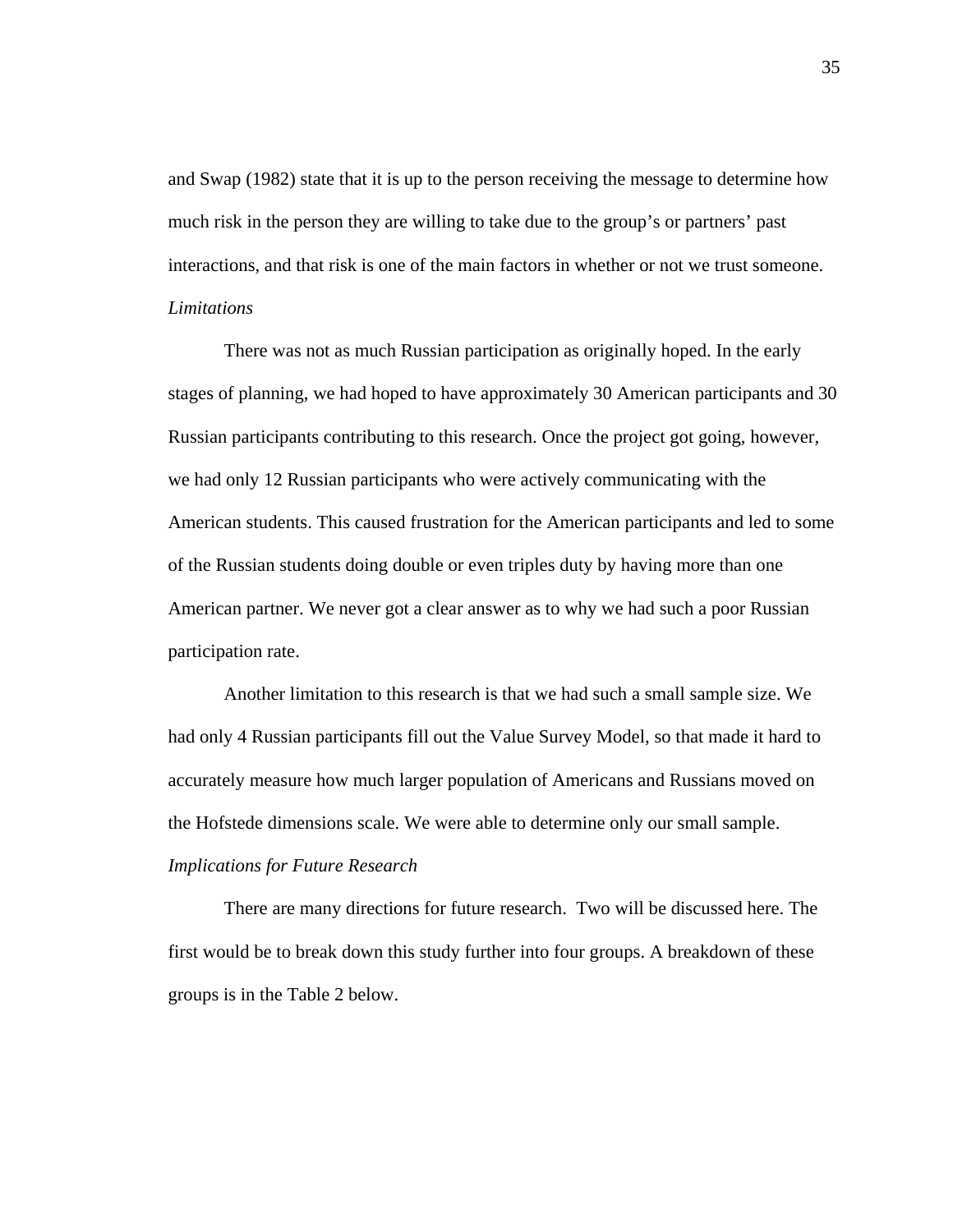and Swap (1982) state that it is up to the person receiving the message to determine how much risk in the person they are willing to take due to the group's or partners' past interactions, and that risk is one of the main factors in whether or not we trust someone. *Limitations* 

There was not as much Russian participation as originally hoped. In the early stages of planning, we had hoped to have approximately 30 American participants and 30 Russian participants contributing to this research. Once the project got going, however, we had only 12 Russian participants who were actively communicating with the American students. This caused frustration for the American participants and led to some of the Russian students doing double or even triples duty by having more than one American partner. We never got a clear answer as to why we had such a poor Russian participation rate.

Another limitation to this research is that we had such a small sample size. We had only 4 Russian participants fill out the Value Survey Model, so that made it hard to accurately measure how much larger population of Americans and Russians moved on the Hofstede dimensions scale. We were able to determine only our small sample. *Implications for Future Research* 

There are many directions for future research. Two will be discussed here. The first would be to break down this study further into four groups. A breakdown of these groups is in the Table 2 below.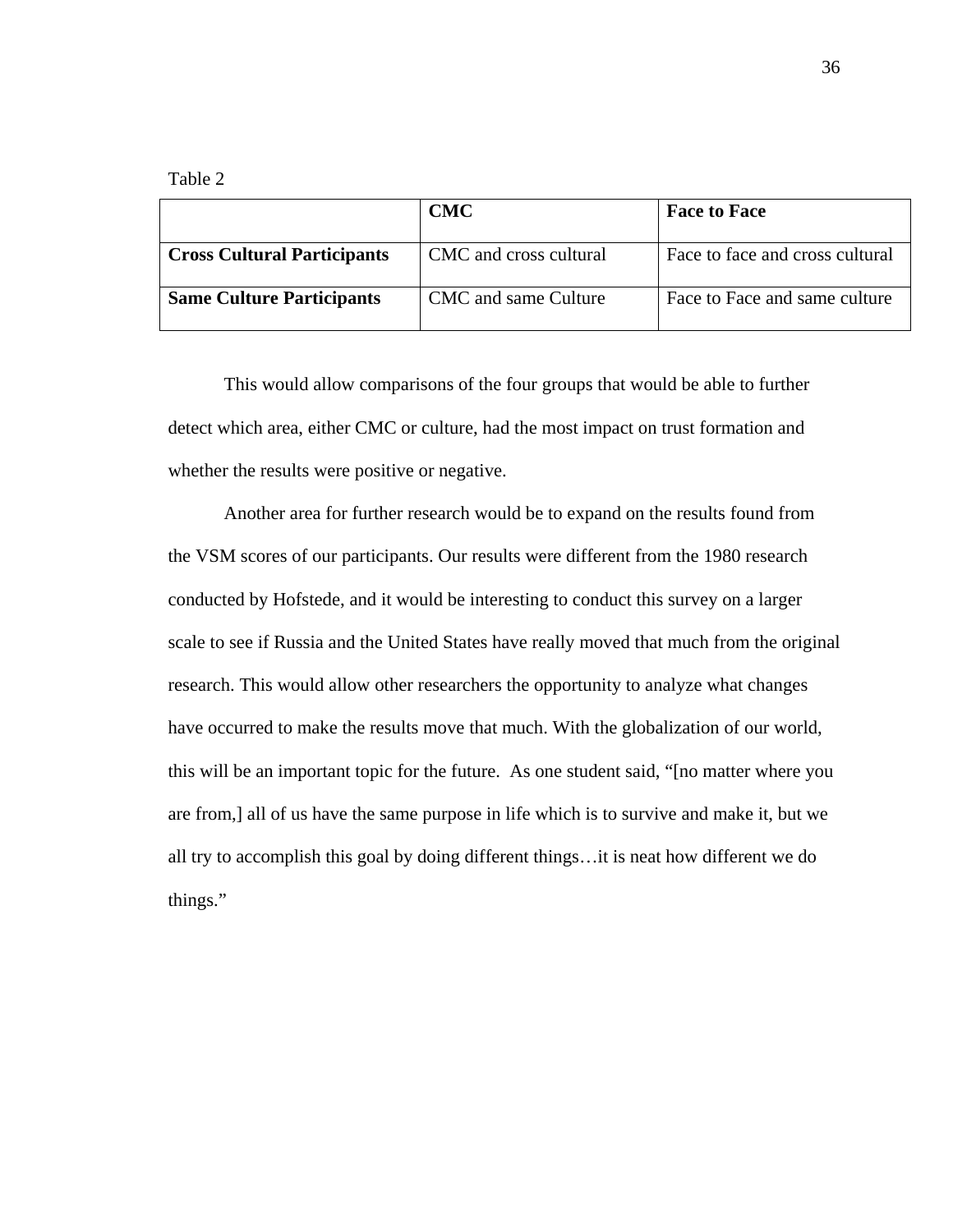Table 2

|                                    | <b>CMC</b>             | <b>Face to Face</b>             |
|------------------------------------|------------------------|---------------------------------|
| <b>Cross Cultural Participants</b> | CMC and cross cultural | Face to face and cross cultural |
| <b>Same Culture Participants</b>   | CMC and same Culture   | Face to Face and same culture   |

This would allow comparisons of the four groups that would be able to further detect which area, either CMC or culture, had the most impact on trust formation and whether the results were positive or negative.

Another area for further research would be to expand on the results found from the VSM scores of our participants. Our results were different from the 1980 research conducted by Hofstede, and it would be interesting to conduct this survey on a larger scale to see if Russia and the United States have really moved that much from the original research. This would allow other researchers the opportunity to analyze what changes have occurred to make the results move that much. With the globalization of our world, this will be an important topic for the future. As one student said, "[no matter where you are from,] all of us have the same purpose in life which is to survive and make it, but we all try to accomplish this goal by doing different things…it is neat how different we do things."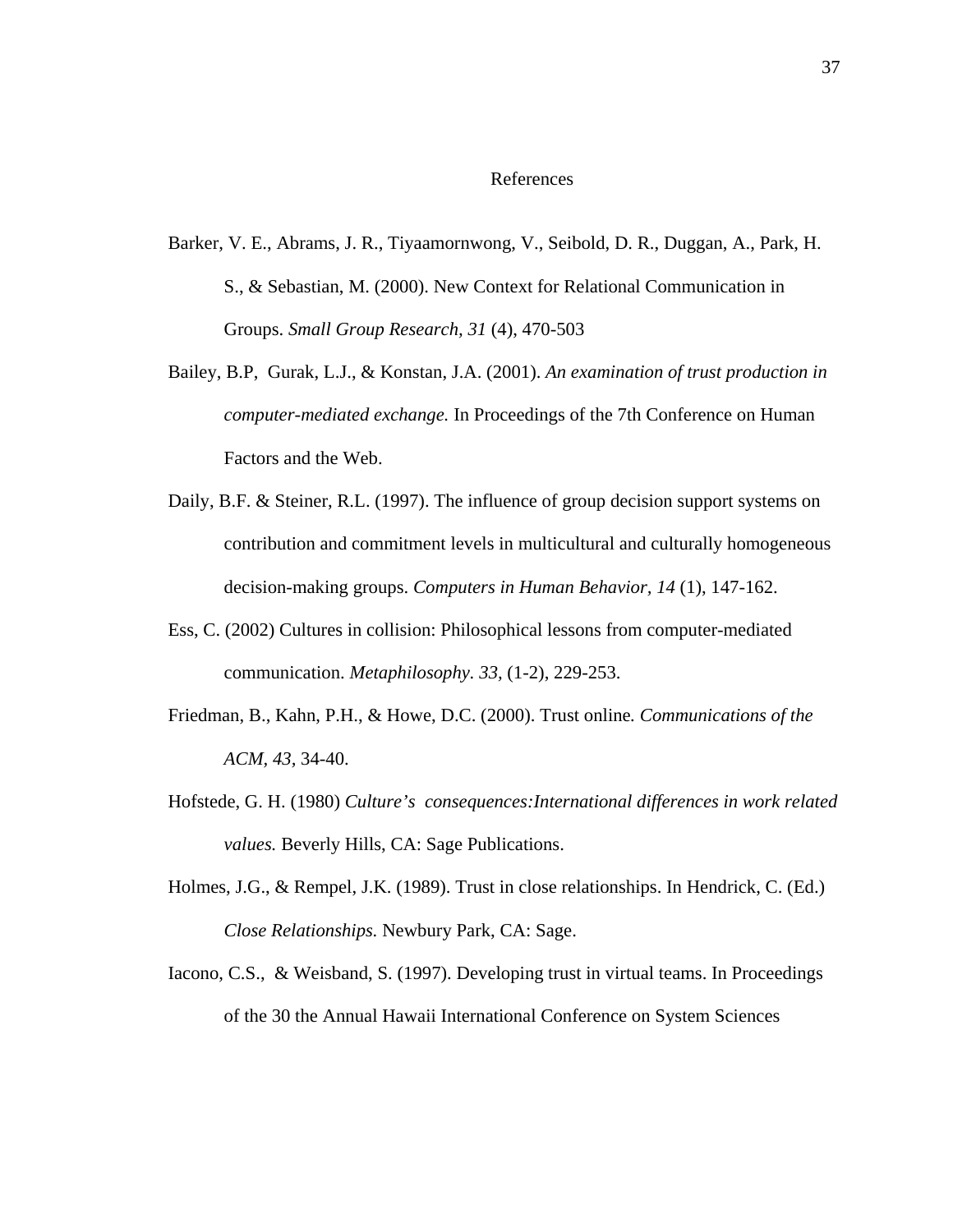## References

- Barker, V. E., Abrams, J. R., Tiyaamornwong, V., Seibold, D. R., Duggan, A., Park, H. S., & Sebastian, M. (2000). New Context for Relational Communication in Groups. *Small Group Research, 31* (4), 470-503
- Bailey, B.P, Gurak, L.J., & Konstan, J.A. (2001). *An examination of trust production in computer-mediated exchange.* In Proceedings of the 7th Conference on Human Factors and the Web.
- Daily, B.F. & Steiner, R.L. (1997). The influence of group decision support systems on contribution and commitment levels in multicultural and culturally homogeneous decision-making groups. *Computers in Human Behavior, 14* (1), 147-162.
- Ess, C. (2002) Cultures in collision: Philosophical lessons from computer-mediated communication. *Metaphilosophy. 33,* (1-2), 229-253.
- Friedman, B., Kahn, P.H., & Howe, D.C. (2000). Trust online*. Communications of the ACM, 43,* 34-40.
- Hofstede, G. H. (1980) *Culture's consequences:International differences in work related values.* Beverly Hills, CA: Sage Publications.
- Holmes, J.G., & Rempel, J.K. (1989). Trust in close relationships. In Hendrick, C. (Ed.) *Close Relationships.* Newbury Park, CA: Sage.
- Iacono, C.S., & Weisband, S. (1997). Developing trust in virtual teams. In Proceedings of the 30 the Annual Hawaii International Conference on System Sciences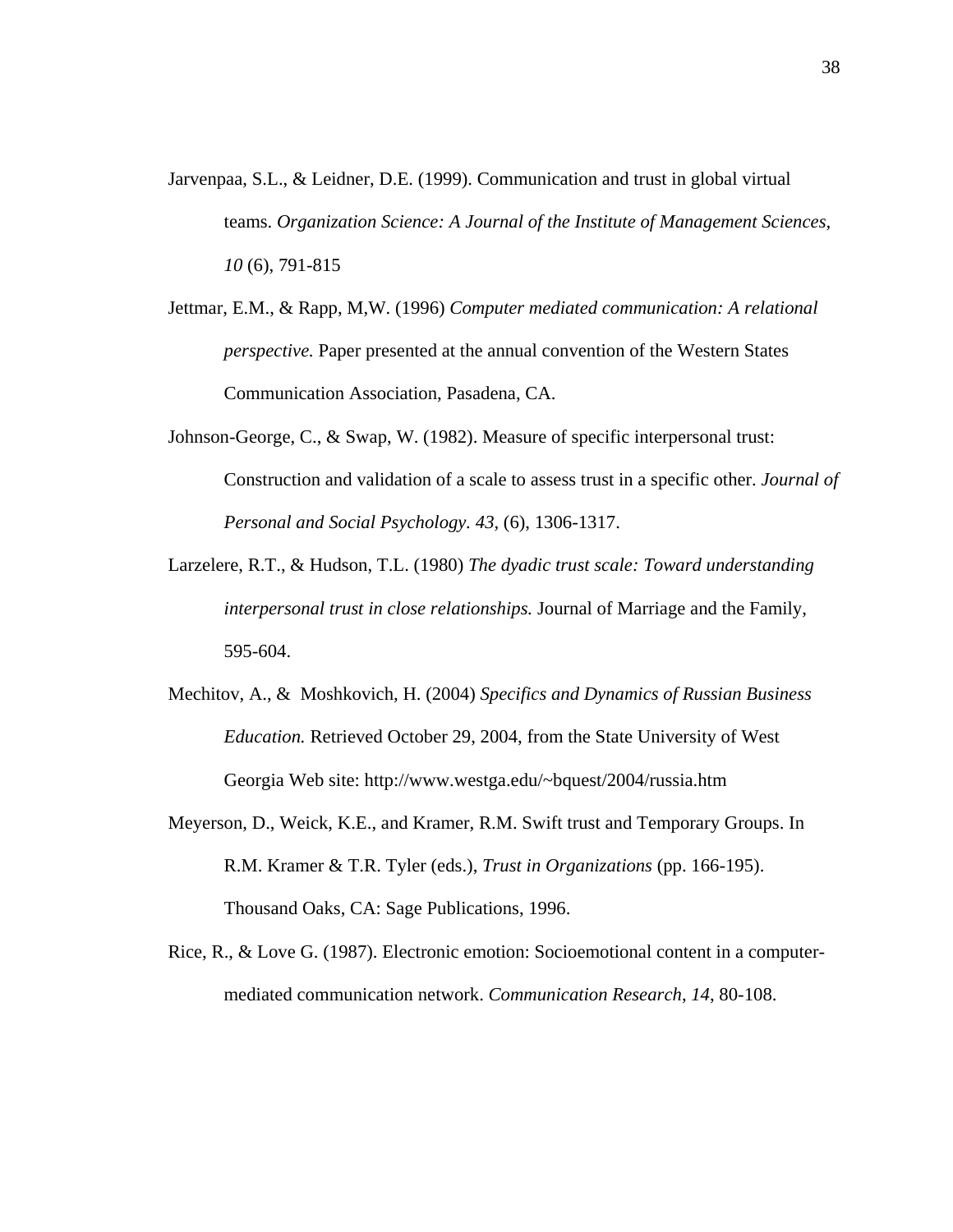- Jarvenpaa, S.L., & Leidner, D.E. (1999). Communication and trust in global virtual teams. *Organization Science: A Journal of the Institute of Management Sciences, 10* (6), 791-815
- Jettmar, E.M., & Rapp, M,W. (1996) *Computer mediated communication: A relational perspective.* Paper presented at the annual convention of the Western States Communication Association, Pasadena, CA.
- Johnson-George, C., & Swap, W. (1982). Measure of specific interpersonal trust: Construction and validation of a scale to assess trust in a specific other. *Journal of Personal and Social Psychology. 43,* (6), 1306-1317.
- Larzelere, R.T., & Hudson, T.L. (1980) *The dyadic trust scale: Toward understanding interpersonal trust in close relationships.* Journal of Marriage and the Family, 595-604.
- Mechitov, A., & Moshkovich, H. (2004) *Specifics and Dynamics of Russian Business Education.* Retrieved October 29, 2004, from the State University of West Georgia Web site: http://www.westga.edu/~bquest/2004/russia.htm
- Meyerson, D., Weick, K.E., and Kramer, R.M. Swift trust and Temporary Groups. In R.M. Kramer & T.R. Tyler (eds.), *Trust in Organizations* (pp. 166-195). Thousand Oaks, CA: Sage Publications, 1996.
- Rice, R., & Love G. (1987). Electronic emotion: Socioemotional content in a computermediated communication network. *Communication Research*, *14*, 80-108.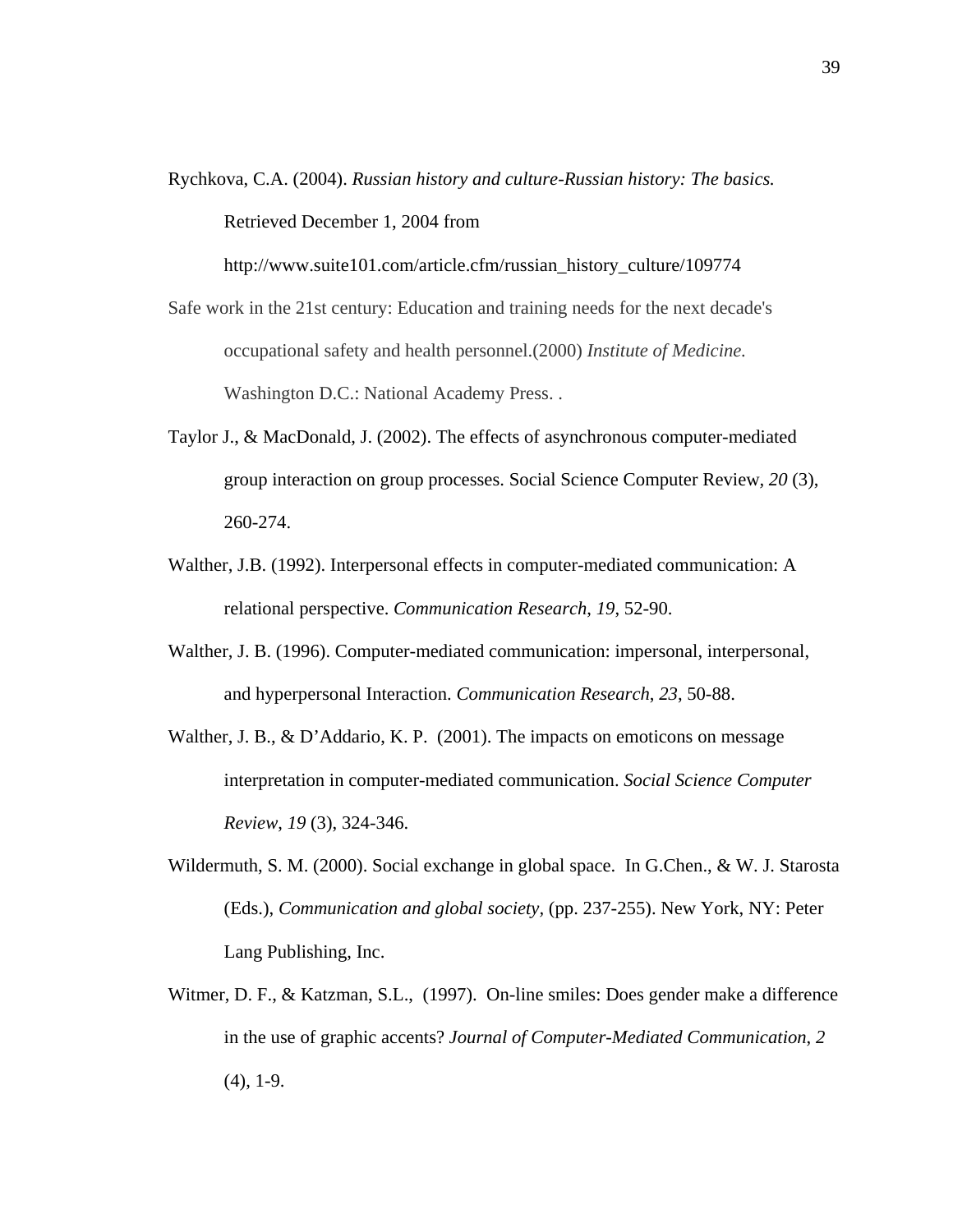Rychkova, C.A. (2004). *Russian history and culture-Russian history: The basics.*  Retrieved December 1, 2004 from

http://www.suite101.com/article.cfm/russian\_history\_culture/109774

- Safe work in the 21st century: Education and training needs for the next decade's occupational safety and health personnel.(2000) *Institute of Medicine.*  Washington D.C.: National Academy Press. .
- Taylor J., & MacDonald, J. (2002). The effects of asynchronous computer-mediated group interaction on group processes. Social Science Computer Review*, 20* (3), 260-274.
- Walther, J.B. (1992). Interpersonal effects in computer-mediated communication: A relational perspective. *Communication Research*, *19*, 52-90.
- Walther, J. B. (1996). Computer-mediated communication: impersonal, interpersonal, and hyperpersonal Interaction. *Communication Research*, *23*, 50-88.
- Walther, J. B., & D'Addario, K. P. (2001). The impacts on emoticons on message interpretation in computer-mediated communication. *Social Science Computer Review*, *19* (3), 324-346.
- Wildermuth, S. M. (2000). Social exchange in global space. In G.Chen., & W. J. Starosta (Eds.), *Communication and global society,* (pp. 237-255). New York, NY: Peter Lang Publishing, Inc.
- Witmer, D. F., & Katzman, S.L., (1997). On-line smiles: Does gender make a difference in the use of graphic accents? *Journal of Computer-Mediated Communication*, *2* (4), 1-9.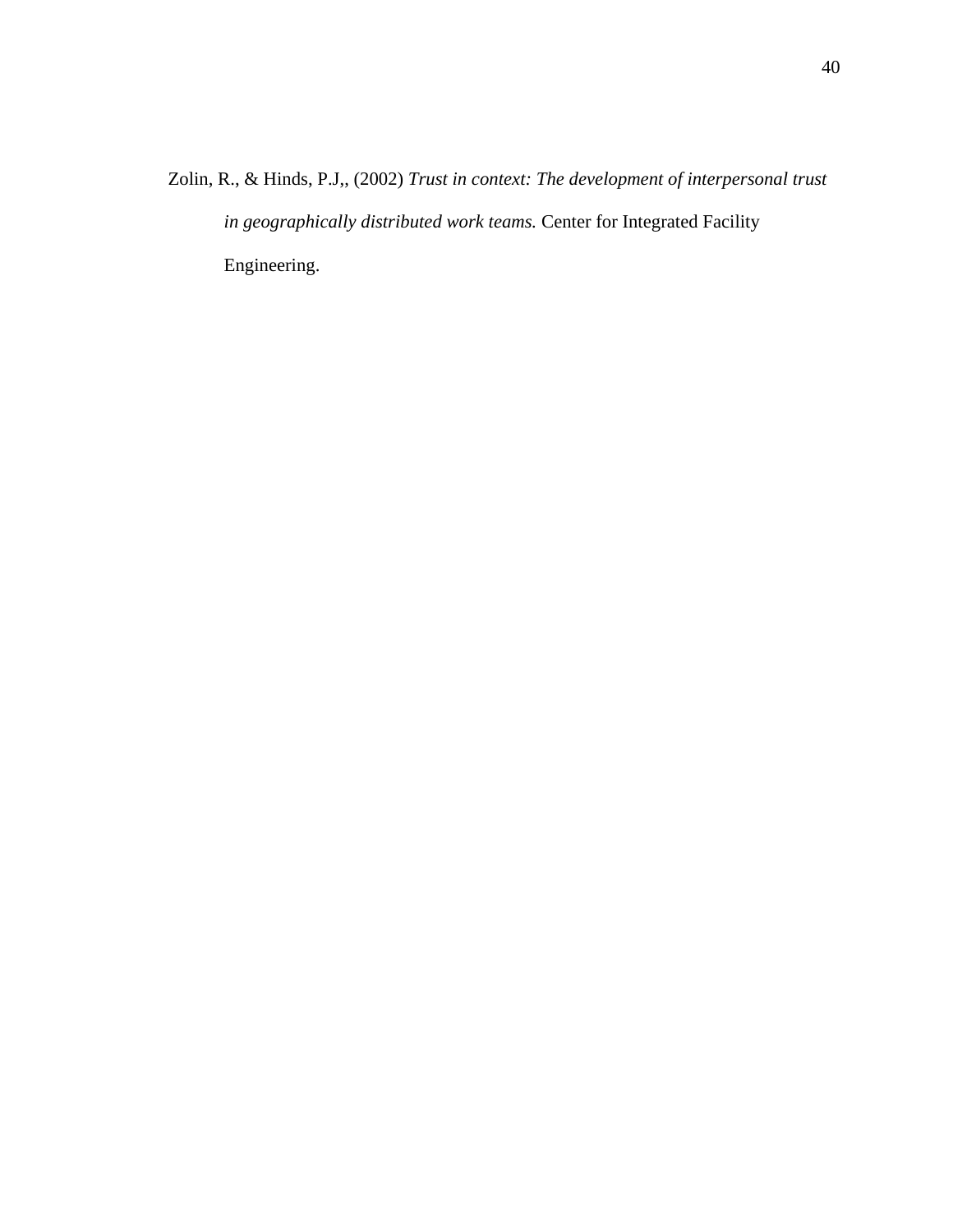Zolin, R., & Hinds, P.J,, (2002) *Trust in context: The development of interpersonal trust in geographically distributed work teams.* Center for Integrated Facility Engineering.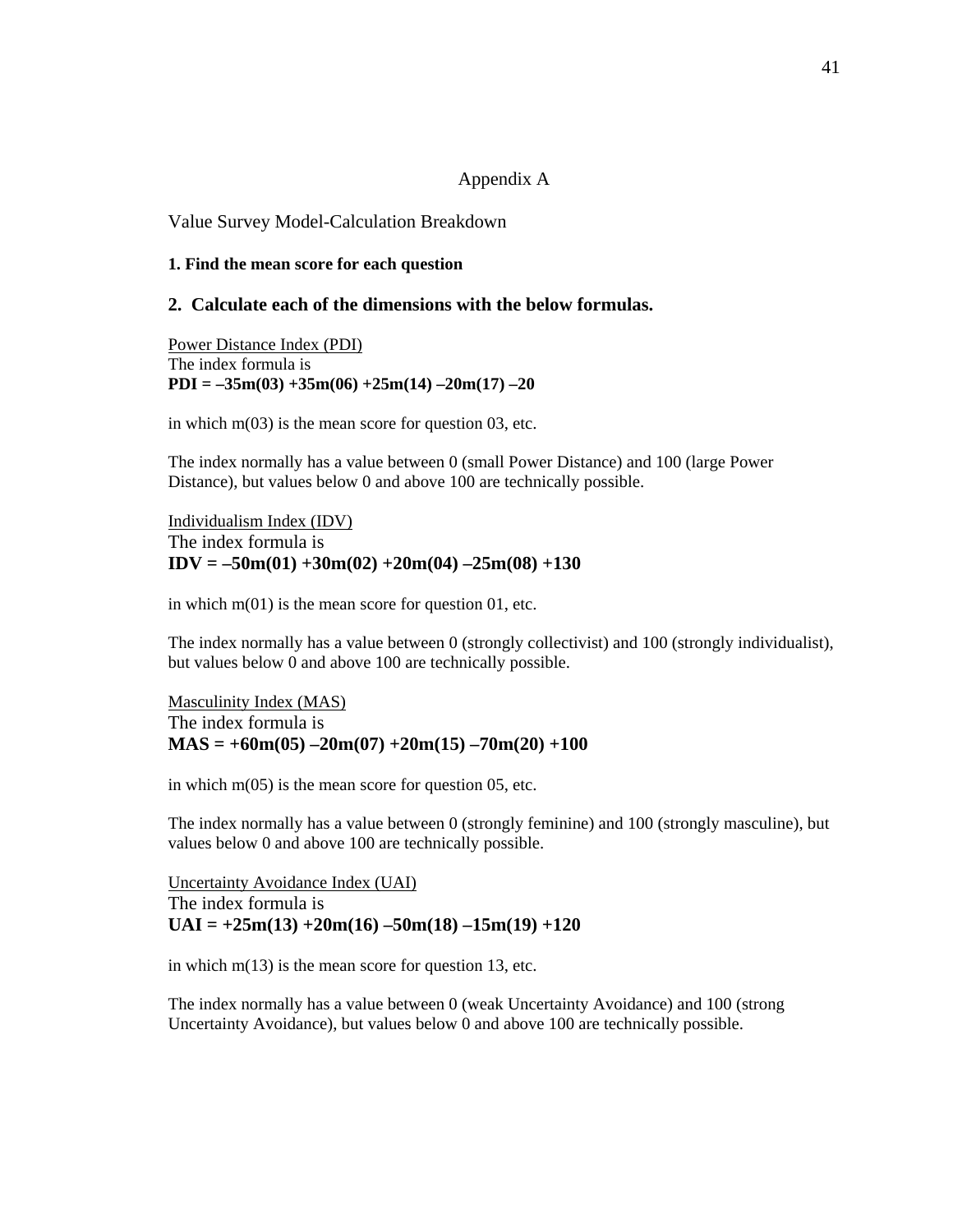#### Appendix A

#### Value Survey Model-Calculation Breakdown

#### **1. Find the mean score for each question**

## **2. Calculate each of the dimensions with the below formulas.**

Power Distance Index (PDI) The index formula is **PDI = –35m(03) +35m(06) +25m(14) –20m(17) –20** 

in which  $m(03)$  is the mean score for question 03, etc.

The index normally has a value between 0 (small Power Distance) and 100 (large Power Distance), but values below 0 and above 100 are technically possible.

Individualism Index (IDV) The index formula is  $IDV = -50m(01) +30m(02) +20m(04) -25m(08) +130$ 

in which m(01) is the mean score for question 01, etc.

The index normally has a value between 0 (strongly collectivist) and 100 (strongly individualist), but values below 0 and above 100 are technically possible.

Masculinity Index (MAS) The index formula is  $MAS = +60m(05) -20m(07) +20m(15) -70m(20) +100$ 

in which  $m(05)$  is the mean score for question 05, etc.

The index normally has a value between 0 (strongly feminine) and 100 (strongly masculine), but values below 0 and above 100 are technically possible.

Uncertainty Avoidance Index (UAI) The index formula is  $UAI = +25m(13) +20m(16) -50m(18) -15m(19) +120$ 

in which  $m(13)$  is the mean score for question 13, etc.

The index normally has a value between 0 (weak Uncertainty Avoidance) and 100 (strong Uncertainty Avoidance), but values below 0 and above 100 are technically possible.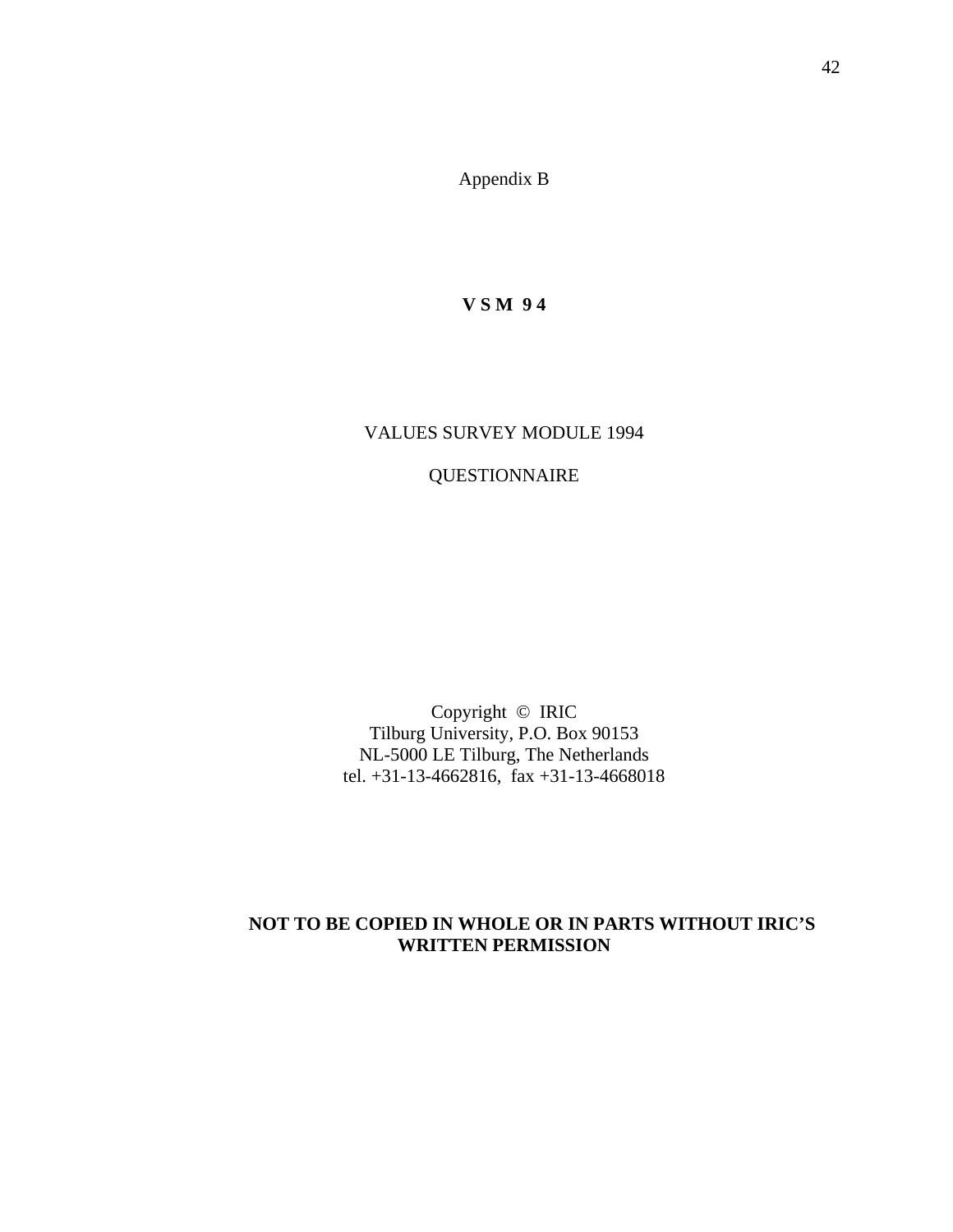Appendix B

**V S M 9 4** 

## VALUES SURVEY MODULE 1994

# QUESTIONNAIRE

Copyright © IRIC Tilburg University, P.O. Box 90153 NL-5000 LE Tilburg, The Netherlands tel. +31-13-4662816, fax +31-13-4668018

## **NOT TO BE COPIED IN WHOLE OR IN PARTS WITHOUT IRIC'S WRITTEN PERMISSION**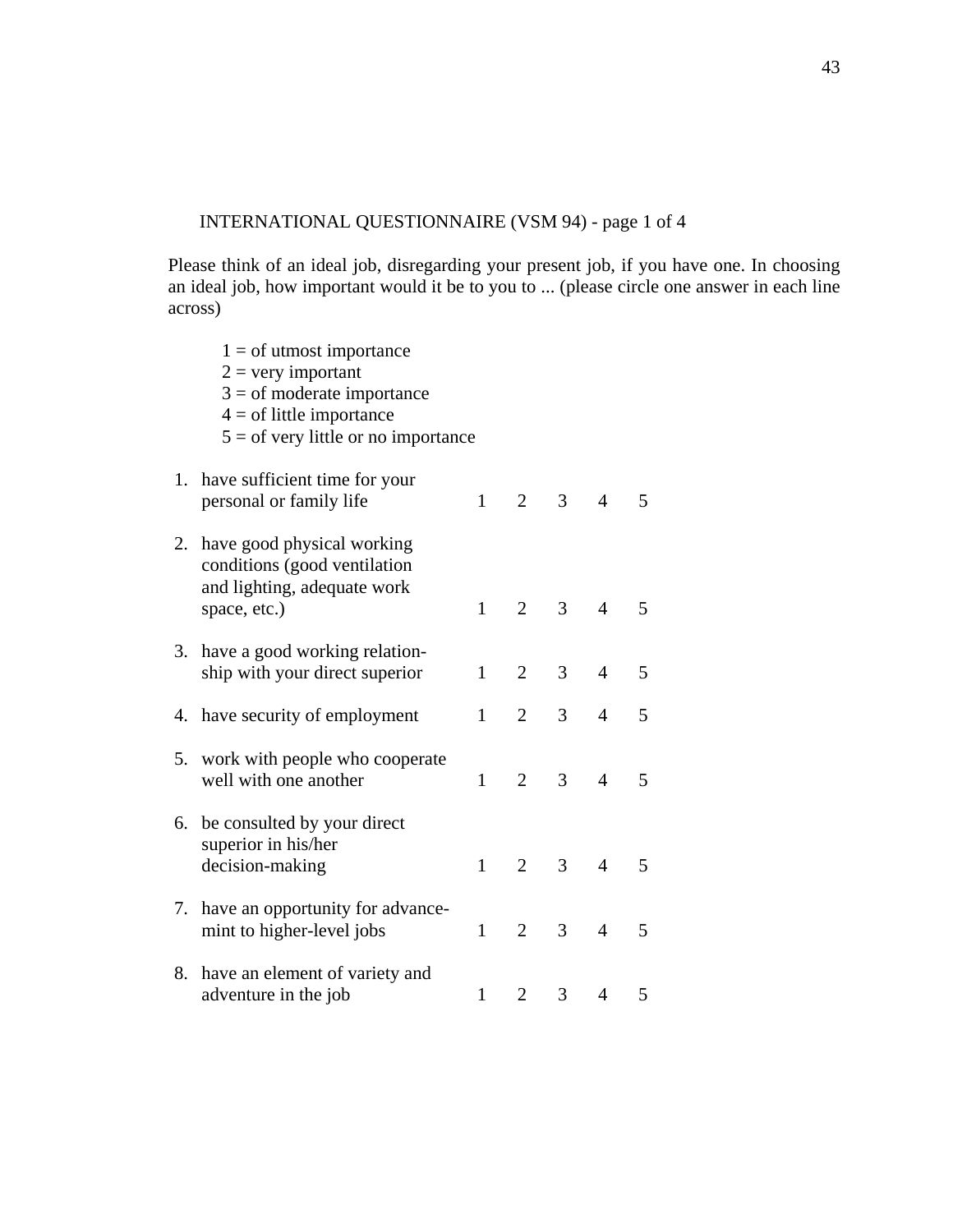## INTERNATIONAL QUESTIONNAIRE (VSM 94) - page 1 of 4

 $1 =$  of utmost importance  $2 =$  very important

Please think of an ideal job, disregarding your present job, if you have one. In choosing an ideal job, how important would it be to you to ... (please circle one answer in each line across)

|    | $3 =$ of moderate importance<br>$4 =$ of little importance<br>$5 =$ of very little or no importance       |              |                |                |                |                         |
|----|-----------------------------------------------------------------------------------------------------------|--------------|----------------|----------------|----------------|-------------------------|
| 1. | have sufficient time for your<br>personal or family life                                                  | $\mathbf{1}$ | $\overline{2}$ | 3 <sup>1</sup> | $\overline{4}$ | 5                       |
| 2. | have good physical working<br>conditions (good ventilation<br>and lighting, adequate work<br>space, etc.) | 1            | $\overline{2}$ | 3              | $\overline{4}$ | 5                       |
| 3. | have a good working relation-<br>ship with your direct superior                                           | $\mathbf{1}$ | $\overline{2}$ | $\overline{3}$ | $\overline{4}$ | 5                       |
|    | 4. have security of employment                                                                            | $\mathbf{1}$ | $\overline{2}$ | $\overline{3}$ | $\overline{4}$ | 5                       |
| 5. | work with people who cooperate<br>well with one another                                                   | 1            | $\overline{2}$ | 3              | $\overline{4}$ | $\overline{5}$          |
| 6. | be consulted by your direct<br>superior in his/her<br>decision-making                                     | $\mathbf{1}$ | $\overline{2}$ | $\overline{3}$ | $\overline{4}$ | $\overline{\mathbf{5}}$ |
| 7. | have an opportunity for advance-<br>mint to higher-level jobs                                             | $\mathbf{1}$ | $\overline{2}$ | 3 <sup>1</sup> | $\overline{4}$ | 5                       |
| 8. | have an element of variety and<br>adventure in the job                                                    | $\mathbf{1}$ | $\overline{2}$ | 3              | $\overline{4}$ | 5                       |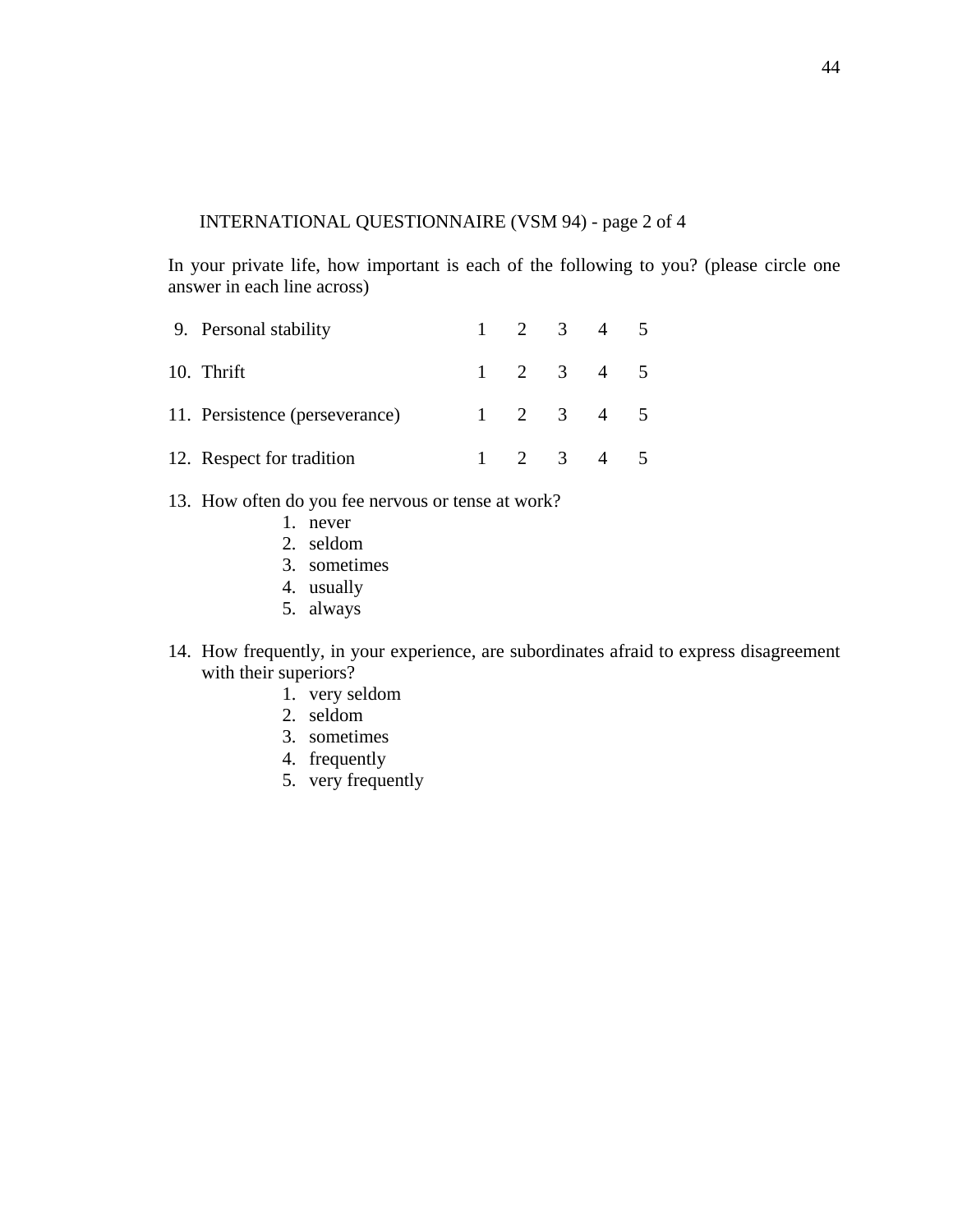## INTERNATIONAL QUESTIONNAIRE (VSM 94) - page 2 of 4

In your private life, how important is each of the following to you? (please circle one answer in each line across)

| 9. Personal stability          |  | $1 \t2 \t3 \t4 \t5$ |  |
|--------------------------------|--|---------------------|--|
| 10. Thrift                     |  | $1 \t2 \t3 \t4 \t5$ |  |
| 11. Persistence (perseverance) |  | $1 \t2 \t3 \t4 \t5$ |  |
| 12. Respect for tradition      |  | $1 \t2 \t3 \t4 \t5$ |  |

- 13. How often do you fee nervous or tense at work?
	- 1. never
	- 2. seldom
	- 3. sometimes
	- 4. usually
	- 5. always
- 14. How frequently, in your experience, are subordinates afraid to express disagreement with their superiors?
	- 1. very seldom
	- 2. seldom
	- 3. sometimes
	- 4. frequently
	- 5. very frequently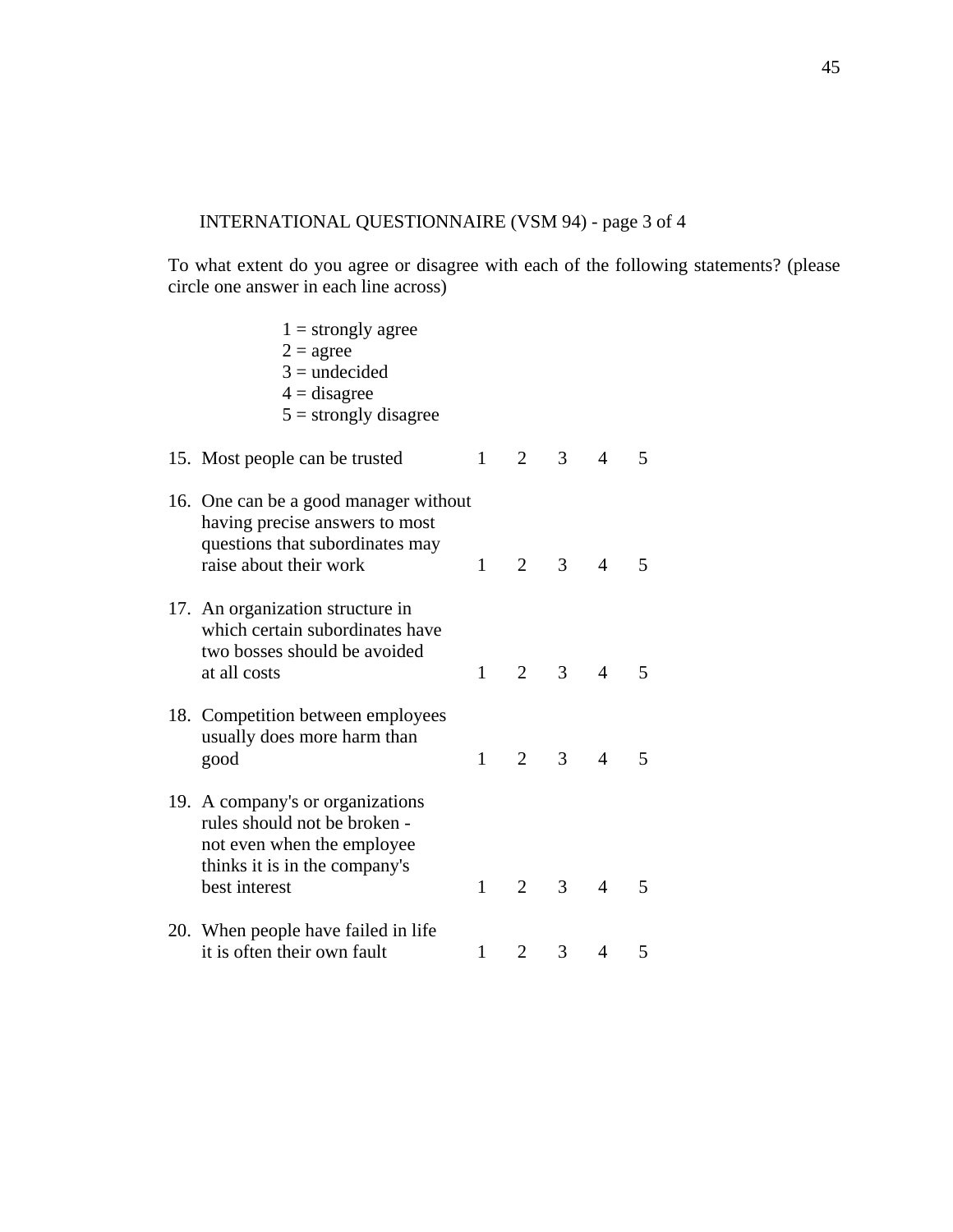# INTERNATIONAL QUESTIONNAIRE (VSM 94) - page 3 of 4

To what extent do you agree or disagree with each of the following statements? (please circle one answer in each line across)

| $1 =$ strongly agree<br>$2 = \text{agree}$<br>$3 =$ undecided<br>$4 =$ disagree<br>$5 =$ strongly disagree                                       |              |                |                |                |                          |
|--------------------------------------------------------------------------------------------------------------------------------------------------|--------------|----------------|----------------|----------------|--------------------------|
| 15. Most people can be trusted                                                                                                                   | $\mathbf{1}$ | $\overline{2}$ | 3 <sup>7</sup> | $\overline{4}$ | 5                        |
| 16. One can be a good manager without<br>having precise answers to most<br>questions that subordinates may<br>raise about their work             | $\mathbf{1}$ | $\overline{2}$ | 3              | $\overline{4}$ | 5                        |
| 17. An organization structure in<br>which certain subordinates have<br>two bosses should be avoided<br>at all costs                              | $\mathbf{1}$ | $\overline{2}$ | 3              | $\overline{4}$ | $\overline{\mathbf{5}}$  |
| 18. Competition between employees<br>usually does more harm than<br>good                                                                         | 1            | $\overline{2}$ | 3              | $\overline{4}$ | $\overline{\phantom{0}}$ |
| 19. A company's or organizations<br>rules should not be broken -<br>not even when the employee<br>thinks it is in the company's<br>best interest | $\mathbf{1}$ | $\overline{2}$ | $\overline{3}$ | $\overline{4}$ | 5                        |
| 20. When people have failed in life<br>it is often their own fault                                                                               | $\mathbf{1}$ | $\overline{2}$ | 3              | $\overline{4}$ | 5                        |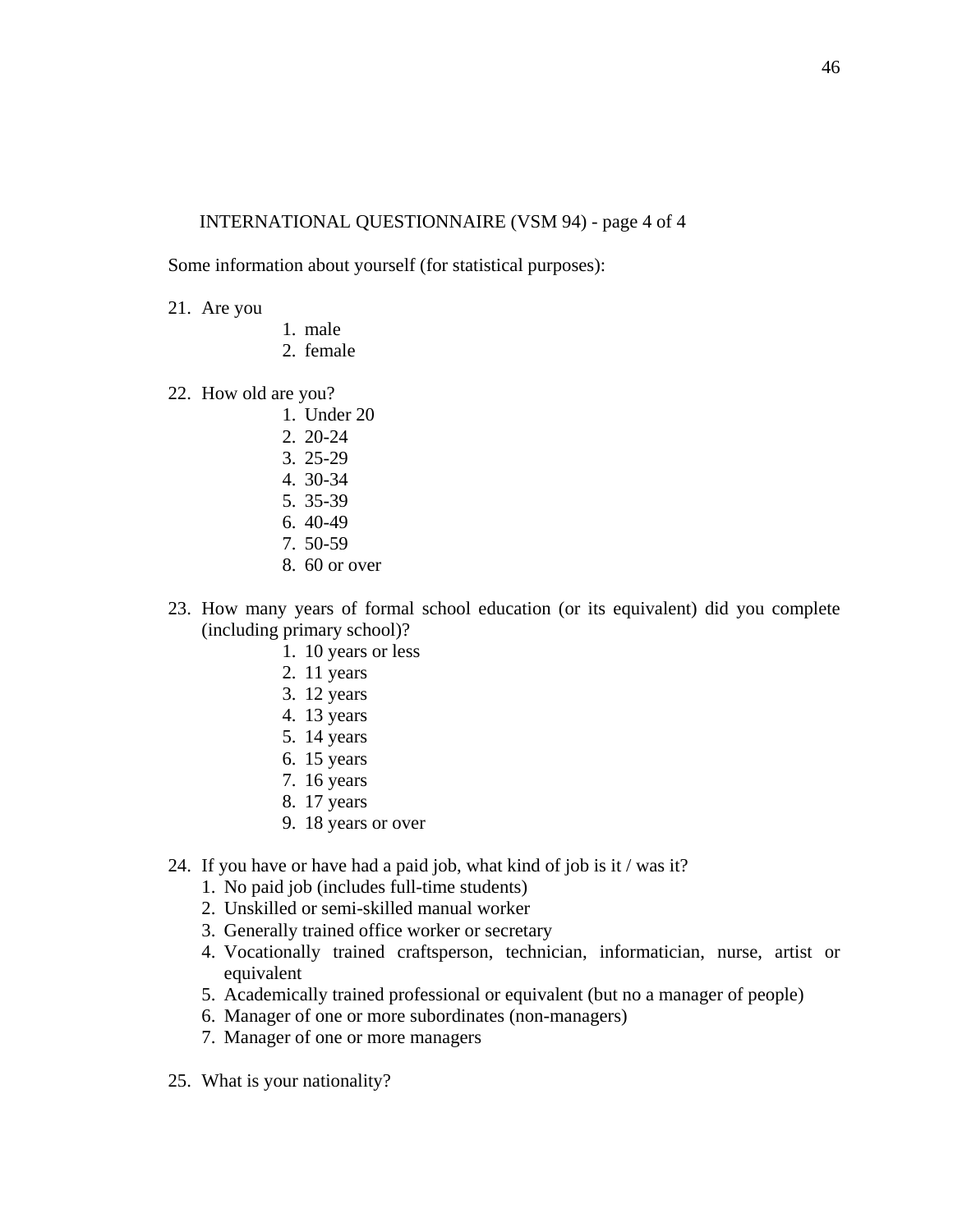### INTERNATIONAL QUESTIONNAIRE (VSM 94) - page 4 of 4

Some information about yourself (for statistical purposes):

- 21. Are you
- 1. male
- 2. female
- 22. How old are you?
	- 1. Under 20
	- 2. 20-24
	- 3. 25-29
	- 4. 30-34
	- 5. 35-39
	- 6. 40-49
	- 7. 50-59
	- 8. 60 or over
- 23. How many years of formal school education (or its equivalent) did you complete (including primary school)?
	- 1. 10 years or less
	- 2. 11 years
	- 3. 12 years
	- 4. 13 years
	- 5. 14 years
	- 6. 15 years
	- 7. 16 years
	- 8. 17 years
	- 9. 18 years or over
- 24. If you have or have had a paid job, what kind of job is it / was it?
	- 1. No paid job (includes full-time students)
	- 2. Unskilled or semi-skilled manual worker
	- 3. Generally trained office worker or secretary
	- 4. Vocationally trained craftsperson, technician, informatician, nurse, artist or equivalent
	- 5. Academically trained professional or equivalent (but no a manager of people)
	- 6. Manager of one or more subordinates (non-managers)
	- 7. Manager of one or more managers
- 25. What is your nationality?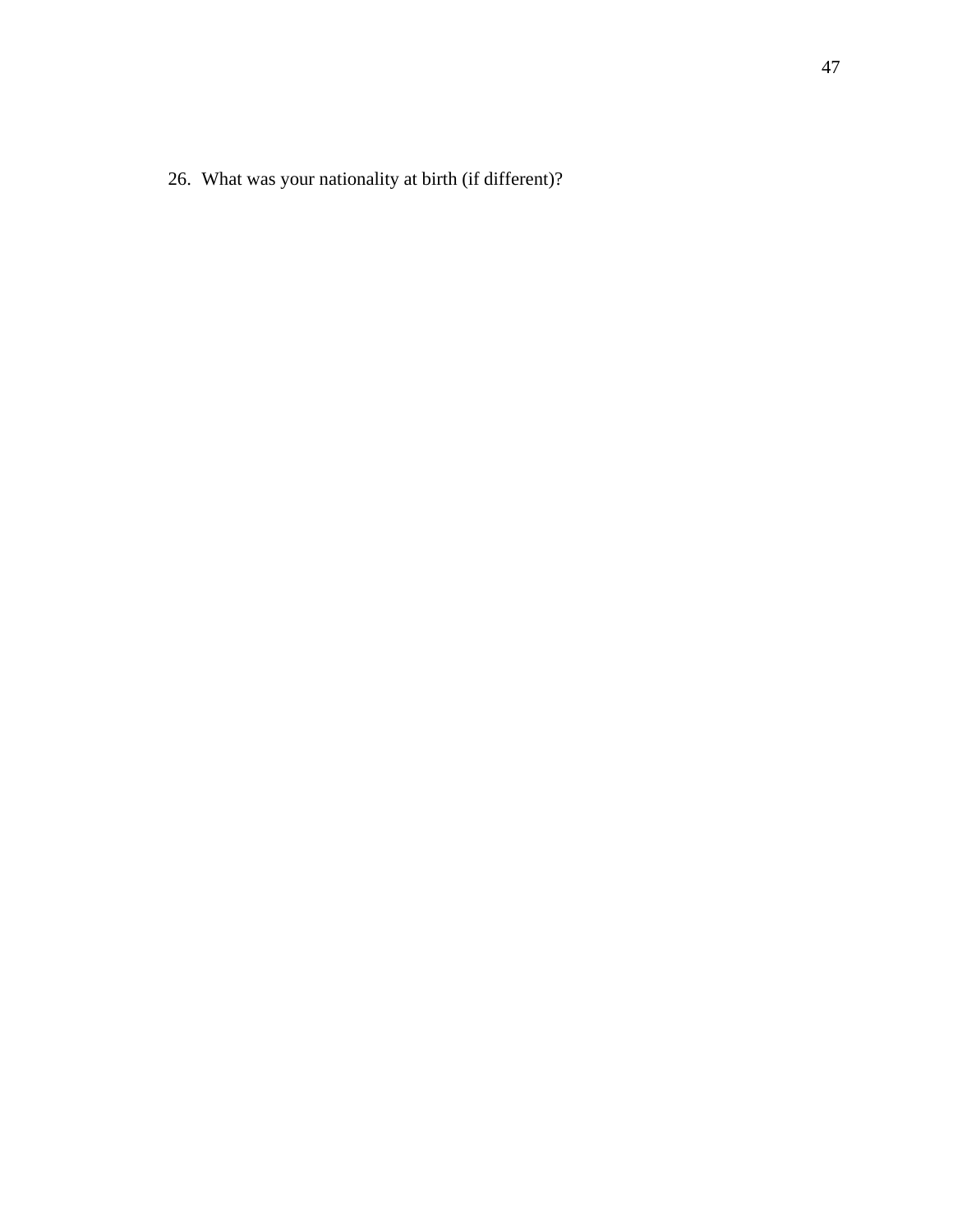26. What was your nationality at birth (if different)?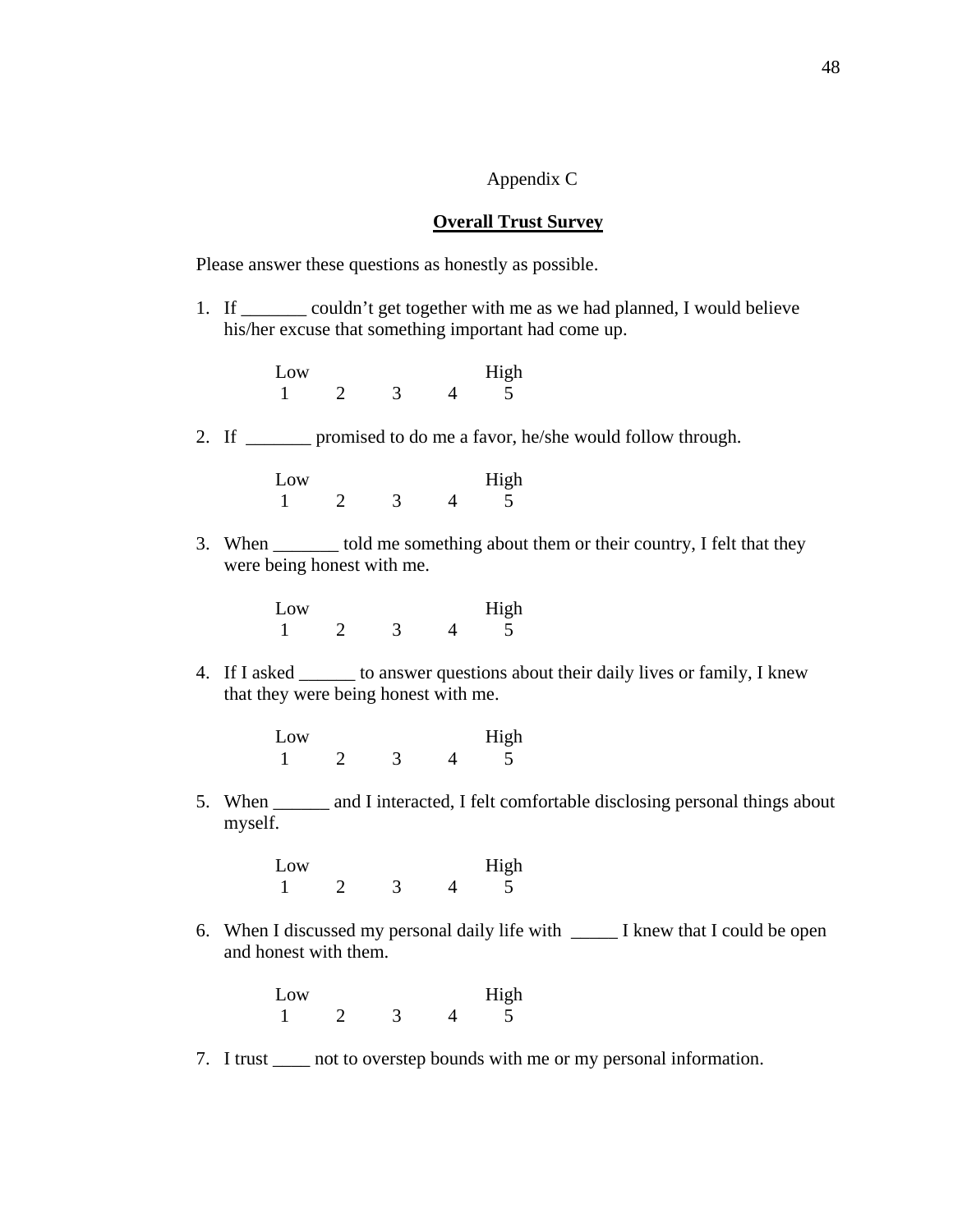## Appendix C

#### **Overall Trust Survey**

Please answer these questions as honestly as possible.

1. If \_\_\_\_\_\_\_ couldn't get together with me as we had planned, I would believe his/her excuse that something important had come up.

| Low |  | High |
|-----|--|------|
|     |  |      |

2. If \_\_\_\_\_\_\_ promised to do me a favor, he/she would follow through.

| Low |  | High |
|-----|--|------|
|     |  |      |

3. When \_\_\_\_\_\_\_ told me something about them or their country, I felt that they were being honest with me.

| Low |  | High |
|-----|--|------|
|     |  |      |

- 4. If I asked \_\_\_\_\_\_ to answer questions about their daily lives or family, I knew that they were being honest with me.
	- Low High 1 2 3 4 5
- 5. When \_\_\_\_\_\_ and I interacted, I felt comfortable disclosing personal things about myself.

| Low |  | High |
|-----|--|------|
|     |  |      |

6. When I discussed my personal daily life with \_\_\_\_\_ I knew that I could be open and honest with them.

| Low |  | High |
|-----|--|------|
|     |  |      |

7. I trust \_\_\_\_ not to overstep bounds with me or my personal information.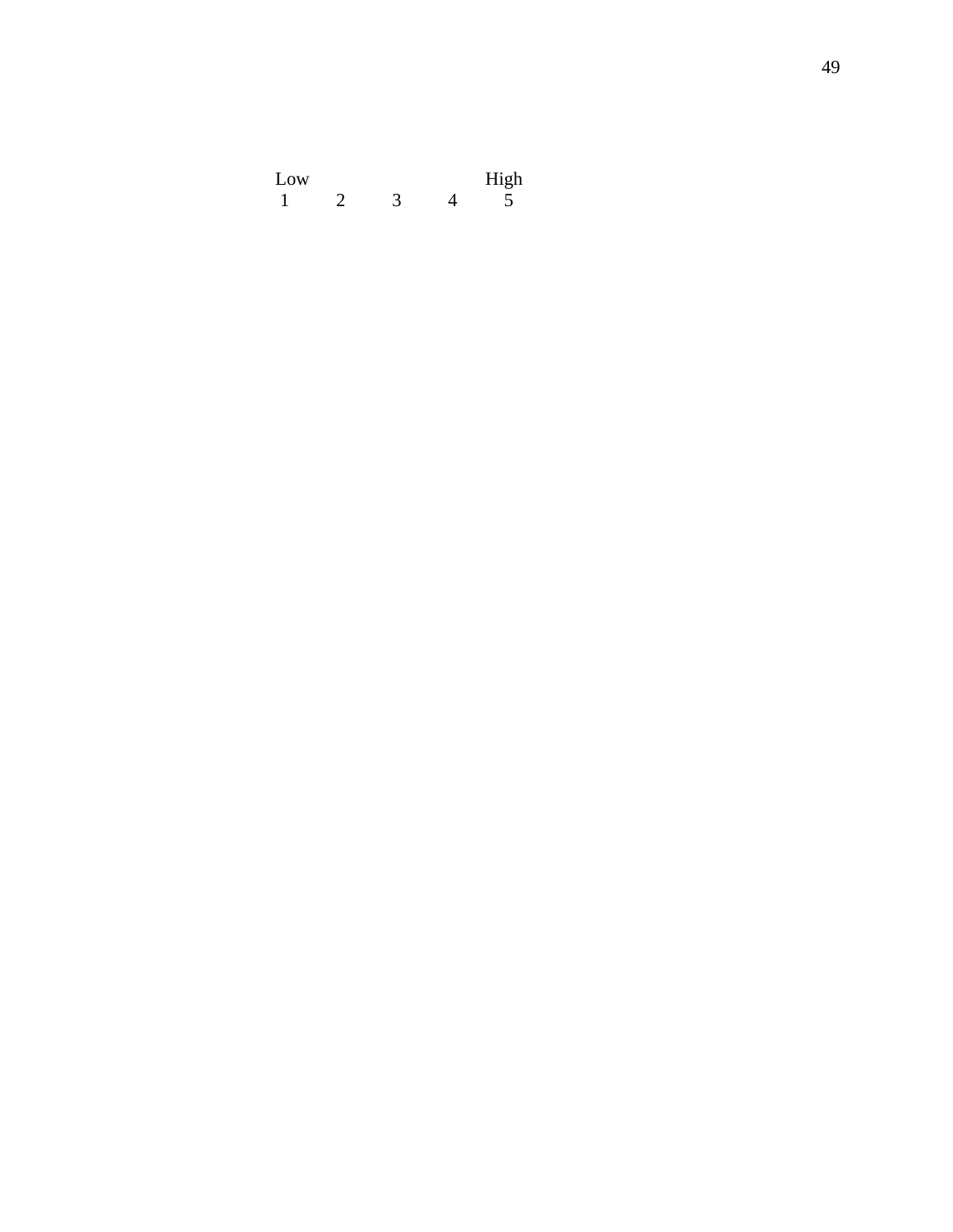| Low |  | High |
|-----|--|------|
|     |  |      |